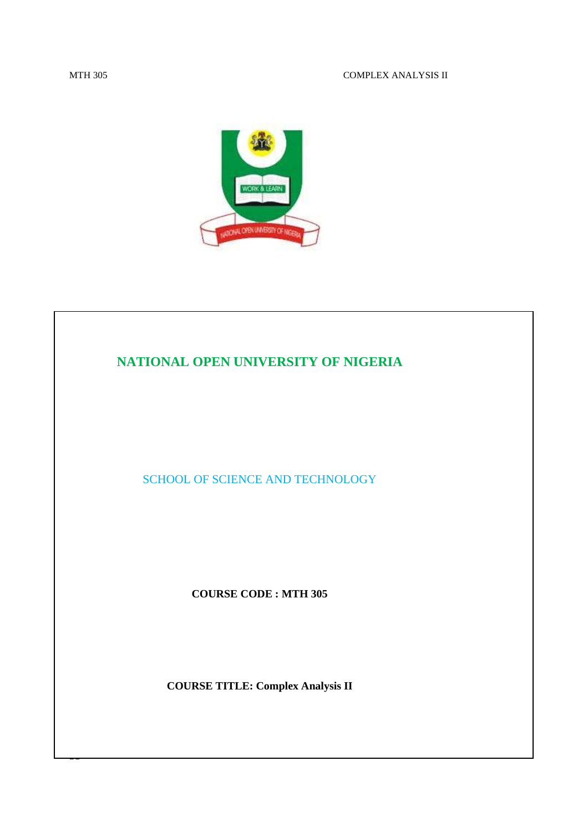

# **NATIONAL OPEN UNIVERSITY OF NIGERIA**  SCHOOL OF SCIENCE AND TECHNOLOGY **COURSE CODE : MTH 305 COURSE TITLE: Complex Analysis II**

50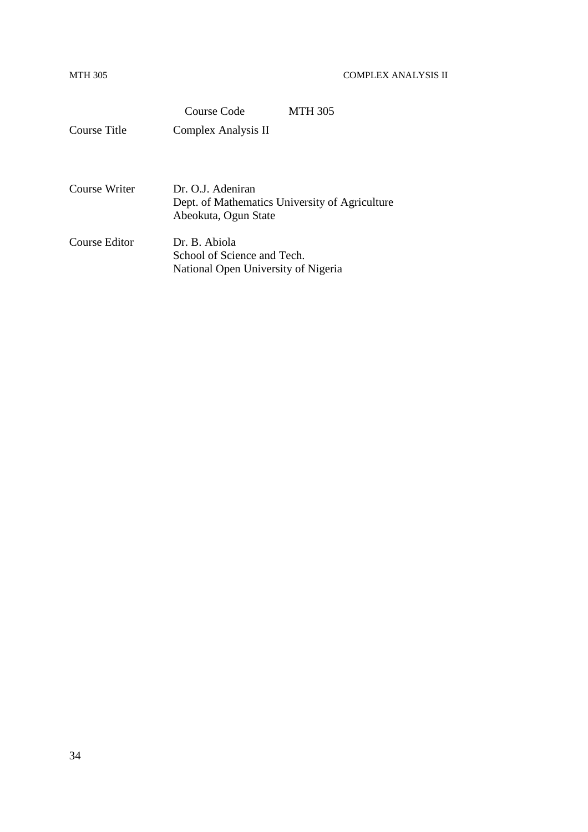|               | Course Code                                                         | <b>MTH 305</b> |  |
|---------------|---------------------------------------------------------------------|----------------|--|
| Course Title  | Complex Analysis II                                                 |                |  |
|               |                                                                     |                |  |
|               |                                                                     |                |  |
| Course Writer | Dr. O.J. Adeniran<br>Dept. of Mathematics University of Agriculture |                |  |
|               | Abeokuta, Ogun State                                                |                |  |
| Course Editor | Dr. B. Abiola                                                       |                |  |
|               | School of Science and Tech.                                         |                |  |
|               | National Open University of Nigeria                                 |                |  |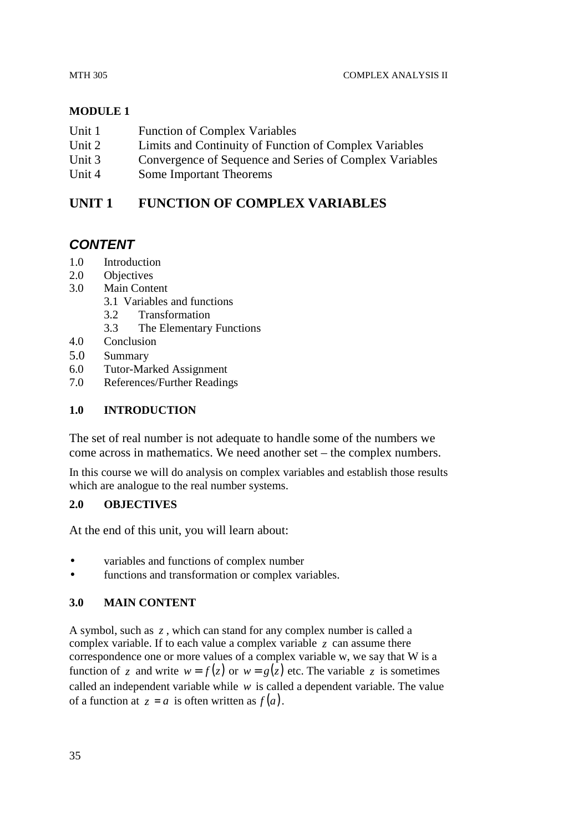#### MTH 305 COMPLEX ANALYSIS II

# **MODULE 1**

- Unit 1 Function of Complex Variables
- Unit 2 Limits and Continuity of Function of Complex Variables
- Unit 3 Convergence of Sequence and Series of Complex Variables
- Unit 4 Some Important Theorems

# **UNIT 1 FUNCTION OF COMPLEX VARIABLES**

# **CONTENT**

- 1.0 Introduction
- 2.0 Objectives
- 3.0 Main Content
	- 3.1 Variables and functions
	- 3.2 Transformation
	- 3.3 The Elementary Functions
- 4.0 Conclusion
- 5.0 Summary
- 6.0 Tutor-Marked Assignment
- 7.0 References/Further Readings

# **1.0 INTRODUCTION**

The set of real number is not adequate to handle some of the numbers we come across in mathematics. We need another set – the complex numbers.

In this course we will do analysis on complex variables and establish those results which are analogue to the real number systems.

# **2.0 OBJECTIVES**

At the end of this unit, you will learn about:

- variables and functions of complex number
- functions and transformation or complex variables.

# **3.0 MAIN CONTENT**

A symbol, such as *z* , which can stand for any complex number is called a complex variable. If to each value a complex variable  $\zeta$  can assume there correspondence one or more values of a complex variable w, we say that W is a function of *z* and write  $w = f(z)$  or  $w = g(z)$  etc. The variable *z* is sometimes called an independent variable while *w* is called a dependent variable. The value of a function at  $z = a$  is often written as  $f(a)$ .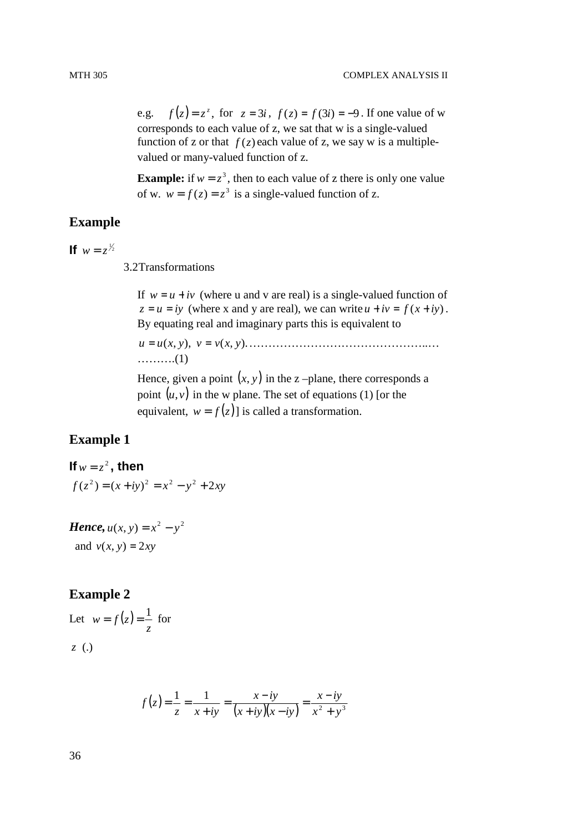e.g.  $f(z) = z^z$ , for  $z = 3i$ ,  $f(z) = f(3i) = -9$ . If one value of w corresponds to each value of z, we sat that w is a single-valued function of z or that  $f(z)$  each value of z, we say w is a multiplevalued or many-valued function of z.

**Example:** if  $w = z^3$ , then to each value of z there is only one value of w.  $w = f(z) = z^3$  is a single-valued function of z.

# **Example**

**If**  $w = z^{1/2}$ 

3.2 Transformations

If  $w = u + iv$  (where u and v are real) is a single-valued function of  $z = u = iy$  (where x and y are real), we can write  $u + iv = f(x + iy)$ . By equating real and imaginary parts this is equivalent to

$$
u = u(x, y), v = v(x, y).
$$
.................(1)

Hence, given a point  $(x, y)$  in the z –plane, there corresponds a point  $(u, v)$  in the w plane. The set of equations (1) [or the equivalent,  $w = f(z)$  is called a transformation.

# **Example 1**

**If**  $w = z^2$ , then  $f(z^2) = (x + iy)^2 = x^2 - y^2 + 2xy$ 

*Hence,*  $u(x, y) = x^2 - y^2$ and  $v(x, y) = 2xy$ 

# **Example 2**

Let  $w = f(z)$ *z*  $w = f(z) = \frac{1}{z}$  for *z* (.)

$$
f(z) = \frac{1}{z} = \frac{1}{x + iy} = \frac{x - iy}{(x + iy)(x - iy)} = \frac{x - iy}{x^2 + y^3}
$$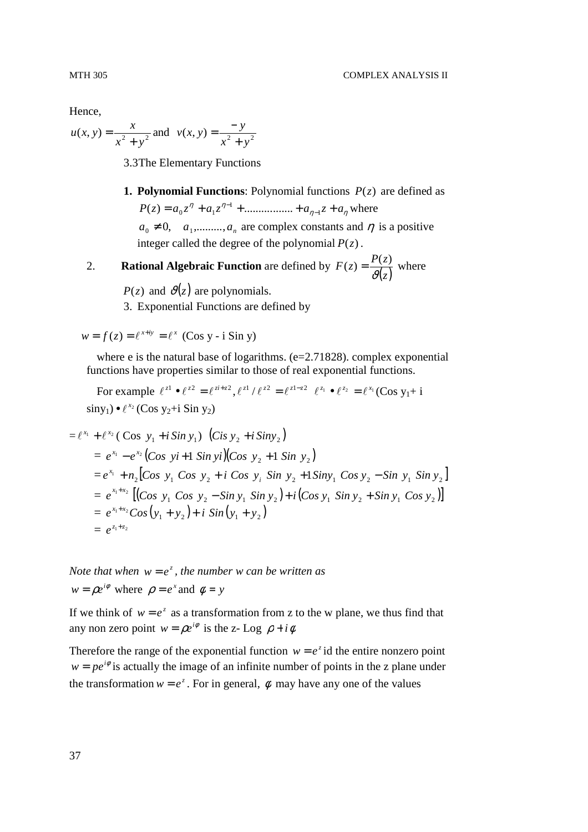Hence,

$$
u(x, y) = \frac{x}{x^2 + y^2}
$$
 and  $v(x, y) = \frac{-y}{x^2 + y^2}$ 

3.3 The Elementary Functions

**1. Polynomial Functions**: Polynomial functions  $P(z)$  are defined as  $P(z) = a_0 z^{\eta} + a_1 z^{\eta-1} + \dots + a_{\eta-1} z + a_{\eta}$ 1 1  $(z) = a_0 z^n + a_1 z^{n-1} + \dots + a_{n-1} z + a_n$  where  $a_0 \neq 0$ ,  $a_1$ ,........,  $a_n$  are complex constants and  $\eta$  is a positive integer called the degree of the polynomial  $P(z)$ .

2. **Rational Algebraic Function** are defined by  $F(z) = \frac{P(z)}{\vartheta(z)}$  $(z) = \frac{P(z)}{q(z)}$  where

 $P(z)$  and  $\vartheta(z)$  are polynomials.

3. Exponential Functions are defined by

 $w = f(z) = e^{x+iy} = e^x$  (Cos y - i Sin y)

where e is the natural base of logarithms.  $(e=2.71828)$ . complex exponential functions have properties similar to those of real exponential functions.

For example  $\ell^{z_1} \bullet \ell^{z_2} = \ell^{z_1+z_2}, \ell^{z_1}/\ell^{z_2} = \ell^{z_1-z_2} \ell^{z_1} \bullet \ell^{z_2} = \ell^{x_1} (\text{Cos } y_1 + \text{i})$  $\sin y_1$ ) •  $\ell^{x_2}$  (Cos y<sub>2</sub>+i Sin y<sub>2</sub>)

$$
= \ell^{x_1} + \ell^{x_2} (\text{Cos } y_1 + i \text{Sin } y_1) (\text{Cis } y_2 + i \text{Sin } y_2)
$$
  
\n
$$
= e^{x_1} - e^{x_2} (\text{Cos } yi + 1 \text{ Sin } yi) (\text{Cos } y_2 + 1 \text{ Sin } y_2)
$$
  
\n
$$
= e^{x_1} + n_2 [\text{Cos } y_1 \text{ Cos } y_2 + i \text{ Cos } y_i \text{ Sin } y_2 + 1 \text{Sin } y_1 \text{ Cos } y_2 - \text{Sin } y_1 \text{ Sin } y_2]
$$
  
\n
$$
= e^{x_1 + x_2} [(\text{Cos } y_1 \text{ Cos } y_2 - \text{Sin } y_1 \text{ Sin } y_2) + i (\text{Cos } y_1 \text{ Sin } y_2 + \text{Sin } y_1 \text{ Cos } y_2)]
$$
  
\n
$$
= e^{x_1 + x_2} \text{Cos } (y_1 + y_2) + i \text{Sin } (y_1 + y_2)
$$
  
\n
$$
= e^{z_1 + z_2}
$$

*Note that when*  $w = e^z$ , the number w can be written as  $w = \rho e^{i\phi}$  where  $\rho = e^x$  and  $\phi = y$ 

If we think of  $w = e^z$  as a transformation from z to the w plane, we thus find that any non zero point  $w = \rho e^{i\phi}$  is the z- Log  $\rho + i\phi$ 

Therefore the range of the exponential function  $w = e^z$  id the entire nonzero point  $w = pe^{i\phi}$  is actually the image of an infinite number of points in the z plane under the transformation  $w = e^z$ . For in general,  $\phi$  may have any one of the values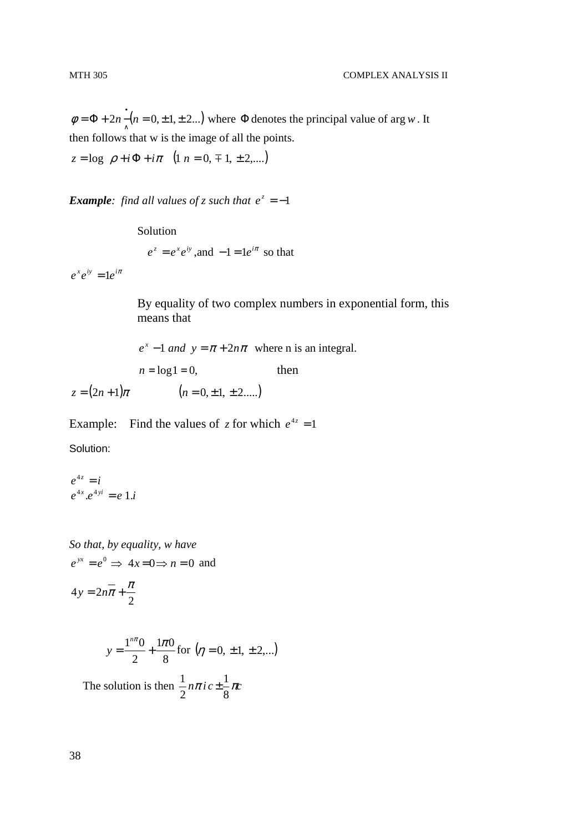$= \Phi + 2n \cdot (n = 0, \pm 1, \pm 2...)$  $\phi = \Phi + 2n - (n = 0, \pm 1, \pm 2...)$  where  $\Phi$  denotes the principal value of arg *w*. It then follows that w is the image of all the points.

 $z = \log \rho + i\Phi + i\pi \quad (1 \ n = 0, \pm 1, \pm 2, \ldots)$ 

*Example: find all values of z such that*  $e^z = -1$ 

Solution  $e^z = e^x e^{iy}$ , and  $-1 = 1e^{i\pi}$  so that

 $e^x e^{iy} = 1e^{i\pi}$ 

By equality of two complex numbers in exponential form, this means that

 $e^{x} - 1$  and  $y = \pi + 2n\pi$  where n is an integral.  $n = log 1 = 0$ , then  $z = (2n+1)\pi$  (*n* = 0, ± 1, ± 2.....)

Example: Find the values of z for which  $e^{4z} = 1$ Solution:

$$
e^{4z} = i
$$
  

$$
e^{4x} \cdot e^{4yi} = e \cdot 1 \cdot i
$$

*So that, by equality, w have*   $e^{yx} = e^0 \Rightarrow 4x = 0 \Rightarrow n = 0$  and  $4y = 2n\overline{\pi} + \frac{\pi}{2}$ 

2

$$
y = \frac{1^{n\pi} 0}{2} + \frac{1\pi 0}{8} \text{ for } (\eta = 0, \pm 1, \pm 2,...)
$$
  
The solution is then  $\frac{1}{2} n\pi i c \pm \frac{1}{8} \pi c$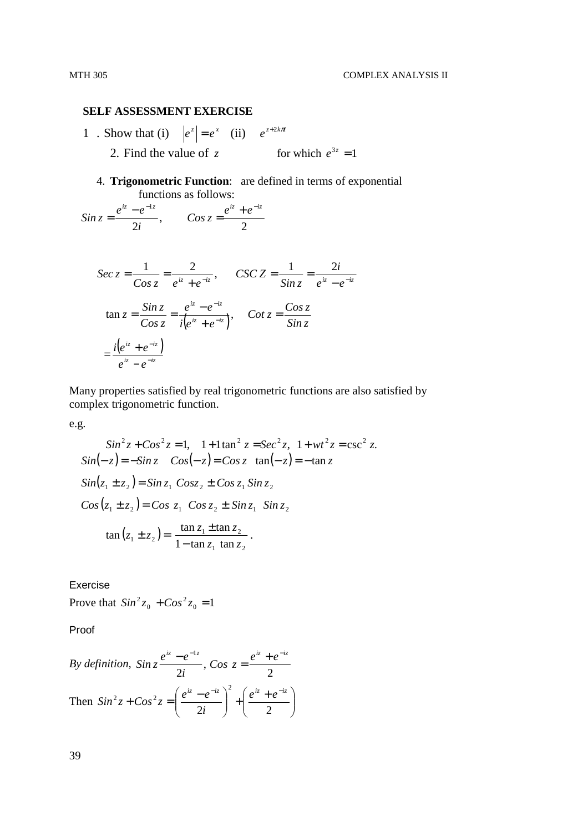#### **SELF ASSESSMENT EXERCISE**

1 . Show that (i)  $|e^z| = e^x$  (ii)  $e^{z+2k\pi i}$ 2. Find the value of z for which  $e^{3z} = 1$ 

4. **Trigonometric Function**: are defined in terms of exponential functions as follows:

2 , 2  $\frac{iz - e^{-iz}}{2i},$   $Cos z = \frac{e^{iz} + e^{-iz}}{2i}$ *i*  $\sin z = \frac{e^{iz} - e}{iz}$  $= \frac{e^{iz} - e^{-iz}}{2i},$   $Cos z = \frac{e^{iz} + e^{-iz}}{2i}$ 

$$
\begin{aligned} \n\text{Sec } z &= \frac{1}{\text{Cos } z} = \frac{2}{e^{iz} + e^{-iz}}, \qquad \text{CSC } Z &= \frac{1}{\text{Sin } z} = \frac{2i}{e^{iz} - e^{-iz}}\\ \n\tan z &= \frac{\text{Sin } z}{\text{Cos } z} = \frac{e^{iz} - e^{-iz}}{i(e^{iz} + e^{-iz})}, \qquad \text{Cot } z = \frac{\text{Cos } z}{\text{Sin } z} \\ \n&= \frac{i(e^{iz} + e^{-iz})}{e^{iz} - e^{-iz}} \n\end{aligned}
$$

Many properties satisfied by real trigonometric functions are also satisfied by complex trigonometric function.

e.g.

$$
\sin^2 z + \cos^2 z = 1, \quad 1 + 1 \tan^2 z = \sec^2 z, \quad 1 + wt^2 z = \csc^2 z.
$$
\n
$$
\sin(-z) = -\sin z \quad \cos(-z) = \cos z \quad \tan(-z) = -\tan z
$$
\n
$$
\sin(z_1 \pm z_2) = \sin z_1 \cos z_2 \pm \cos z_1 \sin z_2
$$
\n
$$
\cos(z_1 \pm z_2) = \cos z_1 \cos z_2 \pm \sin z_1 \sin z_2
$$
\n
$$
\tan(z_1 \pm z_2) = \frac{\tan z_1 \pm \tan z_2}{1 - \tan z_1 \tan z_2}.
$$

Exercise

Prove that  $Sin^2 z_0 + Cos^2 z_0 = 1$ 0  $Sin^{2}z_{0} + Cos^{2}z_{0} =$ 

Proof

By definition, 
$$
\sin z \frac{e^{iz} - e^{-iz}}{2i}
$$
,  $\cos z = \frac{e^{iz} + e^{-iz}}{2}$   
Then  $\sin^2 z + \cos^2 z = \left(\frac{e^{iz} - e^{-iz}}{2i}\right)^2 + \left(\frac{e^{iz} + e^{-iz}}{2}\right)^2$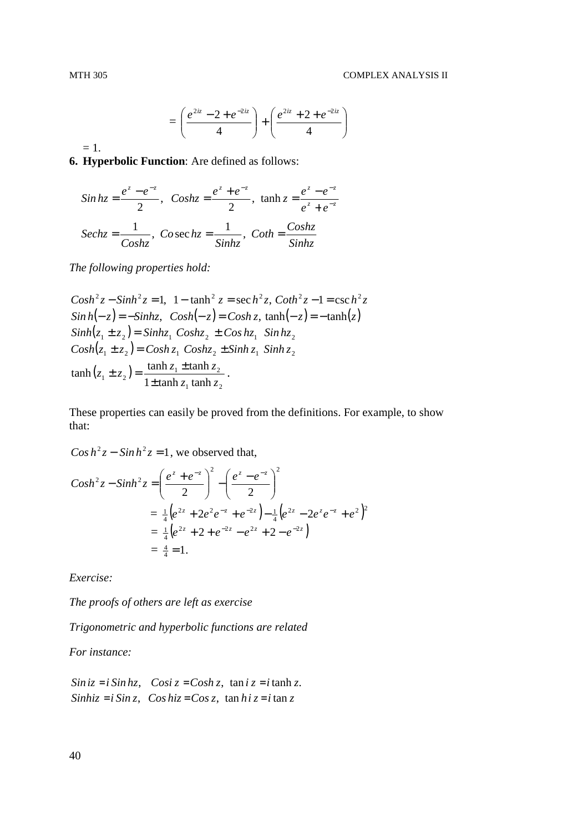$$
= \left(\frac{e^{2iz} - 2 + e^{-2iz}}{4}\right) + \left(\frac{e^{2iz} + 2 + e^{-2iz}}{4}\right)
$$

 $= 1.$ 

**6. Hyperbolic Function**: Are defined as follows:

$$
\sin hz = \frac{e^z - e^{-z}}{2}, \quad \text{Cos}hz = \frac{e^z + e^{-z}}{2}, \quad \tanh z = \frac{e^z - e^{-z}}{e^z + e^{-z}}
$$
\n
$$
\text{Sech}z = \frac{1}{\text{Cos}hz}, \quad \text{Cos}eckz = \frac{1}{\text{Sin}hz}, \quad \text{Coth} = \frac{\text{Cos}hz}{\text{Sin}hz}
$$

*The following properties hold:* 

 $Cosh^2 z - Sinh^2 z = 1$ ,  $1 - \tanh^2 z = \sec h^2 z$ ,  $Coth^2 z - 1 = \csc h^2 z$  $Sin h(-z) = -Sin hz$ ,  $Cosh(-z) = Cosh z$ ,  $tanh(-z) = -tanh(z)$  $Sinh(z_1 \pm z_2) = Sinhz_1 \text{ } Coshz_2 \pm Coshz_1 \text{ } Sinhz_2$  $Cosh(z_1 \pm z_2) = Cosh z_1 \text{ } Cosh z_2 \pm Sinh z_1 \text{ } Sinh z_2$  $(z_1 \pm z_2)$  $_1$  alleg  $\mathcal{L}_2$  $\frac{1}{1} \pm z_2$  =  $\frac{\tanh z_1 \pm \tanh z_2}{1 \pm \tanh z_1 \tanh z_2}$  $\tanh(z_1 \pm z_2) = \frac{\tanh z_1 \pm \tanh z_2}{\sqrt{z_1^2 + \frac{1}{z_2^2}} \pm \tanh z_1}$  $z_1$  tanh  $z$  $z_1 \pm z_2$ ) =  $\frac{\tanh z_1 \pm \tanh z_2}{\tanh z_1}$ ±  $\pm z_2$ ) =  $\frac{\tanh z_1 \pm \tanh z_2}{\tanh z_1 \pm \tanh z_2}$ .

These properties can easily be proved from the definitions. For example, to show that:

 $\cos h^2 z - \sin h^2 z = 1$ , we observed that,

$$
Cosh2 z - Sinh2 z = \left(\frac{ez + e-z}{2}\right)2 - \left(\frac{ez - e-z}{2}\right)2
$$
  
=  $\frac{1}{4} (e2z + 2e2 e-z + e-2z) - \frac{1}{4} (e2z - 2ez e-z + e2)2$   
=  $\frac{1}{4} (e2z + 2 + e-2z - e2z + 2 - e-2z)$   
=  $\frac{4}{4} = 1.$ 

*Exercise:* 

*The proofs of others are left as exercise* 

*Trigonometric and hyperbolic functions are related* 

*For instance:* 

*Siniz* = *i Sinhz*, *Cosi z* = *Cosh z*, tan *i z* = *i* tanh *z*. *Sinhiz* = *i Sin z*, *Cos hiz* = *Cos z*, tan *hi z* = *i* tan *z*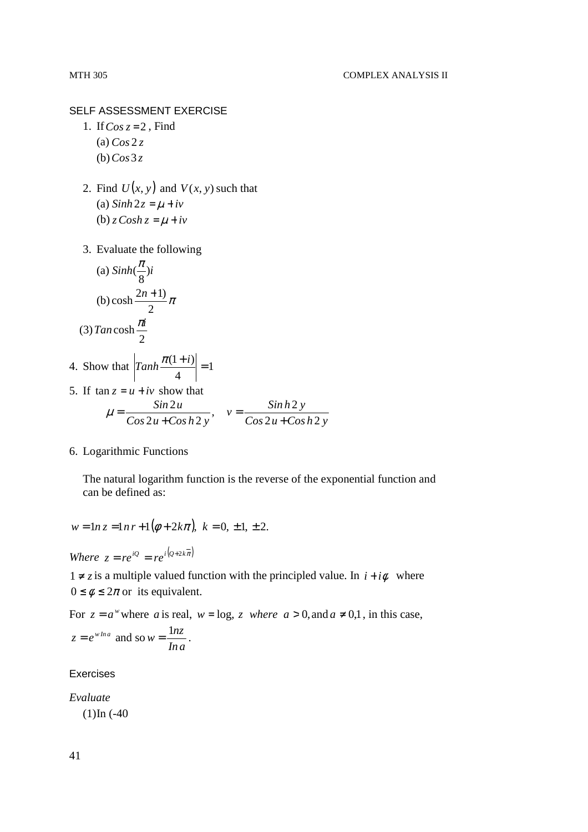SELF ASSESSMENT EXERCISE

- 1. If*Cos z* = 2 , Find (a) *Cos* 2 *z* (b) *Cos* 3 *z*
- 2. Find  $U(x, y)$  and  $V(x, y)$  such that (a)  $Sinh 2z = \mu + iv$ (b)  $z \textit{Cosh} z = \mu + i\nu$
- 3. Evaluate the following

(a) 
$$
\sinh(\frac{\pi}{8})i
$$
  
\n(b)  $\cosh \frac{2n+1}{2}\pi$   
\n(3)  $\tan \cosh \frac{\pi i}{2}$ 

- 4. Show that  $|Tanh \frac{\pi (1+i)}{1}| = 1$ 4  $\left| \frac{\pi(1+i)}{i} \right| =$
- 5. If  $\tan z = u + iv$  show that  $Cos 2u + Cos h 2y$  $v = \frac{\sinh 2y}{\cosh 2y}$  $Cos 2u + Cos h 2y$ *Sin u*  $2u + Cos h2$  $v = \frac{\sinh 2}{\cosh 2}$  $2u + Cos h2$ 2 + = +  $\mu =$

#### 6. Logarithmic Functions

The natural logarithm function is the reverse of the exponential function and can be defined as:

$$
w = \ln z = \ln r + 1(\phi + 2k\pi), \ k = 0, \pm 1, \pm 2.
$$

*Where*  $z = re^{iQ} = re^{i(Q+2k\pi)}$ 

1 ≠ *z* is a multiple valued function with the principled value. In  $i + i\phi$  where  $0 \le \phi \le 2\pi$  or its equivalent.

For  $z = a^w$  where *a* is real,  $w = \log z$  *where*  $a > 0$ , and  $a \neq 0,1$ , in this case,  $z = e^{wha}$  and so *In a*  $w = \frac{\ln z}{1}$ .

Exercises

*Evaluate*   $(1)$ In  $(-40)$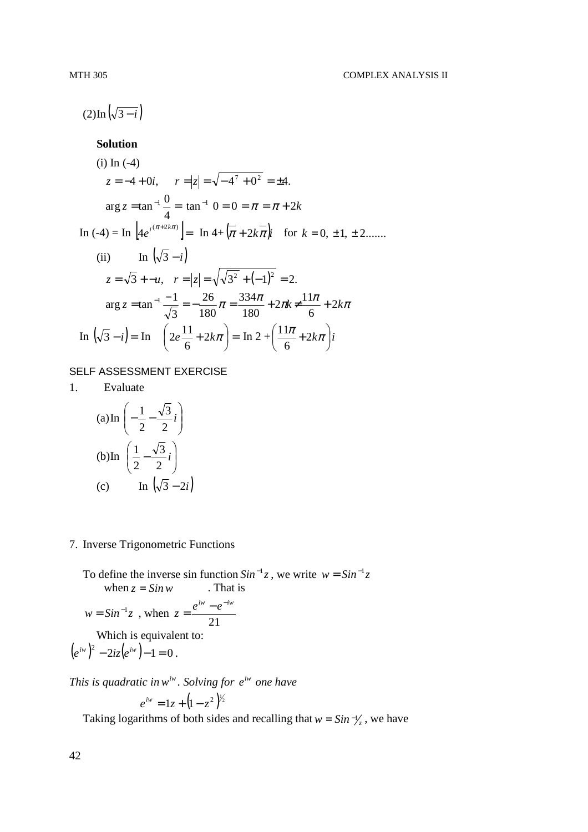$(2)$  In  $(\sqrt{3-i})$ 

# **Solution**

(i) In (-4)  
\n
$$
z = -4 + 0i
$$
,  $r = |z| = \sqrt{-4^7 + 0^2} = \pm 4$ .  
\n $\arg z = \tan^{-1} \frac{0}{4} = \tan^{-1} 0 = 0 = \pi = \pi + 2k$   
\nIn (-4) = In  $[4e^{i(\pi + 2k\pi)}] =$  In  $4 + (\pi + 2k\pi)i$  for  $k = 0, \pm 1, \pm 2$ ......  
\n(ii) In  $(\sqrt{3} - i)$   
\n $z = \sqrt{3} + -u$ ,  $r = |z| = \sqrt{\sqrt{3^2 + (-1)^2}} = 2$ .  
\n $\arg z = \tan^{-1} \frac{-1}{\sqrt{3}} = -\frac{26}{180} \pi = \frac{334\pi}{180} + 2\pi k \neq \frac{11\pi}{6} + 2k\pi$   
\nIn  $(\sqrt{3} - i) =$  In  $(2e^{\frac{11}{6}} + 2k\pi) =$  In  $2 + (\frac{11\pi}{6} + 2k\pi)i$ 

# SELF ASSESSMENT EXERCISE

1. Evaluate

(a) In 
$$
\left(-\frac{1}{2} - \frac{\sqrt{3}}{2}i\right)
$$
  
\n(b) In  $\left(\frac{1}{2} - \frac{\sqrt{3}}{2}i\right)$   
\n(c) In  $\left(\sqrt{3} - 2i\right)$ 

# 7. Inverse Trigonometric Functions

To define the inverse sin function  $Sin^{-1}z$ , we write  $w = Sin^{-1}z$ when  $z = \sin w$  . That is

$$
w = Sin^{-1}z
$$
, when  $z = \frac{e^{iw} - e^{-iw}}{21}$ 

Which is equivalent to:

$$
(e^{iw})^2 - 2iz(e^{iw}) - 1 = 0.
$$

*This is quadratic in*  $w^{iw}$ *. Solving for*  $e^{iw}$  *one have* 

$$
e^{iw} = 1z + (1 - z^2)^{1/2}
$$

Taking logarithms of both sides and recalling that  $w = \sin^{-1}/\sqrt{2}$ , we have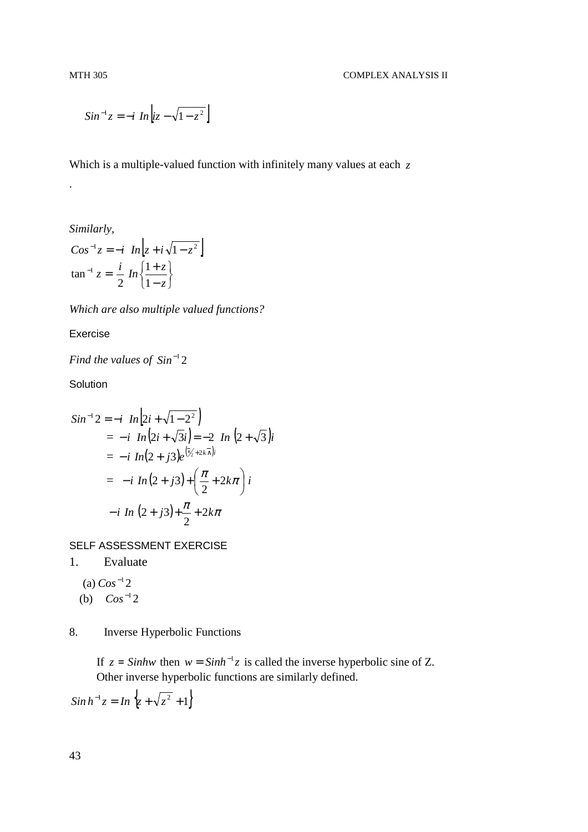$$
Sin^{-1}z = -i \ In \left| iz - \sqrt{1 - z^2} \right|
$$

Which is a multiple-valued function with infinitely many values at each *z*

## *Similarly,*

.

$$
Cos^{-1}z = -i \space In \left| z + i\sqrt{1 - z^2} \right|
$$

$$
\tan^{-1} z = \frac{i}{2} \space In \left\{ \frac{1 + z}{1 - z} \right\}
$$

*Which are also multiple valued functions?* 

## Exercise

Find the values of  $Sin^{-1}2$ 

**Solution** 

$$
Sin^{-1}2 = -i \space In \left[2i + \sqrt{1 - 2^2}\right]
$$
  
=  $-i \space In \left(2i + \sqrt{3}i\right) = -2 \space In \left(2 + \sqrt{3}\right)i$   
=  $-i \space In \left(2 + j3\right)e^{\left[\frac{\sqrt{3}}{2} + 2k\overline{\lambda}\right)i}$   
=  $-i \space In \left(2 + j3\right) + \left(\frac{\pi}{2} + 2k\pi\right)i$   
 $-i \space In \left(2 + j3\right) + \frac{\pi}{2} + 2k\pi$ 

SELF ASSESSMENT EXERCISE

1. Evaluate

 $(a) Cos^{-1} 2$ (b)  $Cos^{-1}2$ 

# 8. Inverse Hyperbolic Functions

If  $z = \sinh w$  then  $w = \sinh^{-1} z$  is called the inverse hyperbolic sine of Z. Other inverse hyperbolic functions are similarly defined.

 $\int \sin h^{-1}z = \ln \{z + \sqrt{z^2 + 1}\}$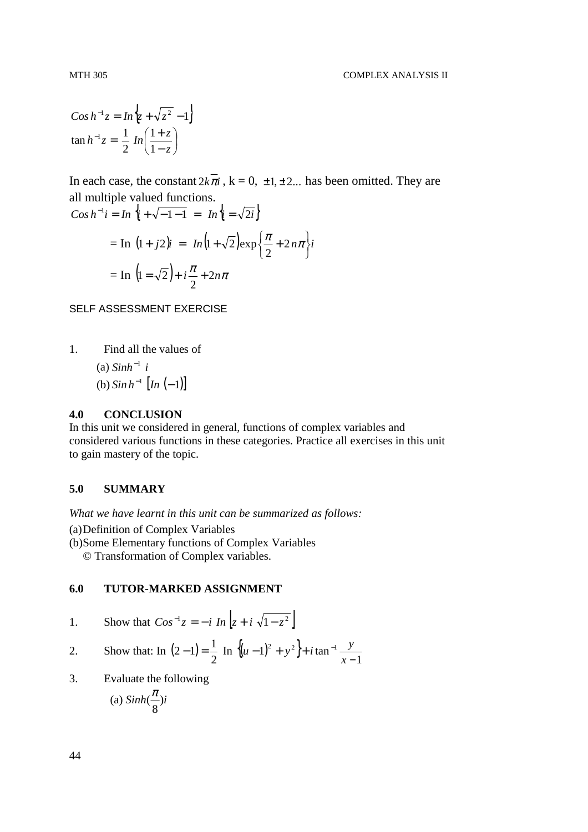$$
Cos h^{-1}z = In \left\{ z + \sqrt{z^2 - 1} \right\}
$$

$$
\tan h^{-1}z = \frac{1}{2} In \left( \frac{1+z}{1-z} \right)
$$

In each case, the constant  $2k\overline{\pi}i$ ,  $k = 0, \pm 1, \pm 2, \ldots$  has been omitted. They are all multiple valued functions.

$$
Cos h^{-1} i = In \{i + \sqrt{-1} - 1 = In \{i = \sqrt{2}i\}
$$
  
= In  $(1 + j2)i = In (1 + \sqrt{2})exp\{\frac{\pi}{2} + 2n\pi\}i$   
= In  $(1 = \sqrt{2}) + i\frac{\pi}{2} + 2n\pi$ 

SELF ASSESSMENT EXERCISE

1. Find all the values of

 $\int$ (a) *Sinh*<sup>-1</sup> *i* (b)  $\sin h^{-1} \left[ \ln \left( -1 \right) \right]$ 

#### **4.0 CONCLUSION**

In this unit we considered in general, functions of complex variables and considered various functions in these categories. Practice all exercises in this unit to gain mastery of the topic.

## **5.0 SUMMARY**

*What we have learnt in this unit can be summarized as follows:* 

(a) Definition of Complex Variables

(b) Some Elementary functions of Complex Variables

© Transformation of Complex variables.

# **6.0 TUTOR-MARKED ASSIGNMENT**

1. Show that 
$$
Cos^{-1}z = -i \ln \left| z + i \sqrt{1 - z^2} \right|
$$

2. Show that: In 
$$
(2-1) = \frac{1}{2}
$$
 In  $\{(u-1)^2 + y^2\} + i \tan^{-1} \frac{y}{x-1}$ 

 $\mathbb{R}^2$ 

3. Evaluate the following

(a) 
$$
Sinh(\frac{\pi}{8})i
$$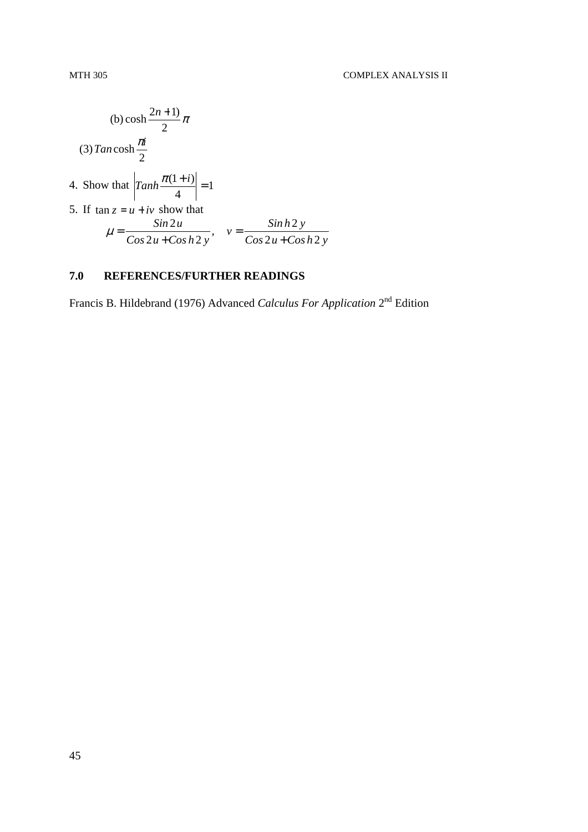(b) cosh 
$$
\frac{2n+1}{2}\pi
$$
  
\n(3)  $Tan \cosh \frac{\pi i}{2}$   
\n4. Show that  $\left| \t{Tanh \frac{\pi (1+i)}{4}} \right| = 1$   
\n5. If  $\tan z = u + iv$  show that  
\n
$$
\mu = \frac{\sin 2u}{\cos 2u + \cos h 2y}, \quad v = \frac{\sinh 2y}{\cos 2u + \cosh 2y}
$$

# **7.0 REFERENCES/FURTHER READINGS**

Francis B. Hildebrand (1976) Advanced *Calculus For Application* 2nd Edition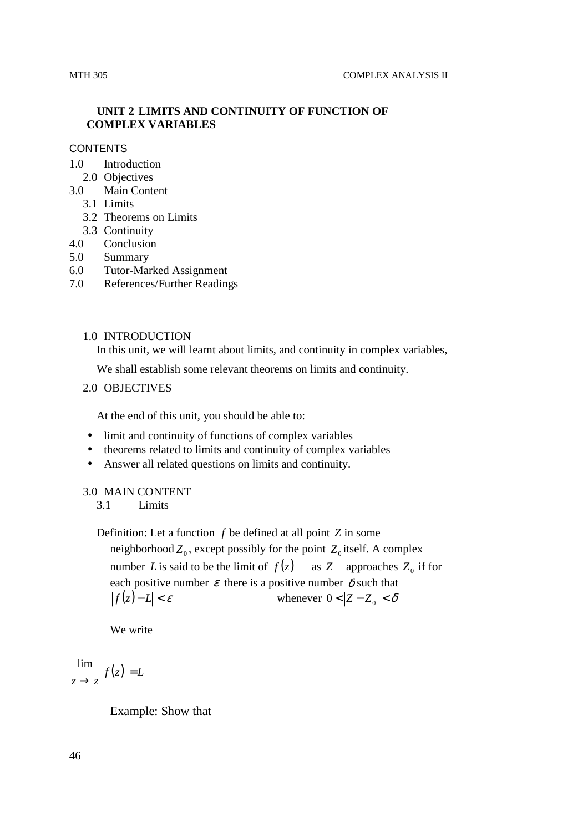# **UNIT 2 LIMITS AND CONTINUITY OF FUNCTION OF COMPLEX VARIABLES**

#### **CONTENTS**

- 1.0 Introduction
	- 2.0 Objectives
- 3.0 Main Content
	- 3.1 Limits
	- 3.2 Theorems on Limits
	- 3.3 Continuity
- 4.0 Conclusion
- 5.0 Summary
- 6.0 Tutor-Marked Assignment
- 7.0 References/Further Readings

#### 1.0 INTRODUCTION

In this unit, we will learnt about limits, and continuity in complex variables,

We shall establish some relevant theorems on limits and continuity.

# 2.0 OBJECTIVES

At the end of this unit, you should be able to:

- limit and continuity of functions of complex variables
- theorems related to limits and continuity of complex variables
- Answer all related questions on limits and continuity.

#### 3.0 MAIN CONTENT

3.1 Limits

Definition: Let a function *f* be defined at all point *Z* in some neighborhood  $Z_0$ , except possibly for the point  $Z_0$  itself. A complex number *L* is said to be the limit of  $f(z)$  as *Z* approaches  $Z_0$  if for each positive number  $\varepsilon$  there is a positive number  $\delta$  such that

$$
|f(z) - L| < \varepsilon
$$
\nwhenever  $0 < |Z - Z_0| < \delta$ 

We write

 $f(z) = L$  $z \rightarrow z$ =  $\rightarrow$ lim

Example: Show that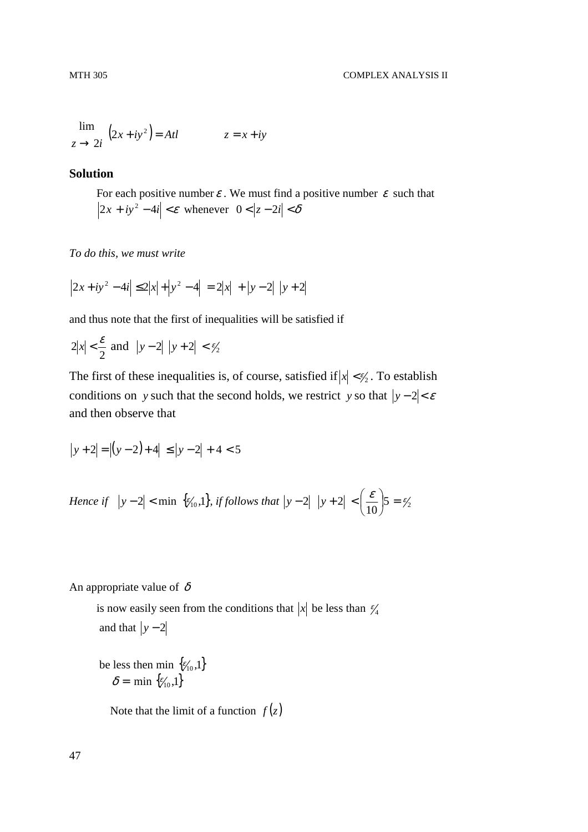$$
\lim_{z \to 2i} (2x + iy^2) = Atl \qquad z = x + iy
$$

## **Solution**

For each positive number  $\varepsilon$ . We must find a positive number  $\varepsilon$  such that  $2x + iy^2 - 4i \le \epsilon$  whenever  $0 \le |z - 2i| \le \delta$ 

*To do this, we must write* 

$$
|2x + iy^{2} - 4i| \le 2|x| + |y^{2} - 4| = 2|x| + |y - 2| |y + 2|
$$

and thus note that the first of inequalities will be satisfied if

$$
2|x| < \frac{\varepsilon}{2} \text{ and } |y - 2| |y + 2| < \frac{\varepsilon}{2}
$$

The first of these inequalities is, of course, satisfied if  $|x| < \frac{\epsilon}{2}$ . To establish conditions on *y* such that the second holds, we restrict *y* so that  $|y-2| < \varepsilon$ and then observe that

$$
|y+2| = |(y-2)+4| \le |y-2| + 4 < 5
$$

*Hence if*  $|y-2| < \min \{ \xi'_{10}, 1 \}$ , *if follows that*  $|y-2| |y+2| < \left( \frac{c}{10} \right) 5 = \frac{\epsilon}{2}$ 2  $|y+2| < \left|\frac{\mathcal{E}}{10}\right| 5 = \frac{\mathcal{E}}{2}$ J  $\left(\frac{\mathcal{E}}{1.2}\right)$ l  $y - 2| |y + 2| < |$ 

An appropriate value of  $\delta$ 

is now easily seen from the conditions that  $|x|$  be less than  $\frac{\varepsilon}{4}$ and that  $|y-2|$ 

be less then min  $\{\epsilon'_{10},1\}$  $\delta = \min \{ \epsilon_{10}^{\prime}, 1 \}$ 

Note that the limit of a function  $f(z)$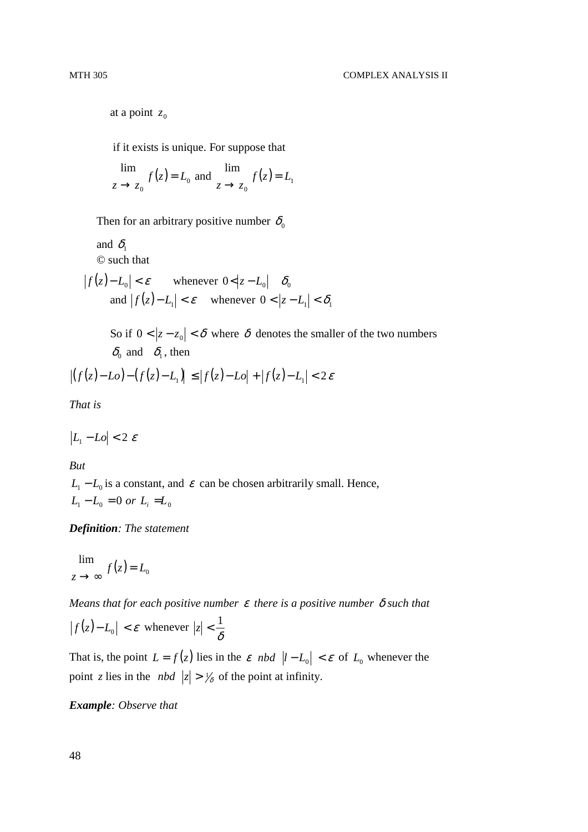at a point  $z_0$ 

if it exists is unique. For suppose that

$$
\lim_{z \to z_0} f(z) = L_0 \text{ and } \lim_{z \to z_0} f(z) = L_1
$$

Then for an arbitrary positive number  $\delta_0$ 

and  $\delta_1$ © such that

$$
|f(z) - L_0| < \varepsilon \qquad \text{whenever } 0 < |z - L_0| \quad \delta_0
$$
\n
$$
\text{and } |f(z) - L_1| < \varepsilon \qquad \text{whenever } 0 < |z - L_1| < \delta_1
$$

So if  $0 < |z - z_0| < \delta$  where  $\delta$  denotes the smaller of the two numbers  $\delta_0$  and  $\delta_1$ , then

$$
\left| \left( f(z) - L_o \right) - \left( f(z) - L_1 \right) \right| \leq \left| f(z) - L_o \right| + \left| f(z) - L_1 \right| < 2\varepsilon
$$

*That is* 

$$
|L_1 - Lo| < 2\ \varepsilon
$$

*But* 

 $L_1 - L_0$  is a constant, and  $\varepsilon$  can be chosen arbitrarily small. Hence,  $L_1 - L_0 = 0$  or  $L_i = L_0$ 

*Definition: The statement* 

$$
\lim_{z \to \infty} f(z) = L_0
$$

*Means that for each positive number* ε *there is a positive number* δ *such that* 

 $|f(z)-L_0| < \varepsilon$  whenever  $|z| < \frac{1}{\delta}$  $|z| < \frac{1}{\sigma}$ 

That is, the point  $L = f(z)$  lies in the  $\varepsilon$  nbd  $|l - L_0| < \varepsilon$  of  $L_0$  whenever the point *z* lies in the *nbd*  $|z| > \frac{1}{\delta}$  of the point at infinity.

*Example: Observe that*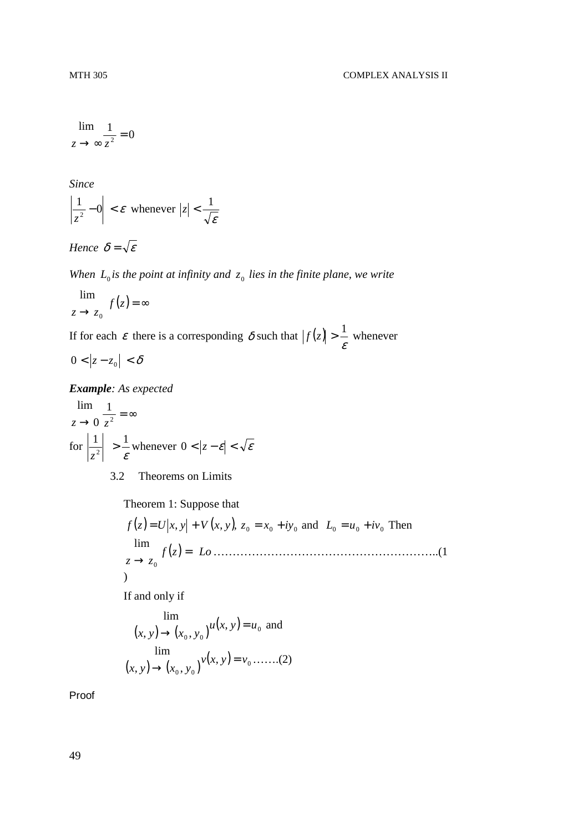$$
\lim_{z \to \infty} \frac{1}{z^2} = 0
$$

*Since* 

$$
\left|\frac{1}{z^2} - 0\right| < \varepsilon \text{ whenever } |z| < \frac{1}{\sqrt{\varepsilon}}
$$

*Hence*  $\delta = \sqrt{\varepsilon}$ 

When  $L_0$  *is the point at infinity and*  $z_0$  *lies in the finite plane, we write* 

$$
\lim_{z \to z_0} f(z) = \infty
$$

If for each  $\varepsilon$  there is a corresponding  $\delta$  such that  $|f(z)| > \frac{1}{\varepsilon}$  $f(z) > \frac{1}{z}$  whenever

 $0 < |z - z_0| < \delta$ 

*Example: As expected* 

$$
\lim_{z \to 0} \frac{1}{z^2} = \infty
$$
\n
$$
\text{for } \left| \frac{1}{z^2} \right| > \frac{1}{\varepsilon} \text{ whenever } 0 < |z - \varepsilon| < \sqrt{\varepsilon}
$$

3.2 Theorems on Limits

Theorem 1: Suppose that

( ) ( ) <sup>0</sup> <sup>0</sup> <sup>0</sup> *zf* = *U* , *yx* + *V* , *yx* , *z* = *x* + *iy* and <sup>0</sup> <sup>0</sup> <sup>0</sup> *L* = *u* + *iv* Then ( )*zf Lo z z* = → <sup>0</sup> lim …………………………………………………..(1 )

If and only if

$$
\lim_{(x, y) \to (x_0, y_0)} u(x, y) = u_0 \text{ and}
$$
  
\n
$$
\lim_{(x, y) \to (x_0, y_0)} v(x, y) = v_0 \dots (2)
$$

Proof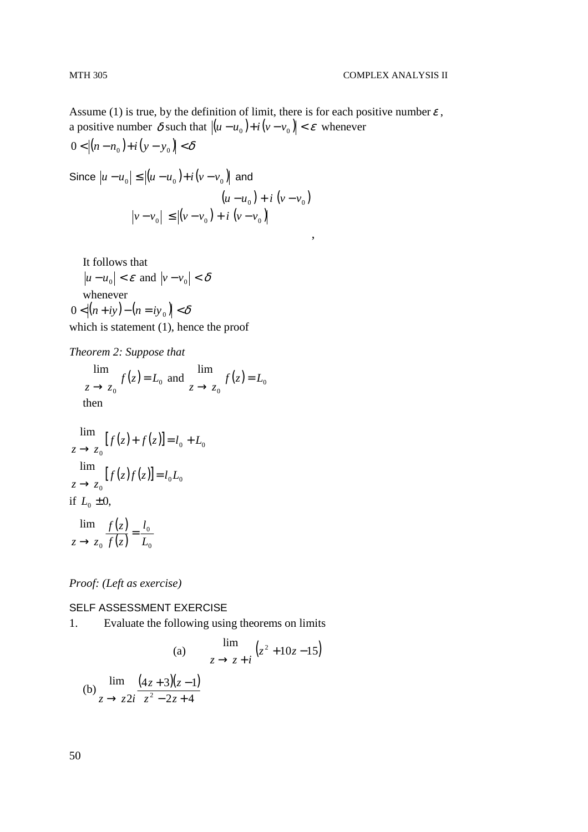Assume (1) is true, by the definition of limit, there is for each positive number  $\varepsilon$ , a positive number  $\delta$  such that  $|(u - u_0) + i(v - v_0)| < \varepsilon$  whenever 0 <  $|(n - n_0) + i(y - y_0)| < \delta$ 

Since 
$$
|u - u_0| \le |(u - u_0) + i(v - v_0)|
$$
 and  
\n $(u - u_0) + i(v - v_0)$   
\n $|v - v_0| \le |(v - v_0) + i(v - v_0)|$ 

,

It follows that

 $|u - u_0| < \varepsilon$  and  $|v - v_0| < \delta$ whenever  $\begin{bmatrix} 1 & 0 \\ 0 & 1 \end{bmatrix}$ 

$$
0 < |(n+iy)-(n=iy_0)| < \delta
$$

which is statement (1), hence the proof

*Theorem 2: Suppose that* 

 $(z) = L_0$  $\mathbf{0}$ lim  $f(z) = L$  $z \rightarrow z$ =  $\lim_{z \to z_0} f(z) = L_0$  and  $\lim_{z \to z_0} f(z) = L_0$  $\mathbf{0}$ lim  $f(z) = L$  $z \rightarrow z$ =  $\rightarrow$ then

$$
\lim_{z \to z_0} [f(z) + f(z)] = l_0 + L_0
$$
\n
$$
\lim_{z \to z_0} [f(z)f(z)] = l_0 L_0
$$
\n
$$
\text{if } L_0 \pm 0,
$$

 $(z)$  $\frac{(z)}{(z)} = \frac{t_0}{L_0}$  $\mathbf{0}$ lim *L l zf zf*  $z \rightarrow z$ =  $\rightarrow$ 

*Proof: (Left as exercise)* 

#### SELF ASSESSMENT EXERCISE

1. Evaluate the following using theorems on limits

(a) 
$$
\lim_{z \to z + i} (z^2 + 10z - 15)
$$
  
(b) 
$$
\lim_{z \to z + i} \frac{(4z + 3)(z - 1)}{z^2 - 2z + 4}
$$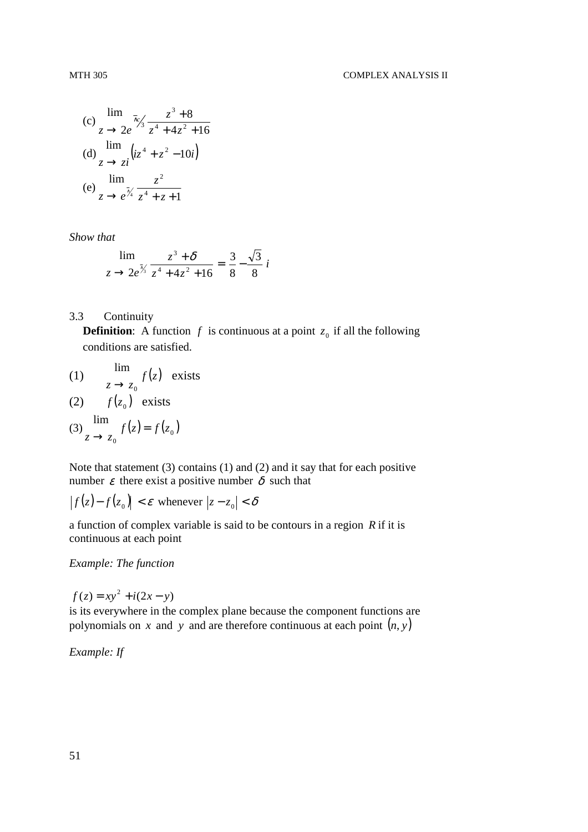(c) 
$$
\lim_{z \to 2e} \frac{z^3 + 8}{z^4 + 4z^2 + 16}
$$
  
(d) 
$$
\lim_{z \to z^2} (iz^4 + z^2 - 10i)
$$
  
(e) 
$$
\lim_{z \to e^{\frac{z^2}{4}}} \frac{z^2}{z^4 + z + 1}
$$

*Show that* 

$$
\lim_{z \to 2e^{\frac{z^3}{3}} \cdot z^4 + 4z^2 + 16} = \frac{3}{8} - \frac{\sqrt{3}}{8}i
$$

# 3.3 Continuity

**Definition:** A function  $f$  is continuous at a point  $z_0$  if all the following conditions are satisfied.

(1) 
$$
\lim_{z \to z_0} f(z) \text{ exists}
$$

$$
(2) \t f(z_0) \t exists
$$

$$
(3)\lim_{z\to z_0}f(z)=f(z_0)
$$

Note that statement (3) contains (1) and (2) and it say that for each positive number  $\varepsilon$  there exist a positive number  $\delta$  such that

$$
|f(z) - f(z_0)| < \varepsilon \text{ whenever } |z - z_0| < \delta
$$

a function of complex variable is said to be contours in a region *R* if it is continuous at each point

*Example: The function* 

$$
f(z) = xy^2 + i(2x - y)
$$

is its everywhere in the complex plane because the component functions are polynomials on *x* and *y* and are therefore continuous at each point  $(n, y)$ 

*Example: If*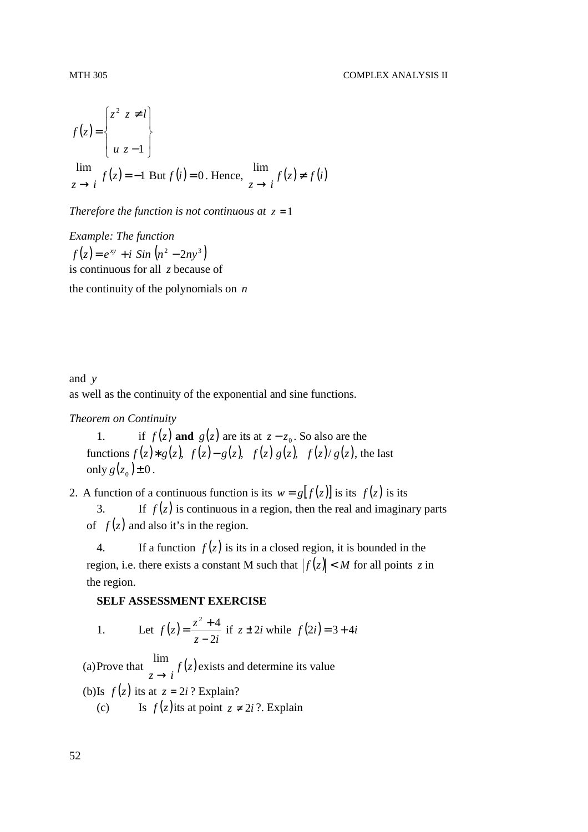$$
f(z) = \begin{cases} z^2 & z \neq l \\ u & z - 1 \end{cases}
$$
  

$$
\lim_{z \to i} f(z) = -1
$$
 But  $f(i) = 0$ . Hence,  $\lim_{z \to i} f(z) \neq f(i)$ 

*Therefore the function is not continuous at*  $z = 1$ 

*Example: The function*   $f(z) = e^{xy} + i \sin(n^2 - 2ny^3)$ is continuous for all *z* because of the continuity of the polynomials on *n*

and *y* as well as the continuity of the exponential and sine functions.

#### *Theorem on Continuity*

1. if  $f(z)$  and  $g(z)$  are its at  $z - z_0$ . So also are the functions  $f(z) * g(z)$ ,  $f(z) - g(z)$ ,  $f(z) g(z)$ ,  $f(z)/g(z)$ , the last only  $g(z_0) \pm 0$ .

2. A function of a continuous function is its  $w = g[f(z)]$  is its  $f(z)$  is its

3. If  $f(z)$  is continuous in a region, then the real and imaginary parts of  $f(z)$  and also it's in the region.

4. If a function  $f(z)$  is its in a closed region, it is bounded in the region, i.e. there exists a constant M such that  $|f(z)| < M$  for all points z in the region.

# **SELF ASSESSMENT EXERCISE**

1. Let 
$$
f(z) = \frac{z^2 + 4}{z - 2i}
$$
 if  $z \pm 2i$  while  $f(2i) = 3 + 4i$ 

(a) Prove that  $\int f(z)$  $z \rightarrow i$ lim exists and determine its value

- (b) Is  $f(z)$  its at  $z = 2i$  ? Explain?
	- (c) Is  $f(z)$  its at point  $z \neq 2i$  ?. Explain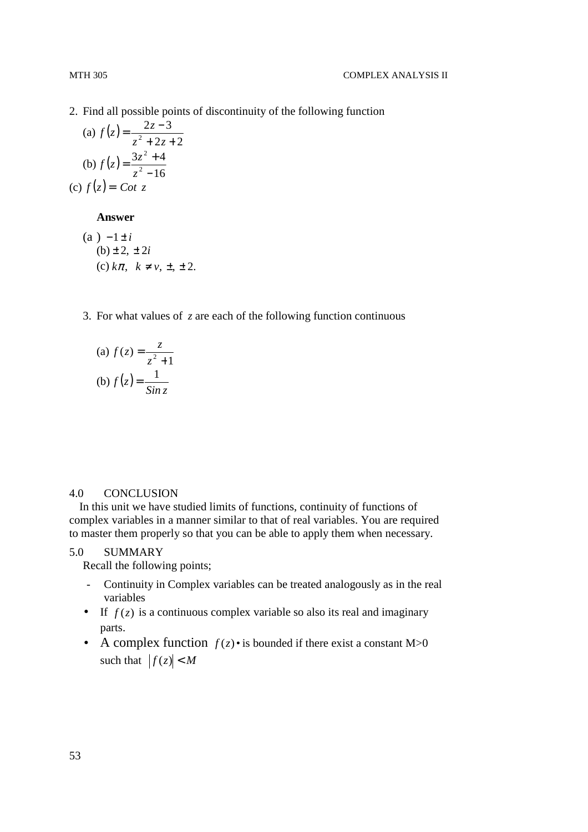- 
- 2. Find all possible points of discontinuity of the following function

(a) 
$$
f(z) = \frac{2z-3}{z^2 + 2z + 2}
$$
  
\n(b)  $f(z) = \frac{3z^2 + 4}{z^2 - 16}$   
\n(c)  $f(z) = \text{Cot } z$ 

#### **Answer**

(a) 
$$
-1 \pm i
$$
  
\n(b)  $\pm 2, \pm 2i$   
\n(c)  $k\pi, k \neq v, \pm, \pm 2$ .

3. For what values of *z* are each of the following function continuous

(a) 
$$
f(z) = \frac{z}{z^2 + 1}
$$
  
(b)  $f(z) = \frac{1}{\sin z}$ 

#### 4.0 CONCLUSION

In this unit we have studied limits of functions, continuity of functions of complex variables in a manner similar to that of real variables. You are required to master them properly so that you can be able to apply them when necessary.

#### 5.0 SUMMARY

Recall the following points;

- Continuity in Complex variables can be treated analogously as in the real variables
- If  $f(z)$  is a continuous complex variable so also its real and imaginary parts.
- A complex function  $f(z)$  is bounded if there exist a constant M>0 such that  $|f(z)| < M$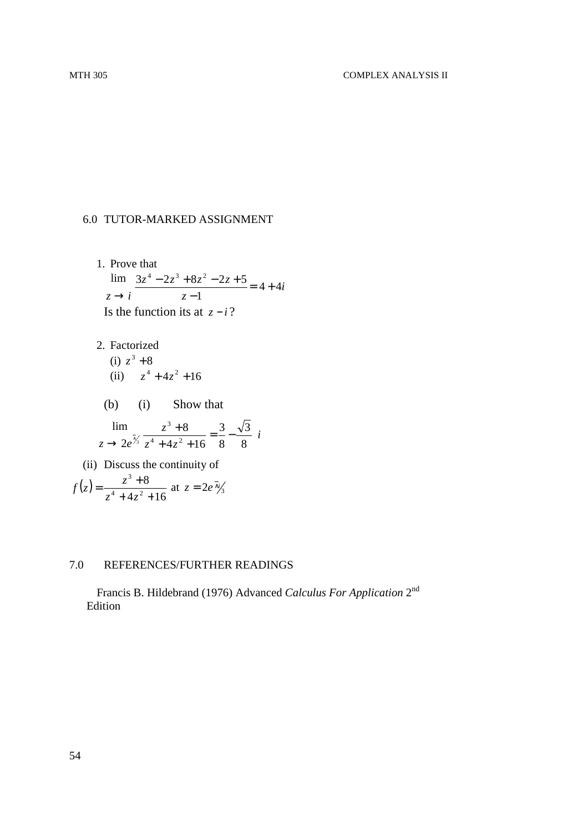# 6.0 TUTOR-MARKED ASSIGNMENT

1. Prove that  
\n
$$
\lim_{z \to i} \frac{3z^4 - 2z^3 + 8z^2 - 2z + 5}{z - 1} = 4 + 4i
$$
\nIs the function its at  $z - i$ ?

- 2. Factorized  $(i)$   $z^3 + 8$ (ii)  $z^4 + 4z^2 + 16$ 
	- (b) (i) Show that

$$
\lim_{z \to 2e^{\frac{7}{\sqrt{3}}}} \frac{z^3 + 8}{z^4 + 4z^2 + 16} = \frac{3}{8} - \frac{\sqrt{3}}{8} i
$$

(ii) Discuss the continuity of  $(z)$  $4z^2 + 16$ 8  $4 \cdot 4 = 2$ 3  $+4z^{2}$  +  $=\frac{z^3+1}{1+z^2}$  $z^4 + 4z$  $f(z) = \frac{z^3 + 8}{(z^3 + 4z^2 + 16z^2)}$  at  $z = 2e^{-\frac{z^3}{2}}$ 

## 7.0 REFERENCES/FURTHER READINGS

Francis B. Hildebrand (1976) Advanced *Calculus For Application* 2nd Edition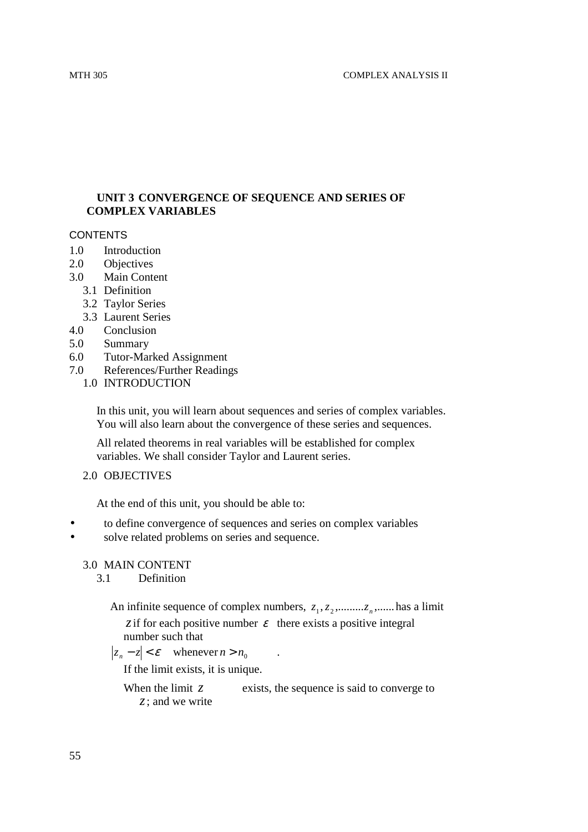# **UNIT 3 CONVERGENCE OF SEQUENCE AND SERIES OF COMPLEX VARIABLES**

# **CONTENTS**

- 1.0 Introduction
- 2.0 Objectives
- 3.0 Main Content
	- 3.1 Definition
	- 3.2 Taylor Series
	- 3.3 Laurent Series
- 4.0 Conclusion
- 5.0 Summary
- 6.0 Tutor-Marked Assignment
- 7.0 References/Further Readings
	- 1.0 INTRODUCTION

In this unit, you will learn about sequences and series of complex variables. You will also learn about the convergence of these series and sequences.

All related theorems in real variables will be established for complex variables. We shall consider Taylor and Laurent series.

2.0 OBJECTIVES

At the end of this unit, you should be able to:

- to define convergence of sequences and series on complex variables
- solve related problems on series and sequence.

# 3.0 MAIN CONTENT

3.1 Definition

- An infinite sequence of complex numbers,  $z_1, z_2, \ldots, z_n, \ldots$  has a limit *z* if for each positive number  $\varepsilon$  there exists a positive integral
	- number such that

 $|z_n - z| < \varepsilon$  whenever  $n > n_0$  .

If the limit exists, it is unique.

When the limit  $z$  exists, the sequence is said to converge to *z*; and we write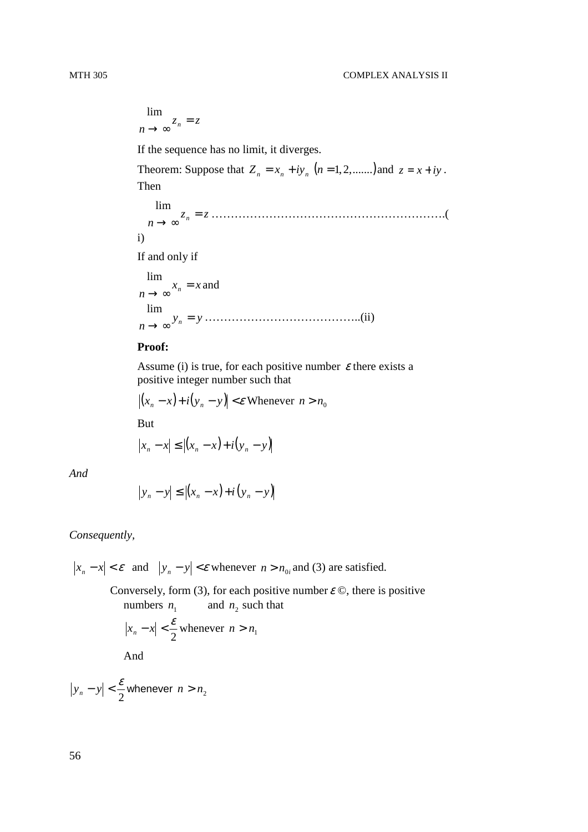$z_n = z$  $\lim_{n \to \infty} z_n =$ lim If the sequence has no limit, it diverges. Theorem: Suppose that  $Z_n = x_n + iy_n$   $(n = 1, 2, \dots, n)$  and  $z = x + iy$ . Then  $z_n = z$  $\lim_{n \to \infty} z_n =$ lim …………………………………………………….( i) If and only if  $x_n = x$  $\lim_{n \to \infty} x_n =$ lim and  $y_n = y$  $y_n = n$ lim …………………………………..(ii)

#### **Proof:**

Assume (i) is true, for each positive number  $\varepsilon$  there exists a positive integer number such that

$$
|(x_n - x) + i(y_n - y)| < \varepsilon
$$
 Whenever  $n > n_0$   
But

 $|x_n - x| \le |(x_n - x) + i(y_n - y)|$ 

*And* 

$$
\left|y_{n}-y\right| \leq \left|\left(x_{n}-x\right)+i\left(y_{n}-y\right)\right|
$$

#### *Consequently,*

 $|x_n - x| < \varepsilon$  and  $|y_n - y| < \varepsilon$  whenever  $n > n_0$  and (3) are satisfied.

Conversely, form (3), for each positive number  $\varepsilon \, \mathcal{O}$ , there is positive numbers  $n_1$  $n_1$  and  $n_2$  such that 2  $|x_n - x| < \frac{\varepsilon}{2}$  whenever  $n > n_1$ 

And

$$
|y_n - y| < \frac{\varepsilon}{2} \text{ whenever } n > n_2
$$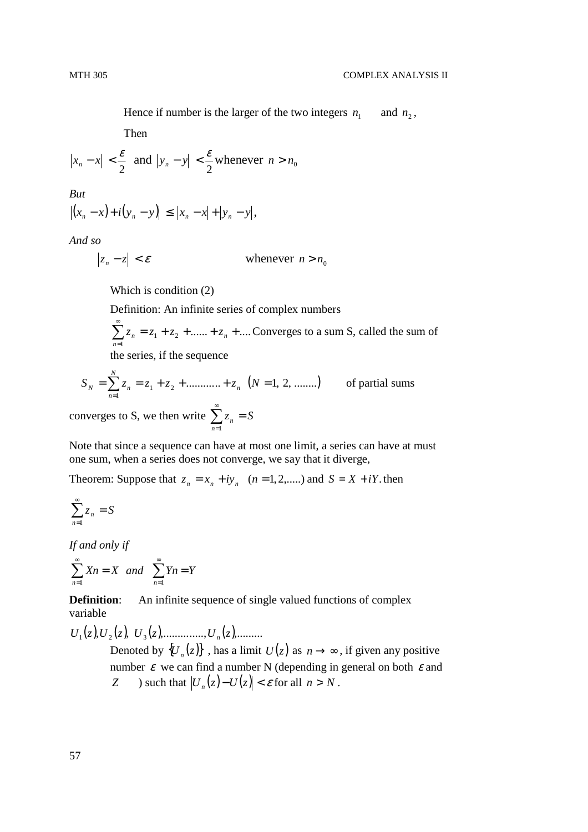Hence if number is the larger of the two integers  $n_1$  $n_1$  and  $n_2$ ,

Then

$$
|x_n - x| < \frac{\varepsilon}{2} \text{ and } |y_n - y| < \frac{\varepsilon}{2} \text{ whenever } n > n_0
$$

*But* 

$$
|(x_n - x) + i(y_n - y)| \le |x_n - x| + |y_n - y|,
$$

*And so* 

$$
|z_n - z| < \varepsilon \qquad \qquad \text{whenever } n > n_0
$$

Which is condition (2)

Definition: An infinite series of complex numbers

$$
\sum_{n=1}^{\infty} z_n = z_1 + z_2 + \dots + z_n + \dots
$$
 Converges to a sum S, called the sum of the series if the sequence

the series, if the sequence

$$
S_N = \sum_{n=1}^{N} z_n = z_1 + z_2 + \dots + z_n \quad (N = 1, 2, \dots)
$$
 of partial sums

converges to S, we then write  $\sum z_n = S$ *n*  $\sum_{n=1}^{\infty} z_n =$ =1

Note that since a sequence can have at most one limit, a series can have at must one sum, when a series does not converge, we say that it diverge,

Theorem: Suppose that  $z_n = x_n + iy_n$  (*n* = 1, 2, *n n*) and *S* = *X* + *iY*. then

$$
\sum_{n=1}^{\infty} z_n = S
$$

*If and only if* 

$$
\sum_{n=1}^{\infty} Xn = X \quad and \quad \sum_{n=1}^{\infty} Yn = Y
$$

**Definition:** An infinite sequence of single valued functions of complex variable

 $U_1(z), U_2(z), U_3(z), \ldots$   $U_n(z), \ldots$ 

Denoted by  $\{U_n(z)\}\,$ , has a limit  $U(z)$  as  $n \to \infty$ , if given any positive number  $\varepsilon$  we can find a number N (depending in general on both  $\varepsilon$  and *Z* ) such that  $|U_n(z) - U(z)| < \varepsilon$  for all  $n > N$ .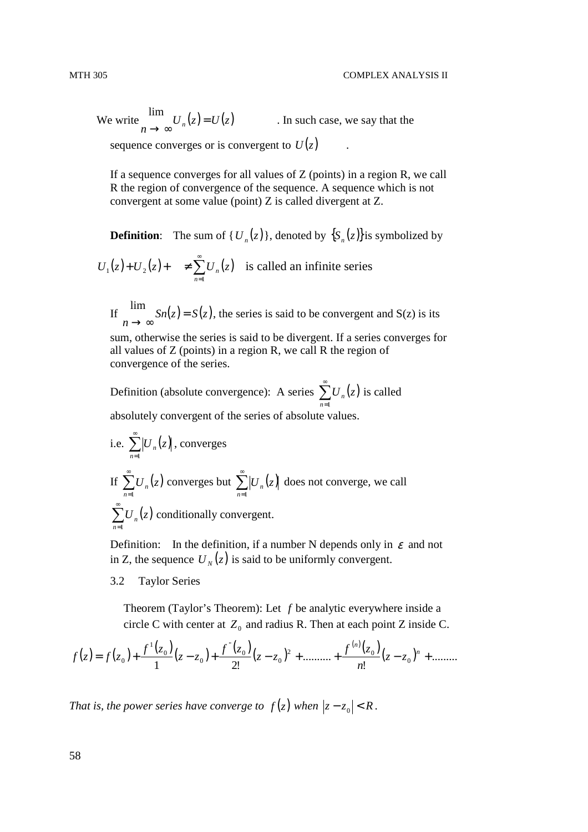We write  $U_n(z) = U(z)$  $U_n(z) =$ lim . In such case, we say that the sequence converges or is convergent to  $U(z)$ .

If a sequence converges for all values of  $Z$  (points) in a region  $R$ , we call R the region of convergence of the sequence. A sequence which is not convergent at some value (point) Z is called divergent at Z.

**Definition**: The sum of { $U_n(z)$ }, denoted by  $\{S_n(z)\}$  is symbolized by

 $(z)+U_2(z)+\quad \neq \sum_{n=0}^{\infty}U_n(z)$ =  $+ U_2(z) + \quad \neq$ 1  $1\left( \sqrt{ } \right)$   $\cdot$   $\circ$  2 *n*  $U_1(z) + U_2(z) + \neq \sum U_n(z)$  is called an infinite series

If  $\int$   $\int$   $S_n(z) = S(z)$ *n* =  $\rightarrow \infty$ lim , the series is said to be convergent and S(z) is its

sum, otherwise the series is said to be divergent. If a series converges for all values of  $Z$  (points) in a region R, we call R the region of convergence of the series.

Definition (absolute convergence): A series  $\sum U_n(z)$ *n*  $\sum^{\infty}$ U<sub>n</sub> =1 is called absolutely convergent of the series of absolute values.

i.e. 
$$
\sum_{n=1}^{\infty} |U_n(z)|
$$
, converges\n\nIf  $\sum_{n=1}^{\infty} U_n(z)$  converges but  $\sum_{n=1}^{\infty} |U_n(z)|$  does not converge, we call  $\sum_{n=1}^{\infty} U_n(z)$  conditionally convergent.

Definition: In the definition, if a number N depends only in  $\varepsilon$  and not in Z, the sequence  $U_N(z)$  is said to be uniformly convergent.

3.2 Taylor Series

Theorem (Taylor's Theorem): Let *f* be analytic everywhere inside a circle C with center at  $Z_0$  and radius R. Then at each point Z inside C.

$$
f(z) = f(z_0) + \frac{f'(z_0)}{1}(z - z_0) + \frac{f''(z_0)}{2!}(z - z_0)^2 + \dots + \frac{f^{(n)}(z_0)}{n!}(z - z_0)^n + \dots
$$

*That is, the power series have converge to*  $f(z)$  *when*  $|z - z_0| < R$ *.*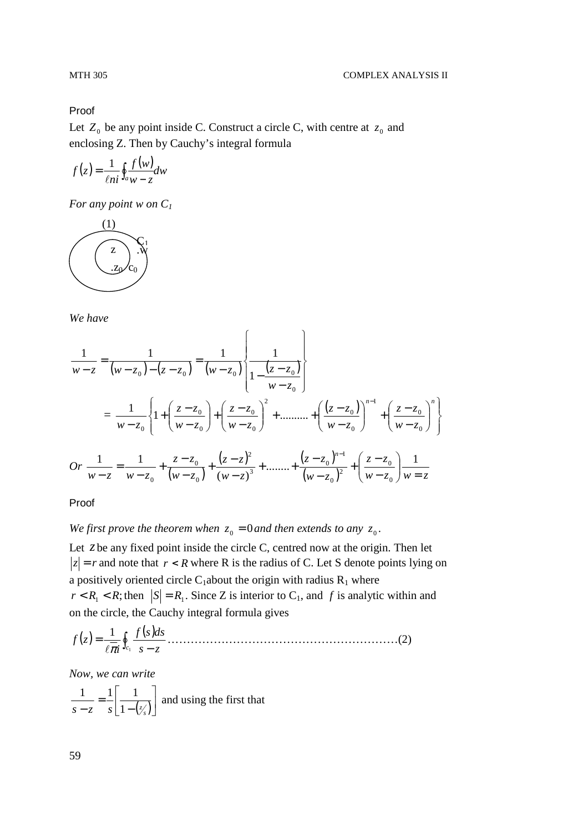Proof

Let  $Z_0$  be any point inside C. Construct a circle C, with centre at  $z_0$  and enclosing Z. Then by Cauchy's integral formula

$$
f(z) = \frac{1}{\ell n i} \oint_{a} \frac{f(w)}{w - z} dw
$$

*For any point w on C<sup>1</sup>*



*We have* 

$$
\frac{1}{w-z} = \frac{1}{(w-z_0)-(z-z_0)} = \frac{1}{(w-z_0)} \left\{ \frac{1}{1-\frac{(z-z_0)}{w-z_0}} \right\}
$$

$$
= \frac{1}{w-z_0} \left\{ 1 + \left( \frac{z-z_0}{w-z_0} \right) + \left( \frac{z-z_0}{w-z_0} \right)^2 + \dots + \left( \frac{(z-z_0)}{w-z_0} \right)^{n-1} + \left( \frac{z-z_0}{w-z_0} \right)^n \right\}
$$

$$
Or \frac{1}{w-z} = \frac{1}{w-z_0} + \frac{z-z_0}{(w-z_0)} + \frac{(z-z)^2}{(w-z_0)^3} + \dots + \frac{(z-z_0)^{n-1}}{(w-z_0)^2} + \left( \frac{z-z_0}{w-z_0} \right) \frac{1}{w=z}
$$

Proof

*We first prove the theorem when*  $z_0 = 0$  *and then extends to any*  $z_0$ .

Let *z* be any fixed point inside the circle C, centred now at the origin. Then let  $|z| = r$  and note that  $r < R$  where R is the radius of C. Let S denote points lying on a positively oriented circle C<sub>1</sub>about the origin with radius  $R_1$  where  $r < R_1 < R$ ; then  $|S| = R_1$ . Since Z is interior to C<sub>1</sub>, and f is analytic within and on the circle, the Cauchy integral formula gives

( ) ( ) ∫ − = 1 1 *<sup>c</sup> s z dssf i zf* l<sup>π</sup> ……………………………………………………(2)

*Now, we can write* 

$$
\frac{1}{s-z} = \frac{1}{s} \left[ \frac{1}{1 - (\frac{z}{s})} \right]
$$
 and using the first that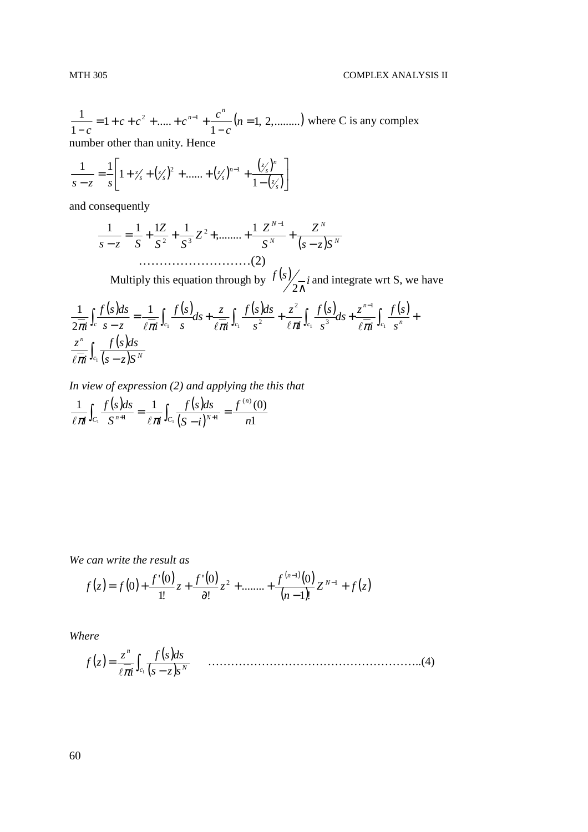$(n = 1, 2, \dots)$ 1  $1 + c + c^2 + \dots$ 1  $\frac{1}{2}$  = 1 + c + c<sup>2</sup> + ..... + c<sup>n-1</sup> +  $\frac{c^n}{2}$  (n = −  $= 1 + c + c<sup>2</sup> + \dots + c<sup>n-1</sup> +$ −  $a^{-1} + \frac{c}{1} - (n)$ *c*  $c + c^2 + \dots + c^{n-1} + \frac{c}{c}$ *c*  $a^{n-1}$  +  $\frac{c^n}{c^n}$  (*n* = 1, 2,.........) where C is any complex number other than unity. Hence

$$
\frac{1}{s-z} = \frac{1}{s} \left[ 1 + \frac{z}{s} + (\frac{z}{s})^2 + \dots + (\frac{z}{s})^{n-1} + \frac{(\frac{z}{s})^n}{1 - (\frac{z}{s})} \right]
$$

and consequently

*N* −1 *N* 1 1 1 1 *Z* 1 *Z Z* 2 = + + + + + *Z* ,........ ( ) *<sup>N</sup>* 2 3 *N s z S* − − *S S S s Sz* ………………………(2)

Multiply this equation through by  $\frac{f(s)}{g-i}$ 2∧ and integrate wrt S, we have

$$
\frac{1}{2\pi i}\int_{c} \frac{f(s)ds}{s-z} = \frac{1}{\ell \pi i}\int_{c_1} \frac{f(s)}{s}ds + \frac{z}{\ell \pi i}\int_{c_1} \frac{f(s)ds}{s^2} + \frac{z^2}{\ell \pi i}\int_{c_1} \frac{f(s)}{s^3}ds + \frac{z^{n-1}}{\ell \pi i}\int_{c_1} \frac{f(s)}{s^n}ds
$$

*In view of expression (2) and applying the this that* 

$$
\frac{1}{\ell \pi i} \int_{C_1} \frac{f(s)ds}{S^{n+1}} = \frac{1}{\ell \pi i} \int_{C_1} \frac{f(s)ds}{(S-i)^{N+1}} = \frac{f^{(n)}(0)}{n!}
$$

*We can write the result as* 

$$
f(z) = f(0) + \frac{f'(0)}{1!}z + \frac{f'(0)}{\partial!}z^2 + \dots + \frac{f^{(n-1)}(0)}{(n-1)!}Z^{N-1} + f(z)
$$

*Where* 

( ) ( ) ( ) ∫ − = 1 *c N n s sz dssf i z zf* l<sup>π</sup> ………………………………………………..(4)

60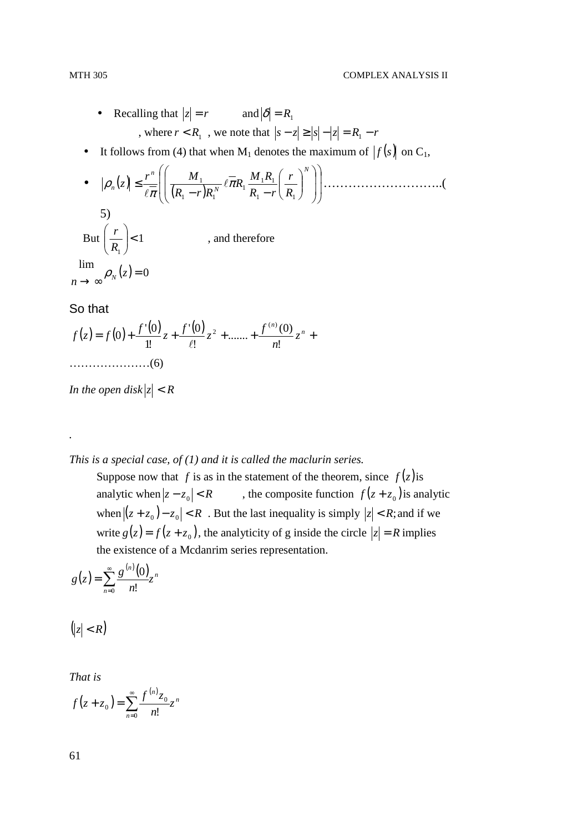- Recalling that  $|z| = r$  and  $|\delta| = R_1$ , where  $r < R_1$ , we note that  $|s - z| \ge |s| - |z| = R_1 - r$
- It follows from (4) that when  $M_1$  denotes the maximum of  $|f(s)|$  on  $C_1$ ,

• 
$$
|\rho_n(z)| \le \frac{r^n}{\ell \pi} \left( \left( \frac{M_1}{(R_1 - r)R_1^N} \ell \overline{\pi} R_1 \frac{M_1 R_1}{R_1 - r} \left( \frac{r}{R_1} \right)^N \right) \right)
$$
  
\n5)  
\nBut  $\left( \frac{r}{R_1} \right) < 1$ , and therefore  
\n
$$
\lim_{x \to \infty} \rho_N(z) = 0
$$

# So that

*n*

*.* 

$$
f(z) = f(0) + \frac{f'(0)}{1!}z + \frac{f'(0)}{\ell!}z^2 + \dots + \frac{f^{(n)}(0)}{n!}z^n + \dots
$$
  
... (6)

*In the open disk*  $|z| < R$ 

## *This is a special case, of (1) and it is called the maclurin series.*

Suppose now that *f* is as in the statement of the theorem, since  $f(z)$  is analytic when  $|z - z_0| < R$ , the composite function  $f(z + z_0)$  is analytic when  $|(z + z_0) - z_0| < R$ . But the last inequality is simply  $|z| < R$ ; and if we write  $g(z) = f(z + z_0)$ , the analyticity of g inside the circle  $|z| = R$  implies the existence of a Mcdanrim series representation.

$$
g(z) = \sum_{n=0}^{\infty} \frac{g^{(n)}(0)}{n!} z^n
$$

 $(|z| < R)$ 

*That is* 

$$
f(z+z_0) = \sum_{n=0}^{\infty} \frac{f^{(n)}z_0}{n!} z^n
$$

61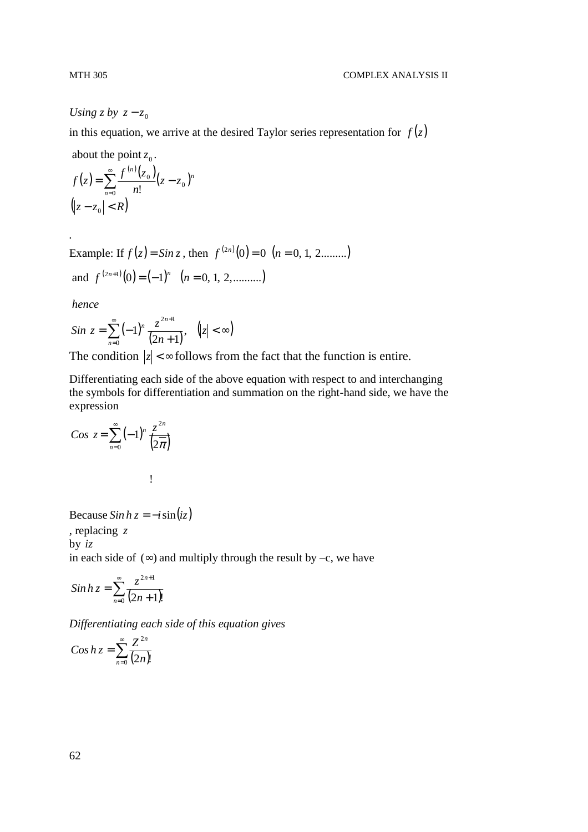*Using z by*  $z - z_0$ 

in this equation, we arrive at the desired Taylor series representation for  $f(z)$ 

about the point  $z_0$ .

$$
f(z) = \sum_{n=0}^{\infty} \frac{f^{(n)}(z_0)}{n!} (z - z_0)^n
$$
  

$$
(|z - z_0| < R)
$$

Example: If  $f(z) = \sin z$ , then  $f^{(2n)}(0) = 0$   $(n = 0, 1, 2, \dots, n)$ 

and 
$$
f^{(2n+1)}(0) = (-1)^n
$$
  $(n = 0, 1, 2, .........)$ 

 *hence* 

*.* 

$$
Sin\ z = \sum_{n=0}^{\infty} (-1)^n \frac{z^{2n+1}}{(2n+1)}, \quad (|z| < \infty)
$$

The condition  $|z| < \infty$  follows from the fact that the function is entire.

Differentiating each side of the above equation with respect to and interchanging the symbols for differentiation and summation on the right-hand side, we have the expression

$$
Cos z = \sum_{n=0}^{\infty} (-1)^n \frac{z^{2n}}{\left(2\overline{\pi}\right)}
$$

Because  $Sin h z = -i sin(iz)$ , replacing *z* by *iz* in each side of  $(\infty)$  and multiply through the result by –c, we have

$$
\sinh z = \sum_{n=0}^{\infty} \frac{z^{2n+1}}{(2n+1)!}
$$

*Differentiating each side of this equation gives* 

$$
Cos h z = \sum_{n=0}^{\infty} \frac{Z^{2n}}{(2n)!}
$$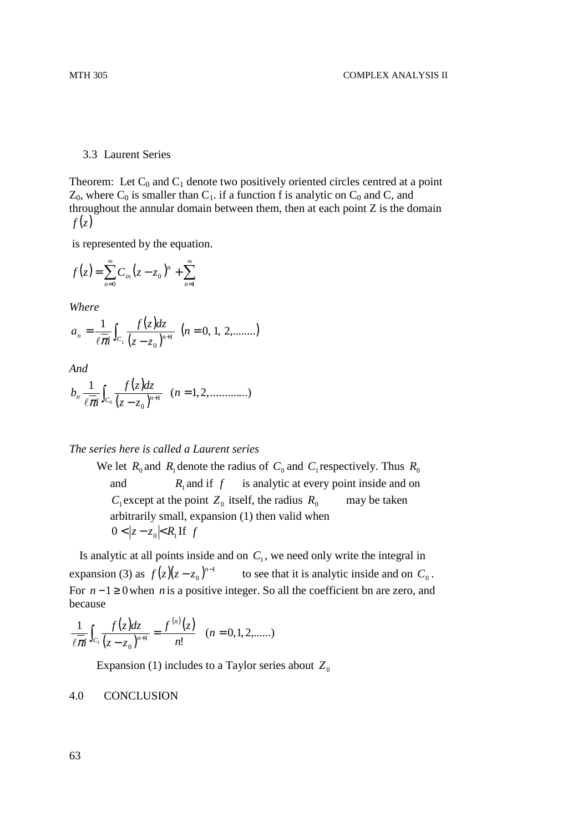#### 3.3 Laurent Series

Theorem: Let  $C_0$  and  $C_1$  denote two positively oriented circles centred at a point  $Z_0$ , where  $C_0$  is smaller than  $C_1$ . if a function f is analytic on  $C_0$  and C, and throughout the annular domain between them, then at each point Z is the domain  $f(z)$ 

is represented by the equation.

$$
f(z) = \sum_{n=0}^{\infty} C_{in} (z - z_0)^n + \sum_{n=1}^{\infty}
$$

*Where* 

$$
a_n = \frac{1}{\ell \pi i} \int_{C_1} \frac{f(z)dz}{(z - z_0)^{n+1}} \ (n = 0, 1, 2, \dots \dots)
$$

*And* 

$$
b_n \frac{1}{\ell \pi i} \int_{C_0} \frac{f(z)dz}{(z - z_0)^{n+1}} \quad (n = 1, 2, \dots, \dots)
$$

#### *The series here is called a Laurent series*

We let  $R_0$  and  $R_1$  denote the radius of  $C_0$  and  $C_1$  respectively. Thus  $R_0$ and  $R_1$  and if  $f$  is analytic at every point inside and on  $C_1$  except at the point  $Z_0$  itself, the radius  $R_0$  may be taken arbitrarily small, expansion (1) then valid when  $0 < |z - z_0| < R_1$  If *f* 

Is analytic at all points inside and on  $C_1$ , we need only write the integral in expansion (3) as  $f(z)(z-z_0)^{n-1}$  $\boldsymbol{0}$  $f(z)(z-z_0)^{n-1}$  to see that it is analytic inside and on  $C_0$ . For *n* −1 ≥ 0when *n* is a positive integer. So all the coefficient bn are zero, and because

$$
\frac{1}{\ell \pi i} \int_{C_1} \frac{f(z)dz}{(z-z_0)^{n+1}} = \frac{f^{(n)}(z)}{n!} \quad (n = 0, 1, 2, \dots)
$$

Expansion (1) includes to a Taylor series about  $Z_0$ 

#### 4.0 CONCLUSION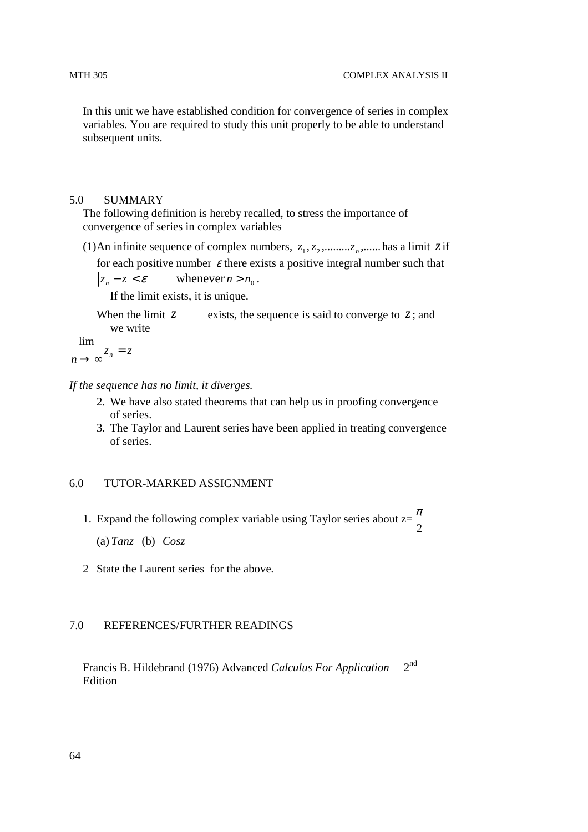In this unit we have established condition for convergence of series in complex variables. You are required to study this unit properly to be able to understand subsequent units.

#### 5.0 SUMMARY

The following definition is hereby recalled, to stress the importance of convergence of series in complex variables

(1) An infinite sequence of complex numbers,  $z_1, z_2, \dots, z_n, \dots$  has a limit *z* if

for each positive number  $\varepsilon$  there exists a positive integral number such that

 $|z_n - z| < \varepsilon$ whenever  $n > n_0$ .

If the limit exists, it is unique.

When the limit  $\zeta$  exists, the sequence is said to converge to  $\zeta$ ; and we write

lim

 $z_n = z$  $\lim_{n \to \infty} z_n =$ 

*If the sequence has no limit, it diverges.* 

- 2. We have also stated theorems that can help us in proofing convergence of series.
- 3. The Taylor and Laurent series have been applied in treating convergence of series.

# 6.0 TUTOR-MARKED ASSIGNMENT

1. Expand the following complex variable using Taylor series about z= 2 π

(a) *Tanz* (b) *Cosz*

2 State the Laurent series for the above.

# 7.0 REFERENCES/FURTHER READINGS

 Francis B. Hildebrand (1976) Advanced *Calculus For Application* 2nd Edition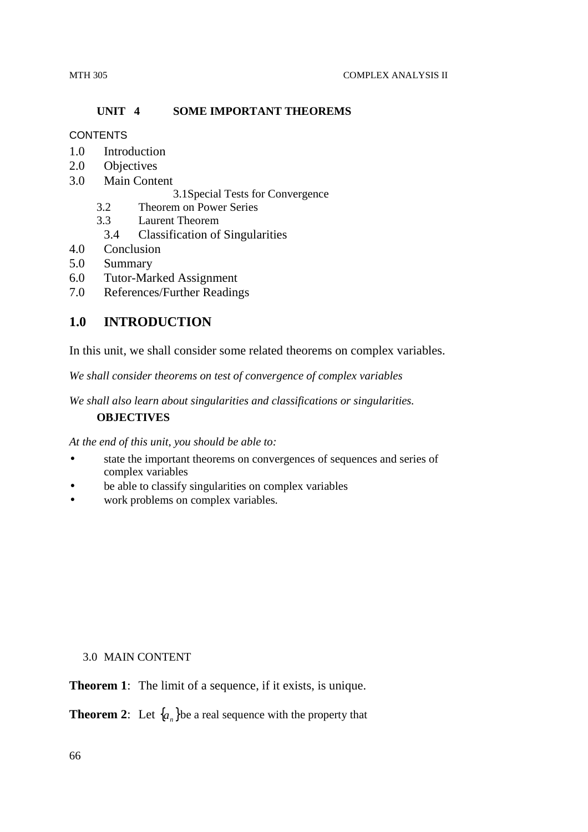# **UNIT 4 SOME IMPORTANT THEOREMS**

# **CONTENTS**

- 1.0 Introduction
- 2.0 Objectives
- 3.0 Main Content

3.1Special Tests for Convergence

- 3.2 Theorem on Power Series
- 3.3 Laurent Theorem
	- 3.4 Classification of Singularities
- 4.0 Conclusion
- 5.0 Summary
- 6.0 Tutor-Marked Assignment
- 7.0 References/Further Readings

# **1.0 INTRODUCTION**

In this unit, we shall consider some related theorems on complex variables.

*We shall consider theorems on test of convergence of complex variables* 

*We shall also learn about singularities and classifications or singularities.* 

# **OBJECTIVES**

*At the end of this unit, you should be able to:* 

- state the important theorems on convergences of sequences and series of complex variables
- be able to classify singularities on complex variables
- work problems on complex variables.

# 3.0 MAIN CONTENT

**Theorem 1:** The limit of a sequence, if it exists, is unique.

**Theorem 2:** Let  $\{a_n\}$ be a real sequence with the property that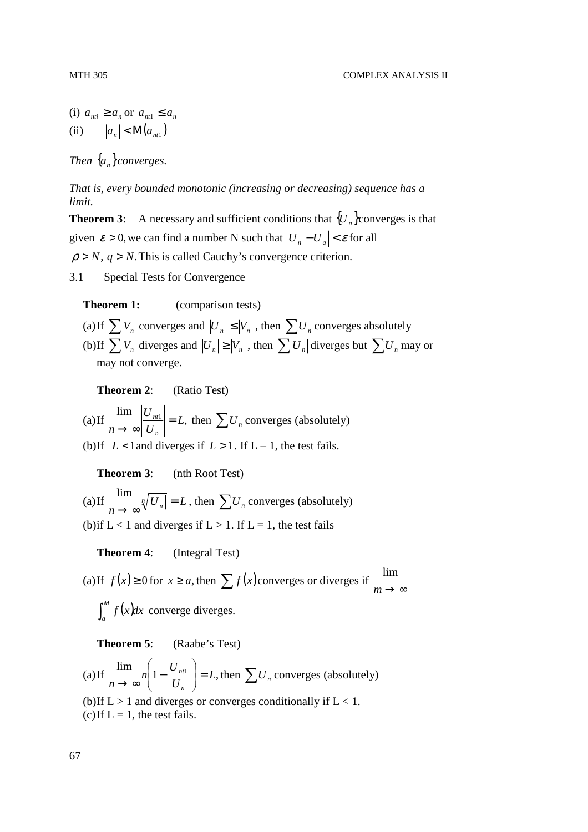(i)  $a_{ni} \ge a_n$  or  $a_{ni} \le a_n$ (ii)  $|a_n| < M(a_{nt1})$ 

*Then*  $\{a_n\}$ *converges.* 

*That is, every bounded monotonic (increasing or decreasing) sequence has a limit.* 

**Theorem 3:** A necessary and sufficient conditions that  ${U_n}$  converges is that given  $\varepsilon > 0$ , we can find a number N such that  $|U_n - U_q| < \varepsilon$  for all  $\rho > N$ ,  $q > N$ . This is called Cauchy's convergence criterion.

3.1 Special Tests for Convergence

**Theorem 1:** (comparison tests)

(a) If  $\sum_{n} |V_n|$  converges and  $|U_n| \leq |V_n|$ , then  $\sum_{n} U_n$  converges absolutely (b) If  $\sum_{n} |V_n|$  diverges and  $|U_n| \ge |V_n|$ , then  $\sum_{n} |U_n|$  diverges but  $\sum_{n} U_n$  may or may not converge.

**Theorem 2**: (Ratio Test)

(a) If  $\lim_{x \to 0} \left| \frac{U_{nt}}{U_{nt}} \right| = L$ , *U U*  $n \rightarrow \infty$   $\big| U_n$  $\left| \frac{nt1}{t} \right| =$  $\lim_{n \to \infty} \left| \frac{U_{nt}}{U_n} \right| = L$ , then  $\sum U_n$  converges (absolutely)

(b) If  $L < 1$  and diverges if  $L > 1$ . If  $L - 1$ , the test fails.

**Theorem 3**: (nth Root Test)

(a) If  $\int_{1}^{1} \frac{n}{\sqrt{2}} |U_n| = L$  $\lim_{n\to\infty}\sqrt[n]{|U_n|}$  $\lim_{n \to \infty} \sqrt[n]{|U_n|} = L$ , then  $\sum U_n$  converges (absolutely) (b) if  $L < 1$  and diverges if  $L > 1$ . If  $L = 1$ , the test fails

**Theorem 4**: (Integral Test)

(a) If  $f(x) \ge 0$  for  $x \ge a$ , then  $\sum f(x)$  converges or diverges if  $\lim_{m \to \infty}$ lim  $\int_a^M f(x)dx$  converge diverges.

**Theorem 5**: (Raabe's Test)

(a) If 
$$
\lim_{n \to \infty} n \left( 1 - \left| \frac{U_{nt1}}{U_n} \right| \right) = L
$$
, then  $\sum U_n$  converges (absolutely)  
(b) If L > 1 and diverges or converges conditionally if L < 1.  
(c) If L = 1, the test fails.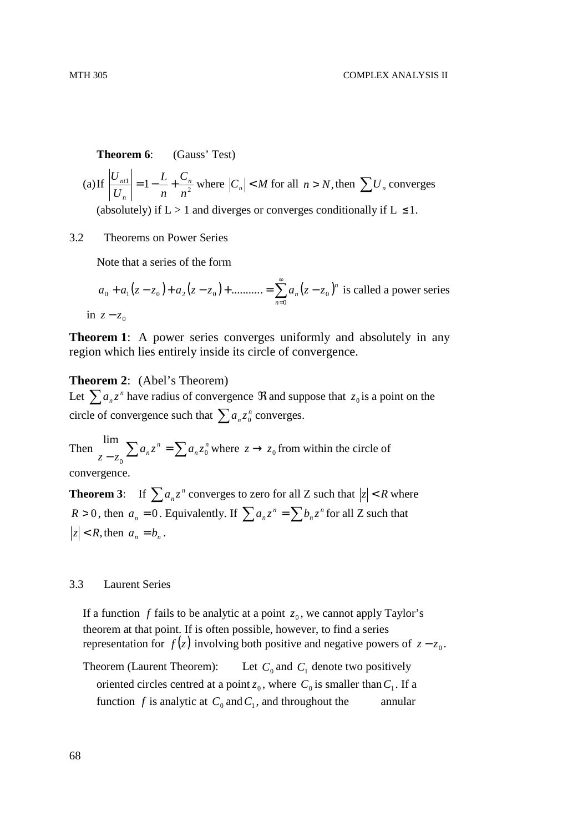**Theorem 6:** (Gauss' Test)

(a) If 
$$
\left| \frac{U_{nt1}}{U_n} \right| = 1 - \frac{L}{n} + \frac{C_n}{n^2}
$$
 where  $|C_n| < M$  for all  $n > N$ , then  $\sum U_n$  converges  
(absolutely) if  $L > 1$  and diverges or converges conditionally if  $L \le 1$ .

#### 3.2 Theorems on Power Series

Note that a series of the form

$$
a_0 + a_1(z - z_0) + a_2(z - z_0) + \dots + \sum_{n=0}^{\infty} a_n(z - z_0)^n
$$
 is called a power series  
in  $z - z_0$ 

**Theorem 1**: A power series converges uniformly and absolutely in any region which lies entirely inside its circle of convergence.

#### **Theorem 2**: (Abel's Theorem)

Let  $\sum a_n z^n$  $a_n z^n$  have radius of convergence  $\Re$  and suppose that  $z_0$  is a point on the circle of convergence such that  $\sum a_n z_0^n$  $a_n z_0^n$  converges.

Then  $\sum a_n z^n = \sum a_n z_0^n$ *n*  $a_n z^n = \sum a_n z^n$  $z - z_0 \sum_{n} a_n z_n - \sum_{n} a_n z_0$ 0  $\lim_{z \to z_0} \sum a_n z^n = \sum a_n z_0^n$  where  $z \to z_0$  from within the circle of convergence.

**Theorem 3:** If  $\sum a_n z^n$  $a_n z^n$  converges to zero for all Z such that  $|z| < R$  where  $R > 0$ , then  $a_n = 0$ . Equivalently. If  $\sum a_n z^n = \sum b_n z^n$  $\sum a_n z^n = \sum b_n z^n$  for all Z such that  $|z| < R$ , then  $a_n = b_n$ .

#### 3.3 Laurent Series

If a function  $f$  fails to be analytic at a point  $z_0$ , we cannot apply Taylor's theorem at that point. If is often possible, however, to find a series representation for  $f(z)$  involving both positive and negative powers of  $z - z_0$ .

Theorem (Laurent Theorem): and  $C_1$  denote two positively oriented circles centred at a point  $z_0$ , where  $C_0$  is smaller than  $C_1$ . If a function *f* is analytic at  $C_0$  and  $C_1$ , and throughout the annular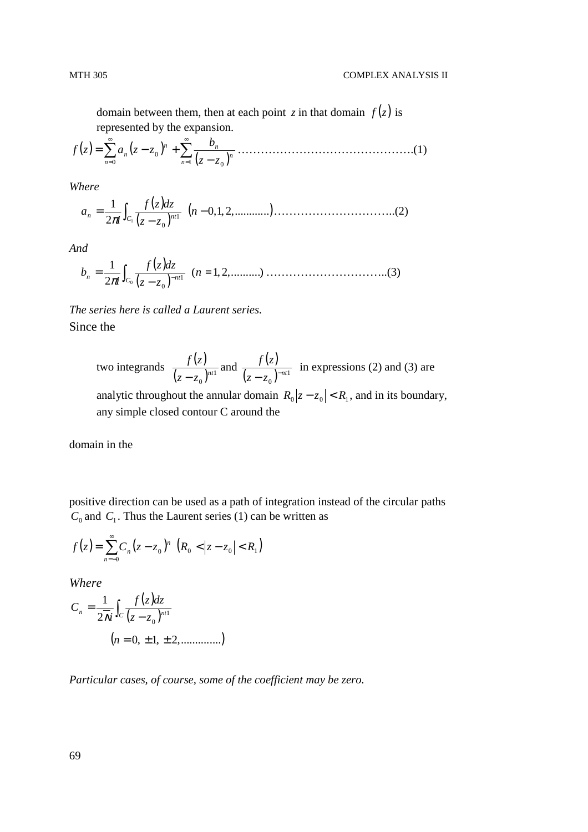domain between them, then at each point *z* in that domain  $f(z)$  is represented by the expansion.

( ) ( ) ( ) <sup>∑</sup> <sup>∑</sup> ∞ = ∞ <sup>=</sup> − = − + 1 0 0 0 *n n n n n n z z b zf a z z* ……………………………………….(1)

*Where* 

$$
a_n = \frac{1}{2\pi i} \int_{C_1} \frac{f(z)dz}{(z - z_0)^{n}} \quad (n - 0, 1, 2, \dots, \dots, \dots, \dots, \dots, \dots, \dots, \dots, \dots, \dots, (2)
$$

*And* 

$$
b_n = \frac{1}{2\pi i} \int_{C_0} \frac{f(z)dz}{(z - z_0)^{-n+1}} \quad (n = 1, 2, \dots, n)
$$
 (3)

*The series here is called a Laurent series.*  Since the

two integrands  $\frac{f(z)}{g(z)}$  $(z - z_0)^{nt1}$  $(z-z_0)^{nt}$ *zf* − and  $\frac{f(z)}{y(z)}$  $(z - z_0)^{-nt1}$  $(z - z_0)^{-nt}$ *zf*  $-z_0$ <sup>-</sup> in expressions (2) and (3) are analytic throughout the annular domain  $R_0 |z - z_0| < R_1$ , and in its boundary,

any simple closed contour C around the

domain in the

positive direction can be used as a path of integration instead of the circular paths  $C_0$  and  $C_1$ . Thus the Laurent series (1) can be written as

$$
f(z) = \sum_{n=-0}^{\infty} C_n (z - z_0)^n \left( R_0 < |z - z_0| < R_1 \right)
$$

*Where* 

$$
C_n = \frac{1}{2\overline{\lambda}i} \int_C \frac{f(z)dz}{(z - z_0)^{n+1}}
$$
  
(*n* = 0, ±1, ±2,............)

*Particular cases, of course, some of the coefficient may be zero.*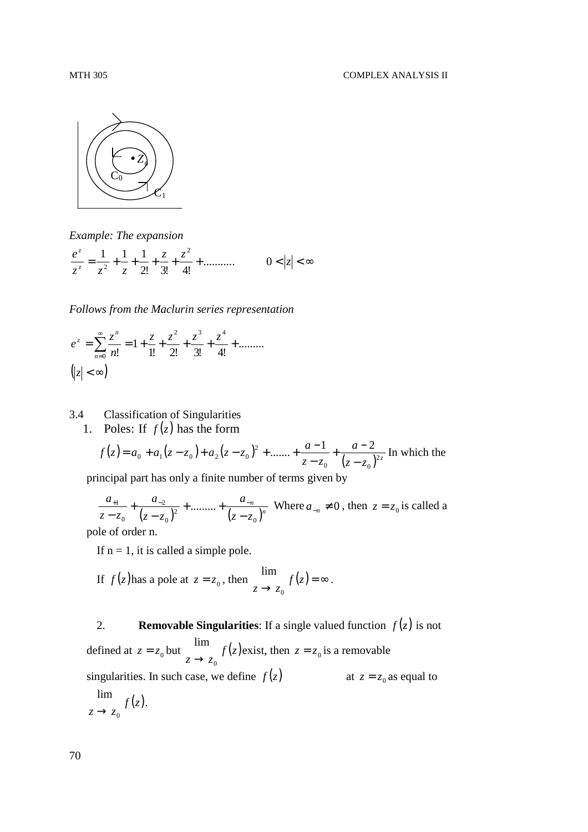

*Example: The expansion* 

$$
\frac{e^z}{z^z} = \frac{1}{z^2} + \frac{1}{z} + \frac{1}{2!} + \frac{z}{3!} + \frac{z^2}{4!} + \dots \infty \qquad 0 < |z| < \infty
$$

*Follows from the Maclurin series representation* 

$$
e^{z} = \sum_{n=0}^{\infty} \frac{z^{n}}{n!} = 1 + \frac{z}{1!} + \frac{z^{2}}{2!} + \frac{z^{3}}{3!} + \frac{z^{4}}{4!} + \dots
$$

$$
\left(z \mid < \infty\right)
$$

#### 3.4 Classification of Singularities 1. Poles: If  $f(z)$  has the form

$$
f(z) = a_0 + a_1(z - z_0) + a_2(z - z_0)^2 + \dots + \frac{a-1}{z - z_0} + \frac{a-2}{(z - z_0)^{2z}}
$$
 In which the

principal part has only a finite number of terms given by

 $(z - z_0)^2$ <sup>1</sup> ( $z - z_0$ <sup>n</sup>)<sup>n</sup> *n*  $z - z$ *a*  $z - z$ *a*  $z - z$ *a* 0 2 0 2 0  $\frac{1}{(1+i)^2} + \frac{u_{-2}}{(1+i)^2} + \dots$ −  $+$  ......... + − + −  $\frac{u_{-1}}{2} + \frac{u_{-2}}{(2u_{-1})^2} + \dots + \frac{u_{-n}}{(2u_{-n})^n}$  Where  $a_{-n} \neq 0$ , then  $z = z_0$  is called a

pole of order n.

If  $n = 1$ , it is called a simple pole.

If 
$$
f(z)
$$
 has a pole at  $z = z_0$ , then  $\lim_{z \to z_0} f(z) = \infty$ .

2. **Removable Singularities**: If a single valued function  $f(z)$  is not defined at  $z = z_0$  but  $\frac{m\pi}{z}$   $f(z)$  $z \rightarrow z_0$ lim  $\lim_{z \to z_0} f(z)$  exist, then  $z = z_0$  is a removable singularities. In such case, we define  $f(z)$ at  $z = z_0$  as equal to  $f(z)$  $z \rightarrow z_0$ lim  $\rightarrow$ .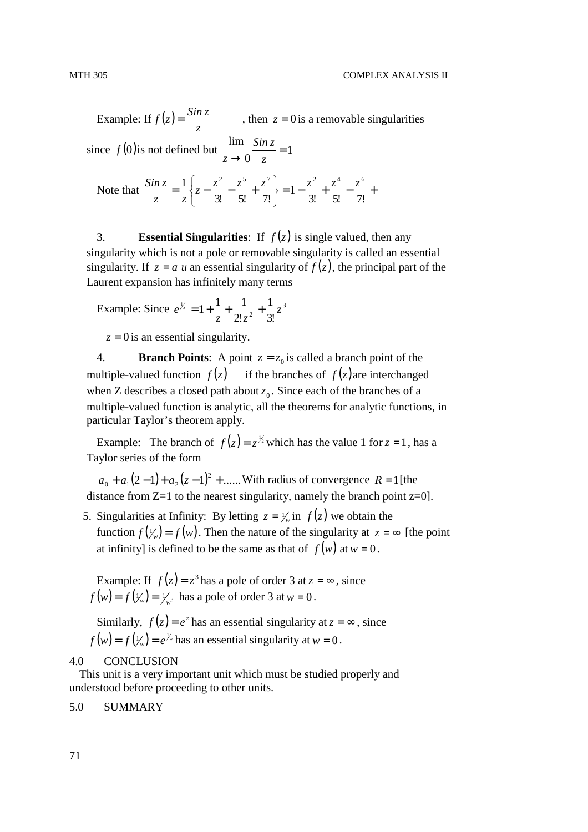Example: If  $f(z)$ *z*  $f(z) = \frac{\sin z}{z}$ , then  $z = 0$  is a removable singularities since  $f(0)$  is not defined but  $\frac{1}{2}$  = 1 0 lim =  $\rightarrow 0$  z *Sin z z* Note that  $\frac{3m}{2} = -\left\{z - \frac{z}{2!} - \frac{z}{2!} + \frac{z}{2!} \right\} = 1 - \frac{z}{2!} + \frac{z}{2!} - \frac{z}{2!} + \frac{z}{2!}$  $\left\{ \right.$  $\mathcal{L}$ ∤  $\int$  $=\frac{1}{2}\left\{z-\frac{2}{\alpha z}-\frac{2}{\alpha z}+\right\}$  $3!$   $5!$   $7!$ 1  $3!$   $5!$   $7!$  $\frac{1}{2} \left\{ z - \frac{z^2}{2!} - \frac{z^5}{3!} + \frac{z^7}{7!} \right\} = 1 - \frac{z^2}{3!} + \frac{z^4}{7!} - \frac{z^6}{7!}$ *z z Sin z*

3. **Essential Singularities**: If  $f(z)$  is single valued, then any singularity which is not a pole or removable singularity is called an essential singularity. If  $z = a$  *u* an essential singularity of  $f(z)$ , the principal part of the Laurent expansion has infinitely many terms

J

Example: Since 
$$
e^{\frac{1}{z}} = 1 + \frac{1}{z} + \frac{1}{2!z^2} + \frac{1}{3!}z^3
$$

 $\mathfrak{c}$ 

 $z = 0$  is an essential singularity.

4. **Branch Points**: A point  $z = z_0$  is called a branch point of the multiple-valued function  $f(z)$  if the branches of  $f(z)$  are interchanged when Z describes a closed path about  $z_0$ . Since each of the branches of a multiple-valued function is analytic, all the theorems for analytic functions, in particular Taylor's theorem apply.

Example: The branch of  $f(z) = z^{1/2}$  which has the value 1 for  $z = 1$ , has a Taylor series of the form

 $a_0 + a_1(2-1) + a_2(z-1)^2 + \dots$  With radius of convergence  $R = 1$  [the distance from  $Z=1$  to the nearest singularity, namely the branch point  $z=0$ .

5. Singularities at Infinity: By letting  $z = \frac{1}{w}$  in  $f(z)$  we obtain the function  $f(\frac{1}{w}) = f(w)$ . Then the nature of the singularity at  $z = \infty$  [the point at infinity] is defined to be the same as that of  $f(w)$  at  $w = 0$ .

Example: If  $f(z) = z^3$  has a pole of order 3 at  $z = \infty$ , since  $f(w) = f(\frac{1}{w}) = \frac{1}{w^3}$  has a pole of order 3 at  $w = 0$ .

Similarly,  $f(z) = e^z$  has an essential singularity at  $z = \infty$ , since  $f(w) = f(y_w) = e^{y_w}$  has an essential singularity at  $w = 0$ .

#### 4.0 CONCLUSION

This unit is a very important unit which must be studied properly and understood before proceeding to other units.

#### 5.0 SUMMARY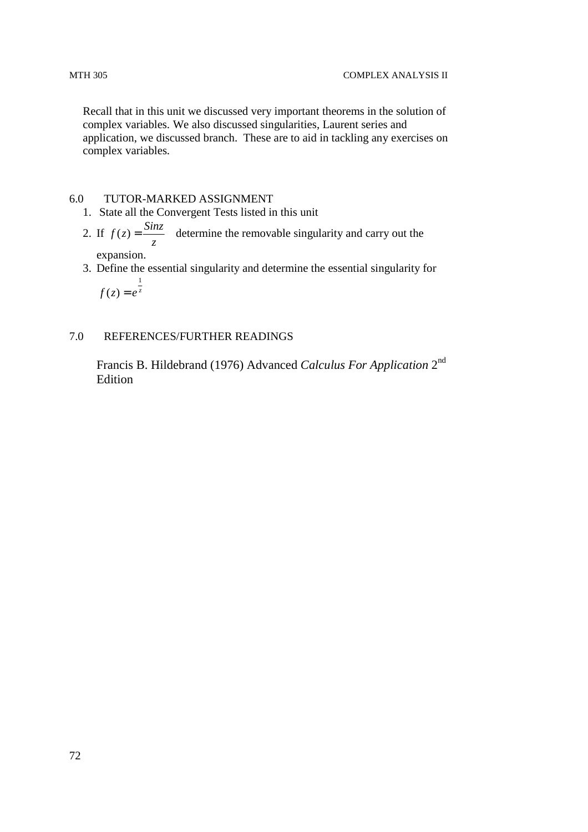Recall that in this unit we discussed very important theorems in the solution of complex variables. We also discussed singularities, Laurent series and application, we discussed branch. These are to aid in tackling any exercises on complex variables.

## 6.0 TUTOR-MARKED ASSIGNMENT

- 1. State all the Convergent Tests listed in this unit
- 2. If *z*  $f(z) = \frac{Sinz}{2}$  determine the removable singularity and carry out the
	- expansion.
- 3. Define the essential singularity and determine the essential singularity for  $f(z) = e^{z}$ 1  $(z) = e^{z}$

#### 7.0 REFERENCES/FURTHER READINGS

Francis B. Hildebrand (1976) Advanced *Calculus For Application* 2nd Edition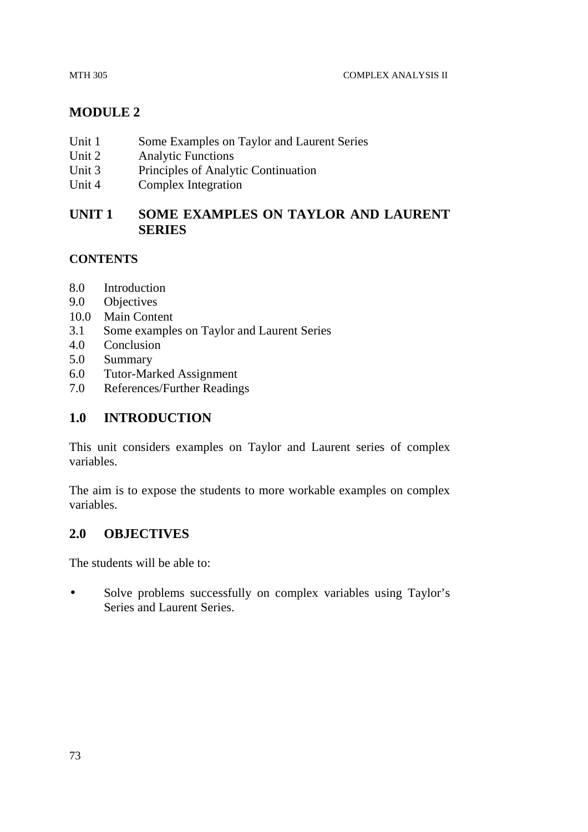# **MODULE 2**

- Unit 1 Some Examples on Taylor and Laurent Series
- Unit 2 Analytic Functions
- Unit 3 Principles of Analytic Continuation
- Unit 4 Complex Integration

# **UNIT 1 SOME EXAMPLES ON TAYLOR AND LAURENT SERIES**

## **CONTENTS**

- 8.0 Introduction
- 9.0 Objectives
- 10.0 Main Content
- 3.1 Some examples on Taylor and Laurent Series
- 4.0 Conclusion
- 5.0 Summary
- 6.0 Tutor-Marked Assignment
- 7.0 References/Further Readings

# **1.0 INTRODUCTION**

This unit considers examples on Taylor and Laurent series of complex variables.

The aim is to expose the students to more workable examples on complex variables.

## **2.0 OBJECTIVES**

The students will be able to:

• Solve problems successfully on complex variables using Taylor's Series and Laurent Series.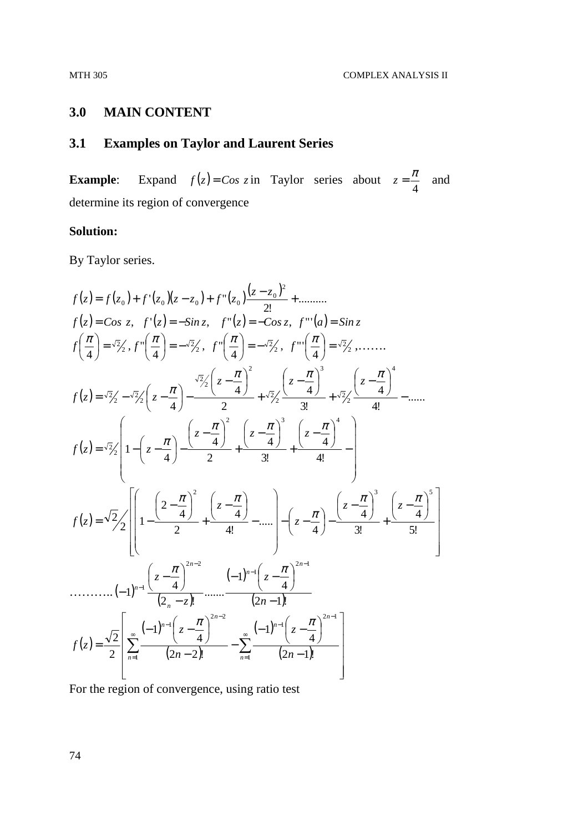## **3.0 MAIN CONTENT**

# **3.1 Examples on Taylor and Laurent Series**

**Example:** Expand  $f(z) = Cos z$  in Taylor series about 4  $z = \frac{\pi}{4}$  and determine its region of convergence

#### **Solution:**

By Taylor series.

$$
f(z) = f(z_0) + f'(z_0)(z - z_0) + f''(z_0) \frac{(z - z_0)^2}{2!} + \dots \infty
$$
  
\n
$$
f(z) = \cos z, \quad f'(z) = -\sin z, \quad f''(z) = -\cos z, \quad f'''(a) = \sin z
$$
  
\n
$$
f\left(\frac{\pi}{4}\right) = \sqrt{2}/\sqrt{3}, \quad f''\left(\frac{\pi}{4}\right) = -\sqrt{2}/\sqrt{3}, \quad f''\left(\frac{\pi}{4}\right) = -\sqrt{2}/\sqrt{3}, \quad f'''\left(\frac{\pi}{4}\right) = \sqrt{2}/\sqrt{3}, \dots \infty
$$
  
\n
$$
f(z) = \sqrt{2}/\sqrt{2}, \quad z = \frac{\pi}{4} - \frac{\sqrt{2}/(z - \frac{\pi}{4})^2}{2} + \frac{\sqrt{2}/(z - \frac{\pi}{4})^3}{3!} + \frac{\sqrt{2}/(z - \frac{\pi}{4})^4}{4!} - \dots
$$
  
\n
$$
f(z) = \sqrt{2}/\sqrt{2}, \quad z = \sqrt{2}/\sqrt{2}
$$
  
\n
$$
f(z) = \sqrt{2}/\sqrt{2}
$$
  
\n
$$
\left[1 - \left(z - \frac{\pi}{4}\right)^2 - \frac{(z - \frac{\pi}{4})^2}{2} + \frac{(z - \frac{\pi}{4})^3}{3!} + \frac{(z - \frac{\pi}{4})^4}{4!} - \dots\right] - \left(z - \frac{\pi}{4}\right)^3 - \frac{(z - \frac{\pi}{4})^3}{3!} + \frac{(z - \frac{\pi}{4})^5}{5!} - \frac{(z - \frac{\pi}{4})^5}{5!} - \frac{(z - \frac{\pi}{4})^5}{5!} - \frac{(z - \frac{\pi}{4})^5}{2!} - \frac{(z - \frac{\pi}{4})^2}{2!} - \dots\right]
$$
  
\n
$$
f(z) = \frac{\sqrt{2}}{2} \left[ \sum_{n=1}^{\infty} \frac{(-1)^{n-1} (z - \frac{\pi}{4})^{2n-2}}{(2n-2)!} - \sum_{n=1}^{\infty} \frac{(-1)^{n-1} (z - \frac{\pi}{4})^{2n-1}}{(2n-1)!} \right]
$$

For the region of convergence, using ratio test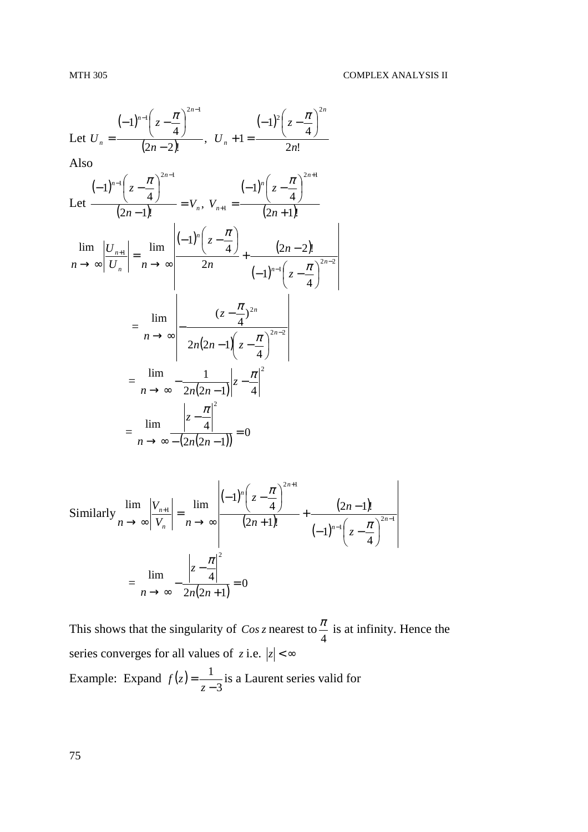Let 
$$
U_n = \frac{(-1)^{n-1} \left(z - \frac{\pi}{4}\right)^{2n-1}}{(2n-2)!}
$$
,  $U_n + 1 = \frac{(-1)^2 \left(z - \frac{\pi}{4}\right)^{2n}}{2n!}$   
\nAlso  
\n
$$
\frac{(-1)^{n-1} \left(z - \frac{\pi}{4}\right)^{2n-1}}{(2n-1)!} = V_n, V_{n+1} = \frac{(-1)^n \left(z - \frac{\pi}{4}\right)^{2n+1}}{(2n+1)!}
$$
\n
$$
\lim_{n \to \infty} \left| \frac{U_{n+1}}{U_n} \right| = \lim_{n \to \infty} \left| \frac{(-1)^n \left(z - \frac{\pi}{4}\right)}{2n} + \frac{(2n-2)!}{(-1)^{n-1} \left(z - \frac{\pi}{4}\right)^{2n-2}} \right|
$$
\n
$$
= \lim_{n \to \infty} \left| \frac{(z - \frac{\pi}{4})^{2n}}{2n(2n-1) \left(z - \frac{\pi}{4}\right)^{2n-2}} \right|
$$
\n
$$
= \lim_{n \to \infty} \left| \frac{1}{2n(2n-1) \left(z - \frac{\pi}{4}\right)^{2n-2}} \right|
$$
\n
$$
= \lim_{n \to \infty} \left| \frac{|z - \frac{\pi}{4}|^2}{2n(2n-1) \left|z - \frac{\pi}{4}\right|^2} \right|
$$
\n
$$
= \lim_{n \to \infty} \frac{|z - \frac{\pi}{4}|^2}{- (2n(2n-1))} = 0
$$

Similarly 
$$
\lim_{n \to \infty} \left| \frac{V_{n+1}}{V_n} \right| = \lim_{n \to \infty} \left| \frac{(-1)^n \left( z - \frac{\pi}{4} \right)^{2n+1}}{(2n+1)!} + \frac{(2n-1)!}{(-1)^{n-1} \left( z - \frac{\pi}{4} \right)^{2n-1}} \right|
$$
  

$$
= \lim_{n \to \infty} -\frac{\left| z - \frac{\pi}{4} \right|^2}{2n(2n+1)} = 0
$$

This shows that the singularity of *Cos z* nearest to 4  $\frac{\pi}{4}$  is at infinity. Hence the series converges for all values of *z* i.e.  $|z| < \infty$ Example: Expand  $f(z)$ 3 1 − = *z*  $f(z) = \frac{1}{z}$  is a Laurent series valid for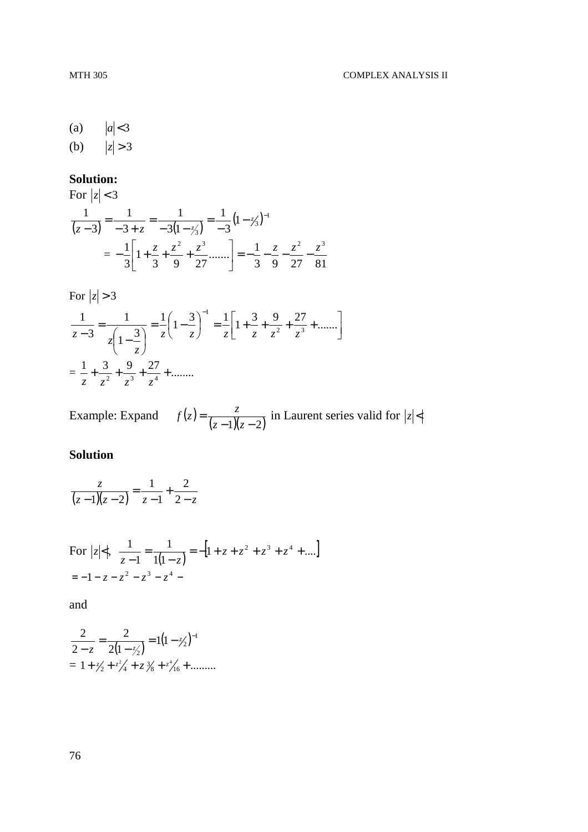(a)  $|a| < 3$ (b)  $|z| > 3$ 

#### **Solution:**

For 
$$
|z| < 3
$$
  
\n
$$
\frac{1}{(z-3)} = \frac{1}{-3+z} = \frac{1}{-3(1-\frac{z}{3})} = \frac{1}{-3}(1-\frac{z}{3})^{-1}
$$
\n
$$
= -\frac{1}{3}\left[1+\frac{z}{3}+\frac{z^2}{9}+\frac{z^3}{27}......\right] = -\frac{1}{3} - \frac{z}{9} - \frac{z^2}{27} - \frac{z^3}{81}
$$

For  $|z| > 3$ 

$$
\frac{1}{z-3} = \frac{1}{z\left(1-\frac{3}{z}\right)} = \frac{1}{z}\left(1-\frac{3}{z}\right)^{-1} = \frac{1}{z}\left[1+\frac{3}{z}+\frac{9}{z^{2}}+\frac{27}{z^{3}}+\dots\right]
$$

$$
= \frac{1}{z}+\frac{3}{z^{2}}+\frac{9}{z^{3}}+\frac{27}{z^{4}}+\dots\ldots
$$

Example: Expand  $f(z) = \frac{z}{(z-1)(z-2)}$  $z - 1$  $(z$  $f(z) = \frac{z}{(z-2)(z-2)}$  in Laurent series valid for  $|z| <$ 

# **Solution**

$$
\frac{z}{(z-1)(z-2)} = \frac{1}{z-1} + \frac{2}{2-z}
$$

For 
$$
|z| < 1
$$
,  $\frac{1}{z-1} = \frac{1}{1(1-z)} = -[1 + z + z^2 + z^3 + z^4 + ....]$   
= -1 - z - z<sup>2</sup> - z<sup>3</sup> - z<sup>4</sup> -

and

$$
\frac{2}{2-z} = \frac{2}{2(1-\frac{z}{2})} = 1(1-\frac{z}{2})^{-1}
$$

$$
= 1+\frac{z}{2}+\frac{z^2}{4}+z\frac{z}{8}+\frac{z^4}{16}+\dots
$$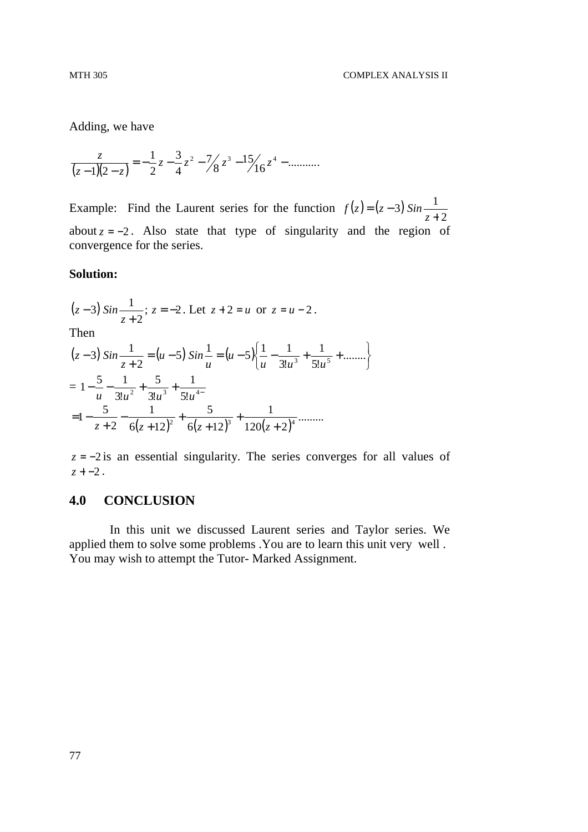Adding, we have

$$
\frac{z}{(z-1)(2-z)} = -\frac{1}{2}z - \frac{3}{4}z^2 - \frac{7}{8}z^3 - \frac{15}{16}z^4 - \dots
$$

Example: Find the Laurent series for the function  $f(z) = (z - 3)$ 2 3) Sin $\frac{1}{2}$ +  $=(z$ *z*  $f(z) = (z - 3)$  *Sin* about  $z = -2$ . Also state that type of singularity and the region of convergence for the series.

#### **Solution:**

$$
(z-3) \sin \frac{1}{z+2}
$$
;  $z = -2$ . Let  $z + 2 = u$  or  $z = u - 2$ .  
Then

$$
(z-3)\sin\frac{1}{z+2} = (u-5)\sin\frac{1}{u} = (u-5)\left\{\frac{1}{u} - \frac{1}{3!u^3} + \frac{1}{5!u^5} + \dots\right\}
$$
  
=  $1 - \frac{5}{u} - \frac{1}{3!u^2} + \frac{5}{3!u^3} + \frac{1}{5!u^4}$   
=  $1 - \frac{5}{z+2} - \frac{1}{6(z+12)^2} + \frac{5}{6(z+12)^3} + \frac{1}{120(z+2)^4} + \dots$ 

*z* = −2 is an essential singularity. The series converges for all values of *z* + −2 .

#### **4.0 CONCLUSION**

 In this unit we discussed Laurent series and Taylor series. We applied them to solve some problems .You are to learn this unit very well . You may wish to attempt the Tutor- Marked Assignment.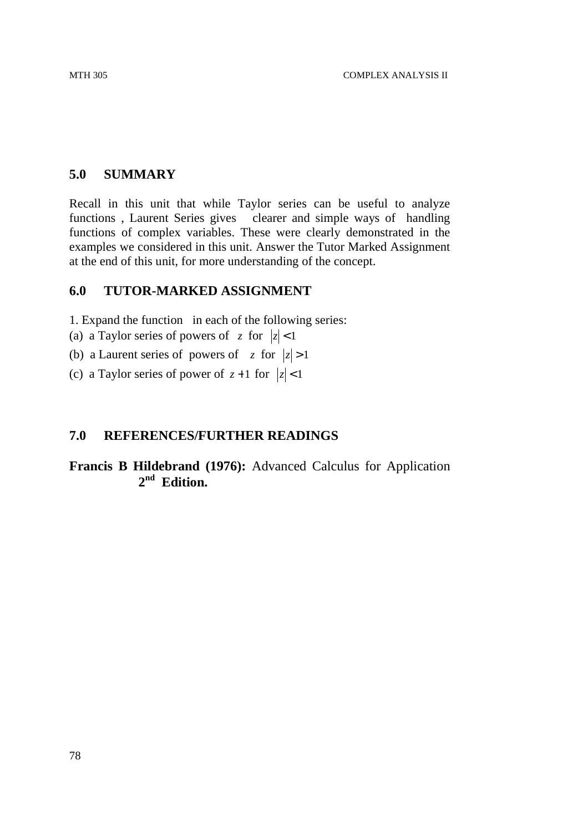# **5.0 SUMMARY**

Recall in this unit that while Taylor series can be useful to analyze functions , Laurent Series gives clearer and simple ways of handling functions of complex variables. These were clearly demonstrated in the examples we considered in this unit. Answer the Tutor Marked Assignment at the end of this unit, for more understanding of the concept.

## **6.0 TUTOR-MARKED ASSIGNMENT**

1. Expand the function in each of the following series:

- (a) a Taylor series of powers of  $z$  for  $|z| < 1$
- (b) a Laurent series of powers of  $z$  for  $|z| > 1$
- (c) a Taylor series of power of  $z+1$  for  $|z| < 1$

## **7.0 REFERENCES/FURTHER READINGS**

**Francis B Hildebrand (1976):** Advanced Calculus for Application **2 nd Edition.**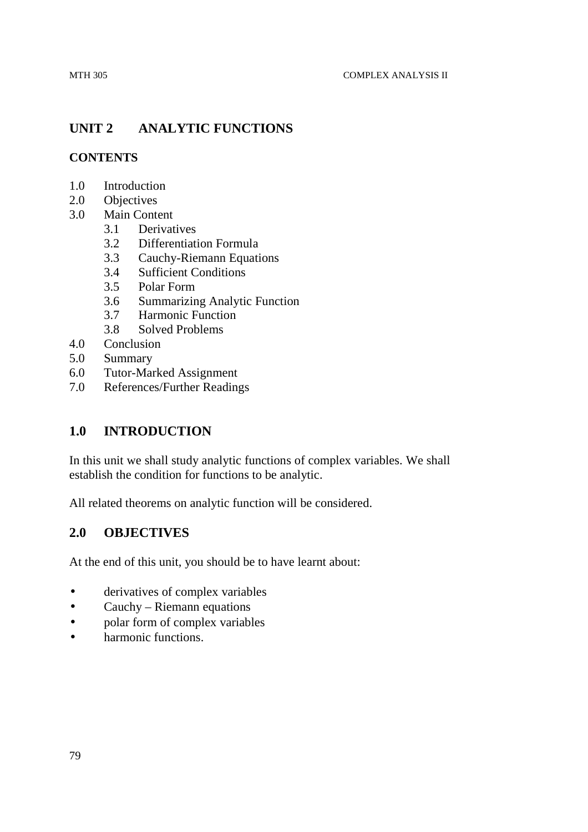# **UNIT 2 ANALYTIC FUNCTIONS**

#### **CONTENTS**

- 1.0 Introduction
- 2.0 Objectives
- 3.0 Main Content
	- 3.1 Derivatives
	- 3.2 Differentiation Formula
	- 3.3 Cauchy-Riemann Equations
	- 3.4 Sufficient Conditions
	- 3.5 Polar Form
	- 3.6 Summarizing Analytic Function
	- 3.7 Harmonic Function
	- 3.8 Solved Problems
- 4.0 Conclusion
- 5.0 Summary
- 6.0 Tutor-Marked Assignment
- 7.0 References/Further Readings

## **1.0 INTRODUCTION**

In this unit we shall study analytic functions of complex variables. We shall establish the condition for functions to be analytic.

All related theorems on analytic function will be considered.

## **2.0 OBJECTIVES**

At the end of this unit, you should be to have learnt about:

- derivatives of complex variables
- Cauchy Riemann equations
- polar form of complex variables
- harmonic functions.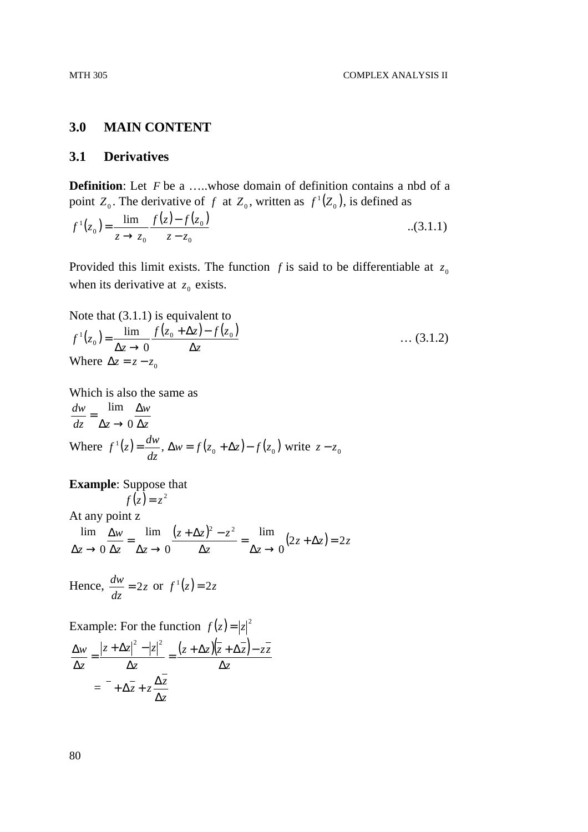#### **3.0 MAIN CONTENT**

#### **3.1 Derivatives**

**Definition**: Let *F* be a .....whose domain of definition contains a nbd of a point  $Z_0$ . The derivative of f at  $Z_0$ , written as  $f'(Z_0)$ , is defined as

$$
f^{1}(z_{0}) = \frac{\lim_{z \to z_{0}} f(z) - f(z_{0})}{z - z_{0}}
$$
...(3.1.1)

Provided this limit exists. The function  $f$  is said to be differentiable at  $z_0$ when its derivative at  $z_0$  exists.

Note that (3.1.1) is equivalent to  
\n
$$
f^{1}(z_{0}) = \frac{\lim_{\Delta z \to 0} f(z_{0} + \Delta z) - f(z_{0})}{\Delta z}
$$
\n
$$
\dots (3.1.2)
$$
\nWhere  $\Delta z = z - z_{0}$ 

Which is also the same as *z w*  $dz \Delta z$ *dw* ∆ ∆  $\Delta z \rightarrow$ = 0 lim Where  $f'(z) = \frac{dw}{dz}$ ,  $\Delta w = f(z_0 + \Delta z) - f(z_0)$  $f'(z) = \frac{dw}{dz}$ ,  $\Delta w = f(z_0 + \Delta z) - f(z_0)$  write  $z - z_0$ 

## **Example**: Suppose that

 $f(z) = z^2$ At any point z  $\frac{(z + \Delta z)^2 - z^2}{2} = \lim_{\Delta z \to 0} (2z + \Delta z) = 2z$ *z z*  $(z + \Delta z)^2 - z$ *z z w z*  $2z + \Delta z$ ) = 2 0 lim 0 lim 0  $\lim_{\Delta w}$   $\lim_{z \to \Delta z}$   $(z + \Delta z)^2 - z^2$  $+\Delta z$ ) =  $\Delta z \rightarrow$ = ∆  $+\Delta z)^2$  –  $\Delta z \rightarrow$ = ∆ ∆  $\Delta z \rightarrow$ 

Hence, 
$$
\frac{dw}{dz} = 2z
$$
 or  $f'(z) = 2z$ 

Example: For the function  $f(z) = |z|^2$ 

$$
\frac{\Delta w}{\Delta z} = \frac{|z + \Delta z|^2 - |z|^2}{\Delta z} = \frac{(z + \Delta z)(\overline{z} + \Delta \overline{z}) - z\overline{z}}{\Delta z}
$$

$$
= -\Delta \overline{z} + z\frac{\Delta \overline{z}}{\Delta z}
$$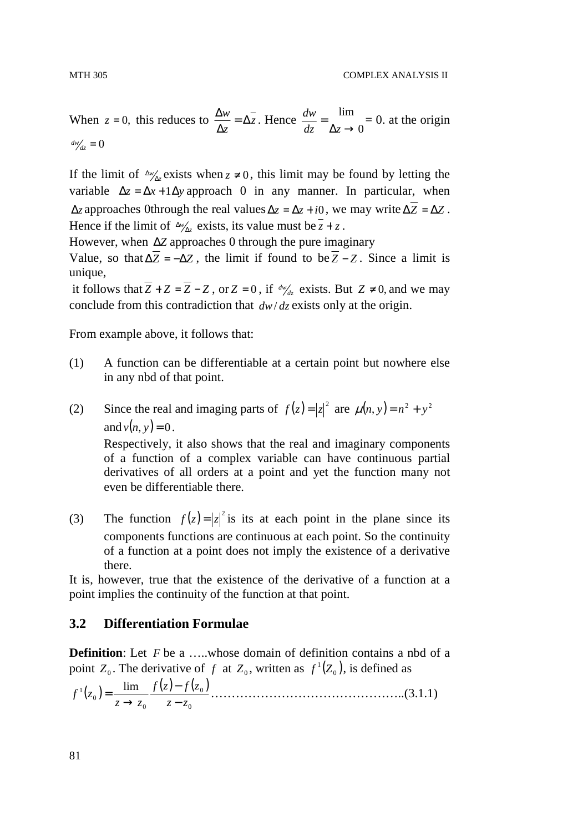When  $z = 0$ , this reduces to  $\frac{\Delta W}{\Delta t} = \Delta z$ *z*  $\frac{w}{\alpha} = \Delta$ ∆  $\frac{\Delta w}{\Delta z} = \Delta z$ . Hence 0 lim  $\Delta z \rightarrow$ =  $dz = \Delta z$  $\frac{dw}{dt} = \lim_{x \to 0}$  = 0. at the origin  $\frac{dw}{dz} = 0$ 

If the limit of  $\Delta w_{\Delta z}$  exists when  $z \neq 0$ , this limit may be found by letting the variable  $\Delta z = \Delta x + 1 \Delta y$  approach 0 in any manner. In particular, when  $\Delta z$  approaches 0through the real values  $\Delta z = \Delta z + i0$ , we may write  $\Delta \overline{Z} = \Delta Z$ . Hence if the limit of  $\Delta w_{\Delta z}$  exists, its value must be  $z + z$ .

However, when ∆*Z* approaches 0 through the pure imaginary

Value, so that  $\Delta \overline{Z} = -\Delta Z$ , the limit if found to be  $\overline{Z} - Z$ . Since a limit is unique,

it follows that *Z* + *Z* = *Z* − *Z*, or *Z* = 0, if  $\frac{dw}{dx}$  exists. But *Z* ≠ 0, and we may conclude from this contradiction that *dw*/ *dz* exists only at the origin.

From example above, it follows that:

- (1) A function can be differentiable at a certain point but nowhere else in any nbd of that point.
- (2) Since the real and imaging parts of  $f(z) = |z|^2$  are  $\mu(n, y) = n^2 + y^2$ and  $v(n, v) = 0$ . Respectively, it also shows that the real and imaginary components of a function of a complex variable can have continuous partial derivatives of all orders at a point and yet the function many not even be differentiable there.
- (3) The function  $f(z) = |z|^2$  is its at each point in the plane since its components functions are continuous at each point. So the continuity of a function at a point does not imply the existence of a derivative there.

It is, however, true that the existence of the derivative of a function at a point implies the continuity of the function at that point.

## **3.2 Differentiation Formulae**

**Definition**: Let *F* be a …..whose domain of definition contains a nbd of a point  $Z_0$ . The derivative of f at  $Z_0$ , written as  $f'(Z_0)$ , is defined as

( ) ( ) ( ) 0 0 0 0 1 lim *z z zf zf z z f z* − − → = ………………………………………..(3.1.1)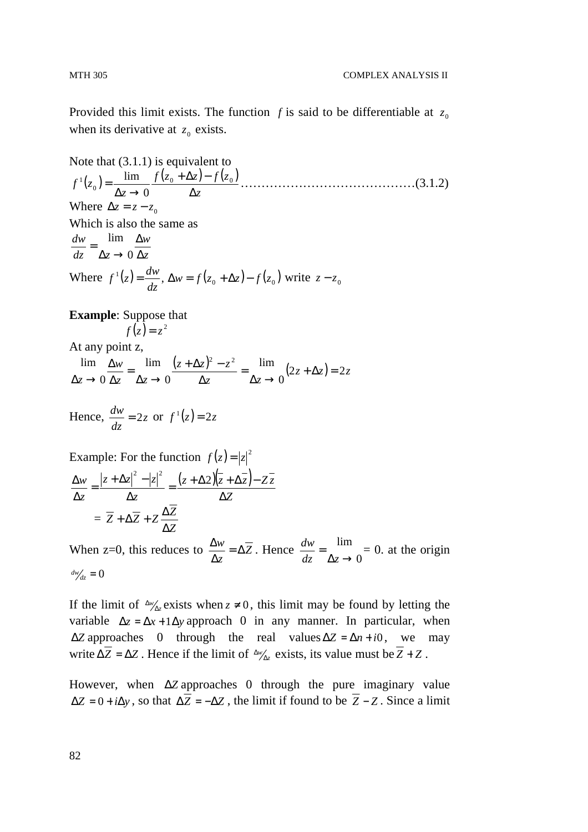Provided this limit exists. The function  $f$  is said to be differentiable at  $z_0$ when its derivative at  $z_0$  exists.

Note that (3.1.1) is equivalent to  $(z_0) = \frac{\lim_{x \to 0} f(z_0 + \Delta z) - f(z_0)}{\Delta z}$ *z*  $f(z_0 + \Delta z) - f(z)$ *z*  $f^1(z)$ ∆  $+\Delta z$ )—  $\Delta z \rightarrow$  $\sigma_0$ ) =  $\frac{\text{min}}{1-\frac{1}{2}} \frac{f(x_0 + \Delta x) - f(x_0)}{1-\Delta x}$ 1 0 lim ……………………………………(3.1.2) Where  $\Delta z = z - z_0$ Which is also the same as *z w*  $dz \Delta z$ *dw* ∆ ∆  $\Delta z \rightarrow$ = 0 lim Where  $f'(z) = \frac{dw}{dz}$ ,  $\Delta w = f(z_0 + \Delta z) - f(z_0)$  $f'(z) = \frac{dw}{dz}$ ,  $\Delta w = f(z_0 + \Delta z) - f(z_0)$  write  $z - z_0$ 

**Example**: Suppose that  $f(z) = z^2$ 

At any point z,

 $\frac{(z + \Delta z)^2 - z^2}{2} = \lim_{\Delta z \to 0} (2z + \Delta z) = 2z$ *z z*  $(z + \Delta z)^2 - z$ *z z w z*  $2z + \Delta z$ ) = 2 0 lim 0 lim 0  $\lim_{\Delta w}$   $\lim_{z \to \Delta z} (z + \Delta z)^2 - z^2$  $+\Delta z$ ) =  $\Delta z \rightarrow$ = ∆  $+\Delta z)^2$  –  $\Delta z \rightarrow$ = ∆ ∆  $\Delta z \rightarrow$ 

Hence,  $\frac{aw}{z} = 2z$ *dz*  $\frac{dw}{dx} = 2z \text{ or } f'(z) = 2z$ 

Example: For the function 
$$
f(z) = |z|^2
$$
  
\n
$$
\frac{\Delta w}{\Delta z} = \frac{|z + \Delta z|^2 - |z|^2}{\Delta z} = \frac{(z + \Delta 2)(\overline{z} + \Delta \overline{z}) - Z \overline{z}}{\Delta z}
$$
\n
$$
= \overline{Z} + \Delta \overline{Z} + Z \frac{\Delta \overline{Z}}{\Delta z}
$$

When z=0, this reduces to  $\frac{\Delta W}{\Delta t} = \Delta Z$ *z*  $\frac{w}{\alpha} = \Delta$ ∆  $\frac{\Delta w}{\Delta t} = \Delta \overline{Z}$ . Hence 0 lim  $\Delta z \rightarrow$ = *dz z*  $\frac{dw}{dx} = \lim_{x \to 0}$  = 0. at the origin  $\frac{dw}{dz} = 0$ 

If the limit of  $\Delta w_{\Delta z}$  exists when  $z \neq 0$ , this limit may be found by letting the variable  $\Delta z = \Delta x + 1 \Delta y$  approach 0 in any manner. In particular, when  $\Delta Z$  approaches 0 through the real values  $\Delta Z = \Delta n + i0$ , we may write  $\Delta Z = \Delta Z$ . Hence if the limit of  $\Delta w_{\Delta z}$  exists, its value must be  $Z + Z$ .

However, when ∆*Z* approaches 0 through the pure imaginary value  $\Delta Z = 0 + i \Delta y$ , so that  $\Delta \overline{Z} = -\Delta Z$ , the limit if found to be  $\overline{Z} - Z$ . Since a limit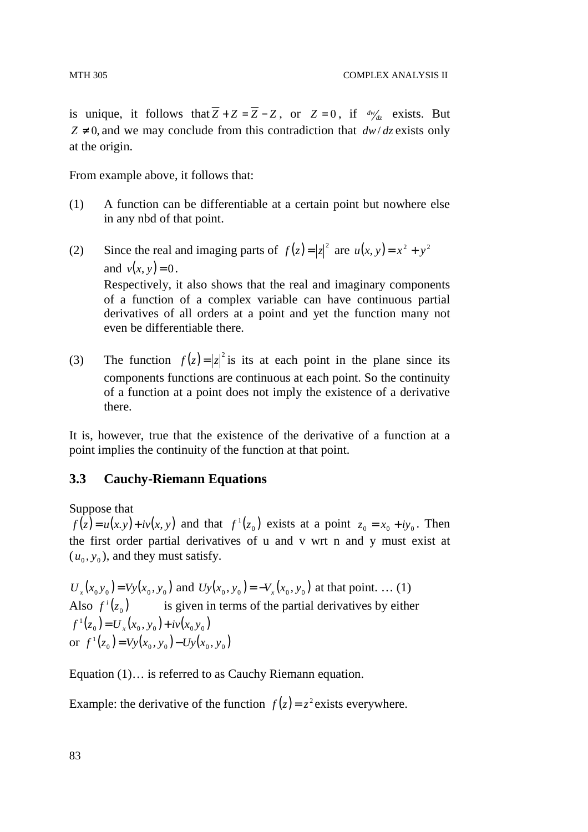is unique, it follows that  $Z + Z = Z - Z$ , or  $Z = 0$ , if  $\frac{dw}{dz}$  exists. But  $Z \neq 0$  and we may conclude from this contradiction that  $dw/dz$  exists only at the origin.

From example above, it follows that:

- (1) A function can be differentiable at a certain point but nowhere else in any nbd of that point.
- (2) Since the real and imaging parts of  $f(z) = |z|^2$  are  $u(x, y) = x^2 + y^2$ and  $v(x, y) = 0$ . Respectively, it also shows that the real and imaginary components of a function of a complex variable can have continuous partial derivatives of all orders at a point and yet the function many not even be differentiable there.
- (3) The function  $f(z) = |z|^2$  is its at each point in the plane since its components functions are continuous at each point. So the continuity of a function at a point does not imply the existence of a derivative there.

It is, however, true that the existence of the derivative of a function at a point implies the continuity of the function at that point.

## **3.3 Cauchy-Riemann Equations**

Suppose that

 $f(z) = u(x, y) + iv(x, y)$  and that  $f'(z_0)$  exists at a point  $z_0 = x_0 + iy_0$ . Then the first order partial derivatives of u and v wrt n and y must exist at  $(u_0, y_0)$ , and they must satisfy.

 $U_x(x_0, y_0) = V_y(x_0, y_0)$  and  $U_y(x_0, y_0) = -V_x(x_0, y_0)$  at that point. ... (1) Also  $f'(z_0)$  is given in terms of the partial derivatives by either  $f'_{1}(z_{0}) = U_{x}(x_{0}, y_{0}) + iv(x_{0}y_{0})$ or  $f'(z_0) = Vy(x_0, y_0) - Uy(x_0, y_0)$ 

Equation (1)… is referred to as Cauchy Riemann equation.

Example: the derivative of the function  $f(z) = z^2$  exists everywhere.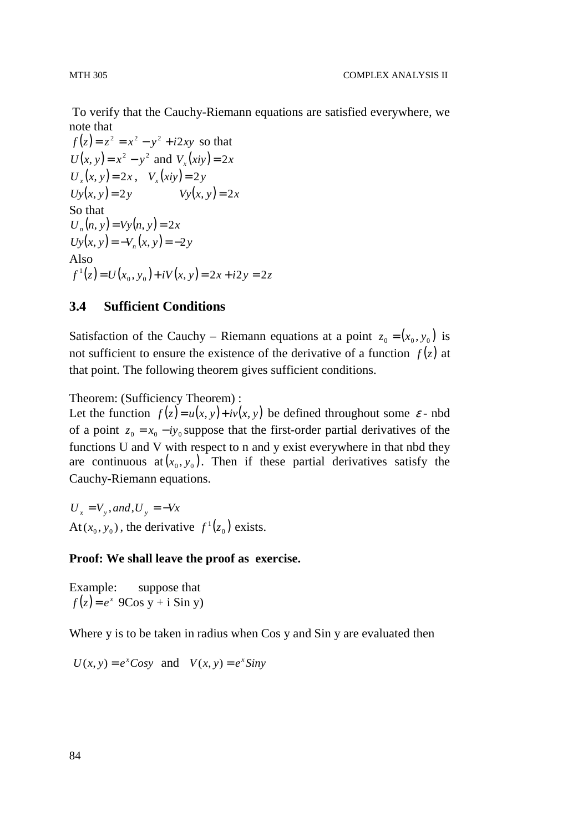To verify that the Cauchy-Riemann equations are satisfied everywhere, we note that

 $f(z) = z^2 = x^2 - y^2 + i2xy$  so that  $U(x, y) = x^2 - y^2$  and  $V_x(ixy) = 2x$  $U_x(x, y) = 2x$ ,  $V_x(xiy) = 2y$  $Uy(x, y) = 2y$   $Vy(x, y) = 2x$ So that  $U_n(n, y) = Vy(n, y) = 2x$  $Uy(x, y) = -V_n(x, y) = -2y$ Also  $f'{}(z) = U(x_0, y_0) + iV(x, y) = 2x + i2y = 2z$ 

#### **3.4 Sufficient Conditions**

Satisfaction of the Cauchy – Riemann equations at a point  $z_0 = (x_0, y_0)$  is not sufficient to ensure the existence of the derivative of a function  $f(z)$  at that point. The following theorem gives sufficient conditions.

Theorem: (Sufficiency Theorem) :

Let the function  $f(z) = u(x, y) + iv(x, y)$  be defined throughout some  $\varepsilon$ -nbd of a point  $z_0 = x_0 - iy_0$  suppose that the first-order partial derivatives of the functions U and V with respect to n and y exist everywhere in that nbd they are continuous at  $(x_0, y_0)$ . Then if these partial derivatives satisfy the Cauchy-Riemann equations.

 $U_x = V_y$ , and,  $U_y = -Vx$ At( $x_0, y_0$ ), the derivative  $f'(z_0)$  exists.

#### **Proof: We shall leave the proof as exercise.**

Example: suppose that  $f(z) = e^x$  9Cos y + i Sin y)

Where y is to be taken in radius when Cos y and Sin y are evaluated then

 $U(x, y) = e^x \text{Cosy}$  and  $V(x, y) = e^x \text{Siny}$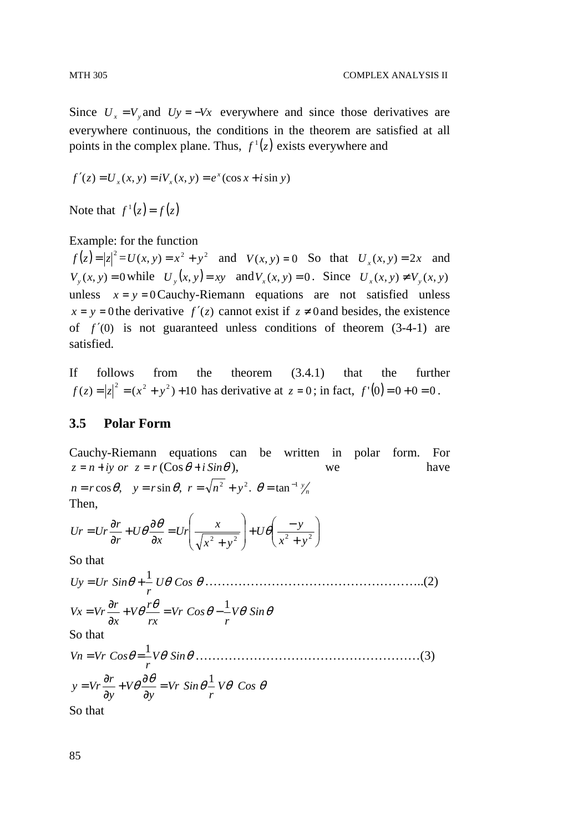Since  $U_x = V_y$  and  $U_y = -V_x$  everywhere and since those derivatives are everywhere continuous, the conditions in the theorem are satisfied at all points in the complex plane. Thus,  $f'(z)$  exists everywhere and

$$
f'(z) = U_x(x, y) = iV_x(x, y) = e^x(\cos x + i \sin y)
$$

Note that  $f'(z) = f(z)$ 

#### Example: for the function

 $f(z) = |z|^2 = U(x, y) = x^2 + y^2$  and  $V(x, y) = 0$  So that  $U_x(x, y) = 2x$  and  $V_y(x, y) = 0$  while  $U_y(x, y) = xy$  and  $V_x(x, y) = 0$ . Since  $U_x(x, y) \neq V_y(x, y)$ unless  $x = y = 0$  Cauchy-Riemann equations are not satisfied unless  $x = y = 0$  the derivative  $f'(z)$  cannot exist if  $z \neq 0$  and besides, the existence of  $f'(0)$  is not guaranteed unless conditions of theorem  $(3-4-1)$  are satisfied.

If follows from the theorem (3.4.1) that the further  $f(z) = |z|^2 = (x^2 + y^2) + 10$  has derivative at  $z = 0$ ; in fact,  $f'(0) = 0 + 0 = 0$ .

#### **3.5 Polar Form**

Cauchy-Riemann equations can be written in polar form. For  $z = n + iy$  *or*  $z = r(\cos \theta + i \sin \theta)$ , we have  $n = r \cos \theta$ ,  $y = r \sin \theta$ ,  $r = \sqrt{n^2 + y^2}$ .  $\theta = \tan^{-1} \frac{y}{n}$ Then,

$$
Ur = Ur \frac{\partial r}{\partial r} + U\theta \frac{\partial \theta}{\partial x} = Ur \left( \frac{x}{\sqrt{x^2 + y^2}} \right) + U\theta \left( \frac{-y}{x^2 + y^2} \right)
$$

So that

θ *U*θ *Cos* θ *r Uy Ur Sin* <sup>1</sup> = + ……………………………………………..(2) θ θ θ θ θ *V Sin r Vr Cos rx r V x r Vx Vr* <sup>1</sup> + = − ∂ ∂ = So that θ *V*θ *Sin*θ *r Vn Vr Cos* <sup>1</sup> = = ………………………………………………(3) θ θ θ θ θ *V Cos r Vr Sin y V y r <sup>y</sup> Vr* <sup>1</sup> = ∂ ∂ + ∂ ∂ =

So that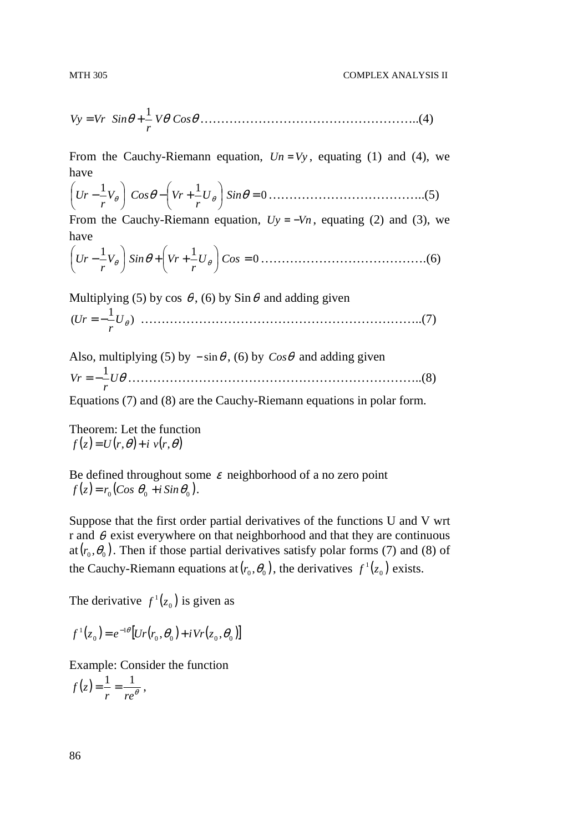$$
MTH\,305
$$

θ *V*θ *Cos*θ *r Vy Vr Sin* <sup>1</sup> = + ……………………………………………..(4)

From the Cauchy-Riemann equation,  $Un = Vy$ , equating (1) and (4), we have

$$
\left(Ur - \frac{1}{r}V_{\theta}\right) \cos\theta - \left(Vr + \frac{1}{r}U_{\theta}\right) \sin\theta = 0 \dots \dots \dots \dots \dots \dots \dots \dots \dots \dots \dots \dots \tag{5}
$$

From the Cauchy-Riemann equation,  $Uy = -Vn$ , equating (2) and (3), we have

$$
\left(Ur - \frac{1}{r}V_{\theta}\right)\sin\theta + \left(Vr + \frac{1}{r}U_{\theta}\right)\cos = 0 \dots \dots \dots \dots \dots \dots \dots \dots \dots \dots \dots \dots \dots \tag{6}
$$

Multiplying (5) by cos  $\theta$ , (6) by Sin  $\theta$  and adding given

 $(Ur = -\frac{1}{\nu_{\theta}})$ *r Ur* −= …………………………………………………………..(7)

Also, multiplying (5) by  $-\sin\theta$ , (6) by  $\cos\theta$  and adding given *U*θ *r Vr* <sup>1</sup> −= ……………………………………………………………..(8)

Equations (7) and (8) are the Cauchy-Riemann equations in polar form.

Theorem: Let the function  $f(z) = U(r, \theta) + i v(r, \theta)$ 

Be defined throughout some  $\varepsilon$  neighborhood of a no zero point  $f(z) = r_0 (Cos \theta_0 + i Sin \theta_0).$ 

Suppose that the first order partial derivatives of the functions U and V wrt r and  $\theta$  exist everywhere on that neighborhood and that they are continuous at( $r_0, \theta_0$ ). Then if those partial derivatives satisfy polar forms (7) and (8) of the Cauchy-Riemann equations at  $(r_0, \theta_0)$ , the derivatives  $f'(z_0)$  exists.

The derivative  $f'(z_0)$  is given as

$$
f^{1}(z_{0}) = e^{-1\theta} [Ur(r_{0}, \theta_{0}) + i Vr(z_{0}, \theta_{0})]
$$

Example: Consider the function

 $(z) = \frac{1}{r} = \frac{1}{re^{\theta}}$  $f(z) = \frac{1}{z} = \frac{1}{z}$ ,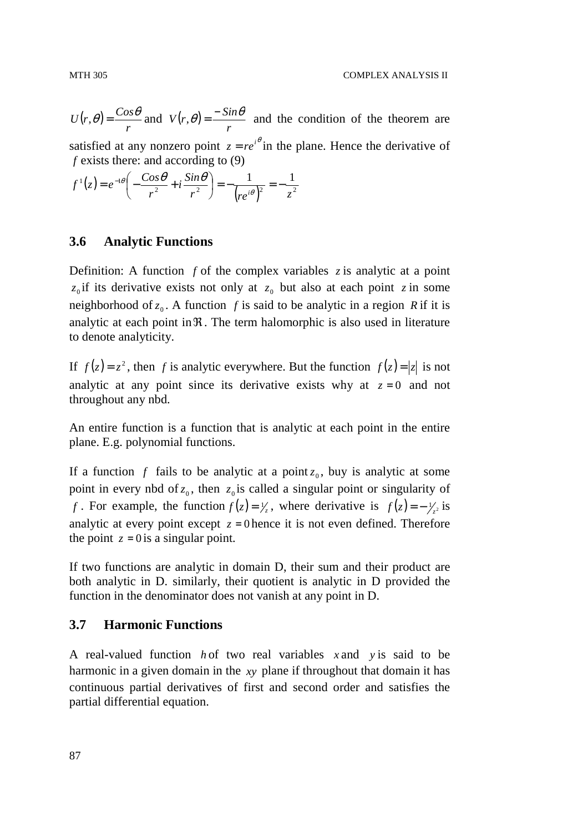$(r, \theta)$ *r*  $U(r, \theta) = \frac{Cos \theta}{m}$  and  $V(r, \theta)$ *r*  $V(r, \theta) = \frac{-S \sin \theta}{r}$  and the condition of the theorem are satisfied at any nonzero point  $z = re^{i\theta}$  in the plane. Hence the derivative of *f* exists there: and according to (9)

$$
f^{1}(z) = e^{-1\theta} \left( -\frac{Cos\theta}{r^{2}} + i\frac{Sin\theta}{r^{2}} \right) = -\frac{1}{(re^{i\theta})^{2}} = -\frac{1}{z^{2}}
$$

## **3.6 Analytic Functions**

Definition: A function  $f$  of the complex variables  $\zeta$  is analytic at a point  $z_0$  if its derivative exists not only at  $z_0$  but also at each point  $z$  in some neighborhood of  $z_0$ . A function *f* is said to be analytic in a region *R* if it is analytic at each point in  $\Re$ . The term halomorphic is also used in literature to denote analyticity.

If  $f(z) = z^2$ , then *f* is analytic everywhere. But the function  $f(z) = |z|$  is not analytic at any point since its derivative exists why at  $z = 0$  and not throughout any nbd.

An entire function is a function that is analytic at each point in the entire plane. E.g. polynomial functions.

If a function  $f$  fails to be analytic at a point  $z_0$ , buy is analytic at some point in every nbd of  $z_0$ , then  $z_0$  is called a singular point or singularity of *f* . For example, the function  $f(z) = \frac{1}{z}$ , where derivative is  $f(z) = -\frac{1}{z^2}$  is analytic at every point except  $z = 0$  hence it is not even defined. Therefore the point  $z = 0$  is a singular point.

If two functions are analytic in domain D, their sum and their product are both analytic in D. similarly, their quotient is analytic in D provided the function in the denominator does not vanish at any point in D.

## **3.7 Harmonic Functions**

A real-valued function *h* of two real variables *x* and *y* is said to be harmonic in a given domain in the *xy* plane if throughout that domain it has continuous partial derivatives of first and second order and satisfies the partial differential equation.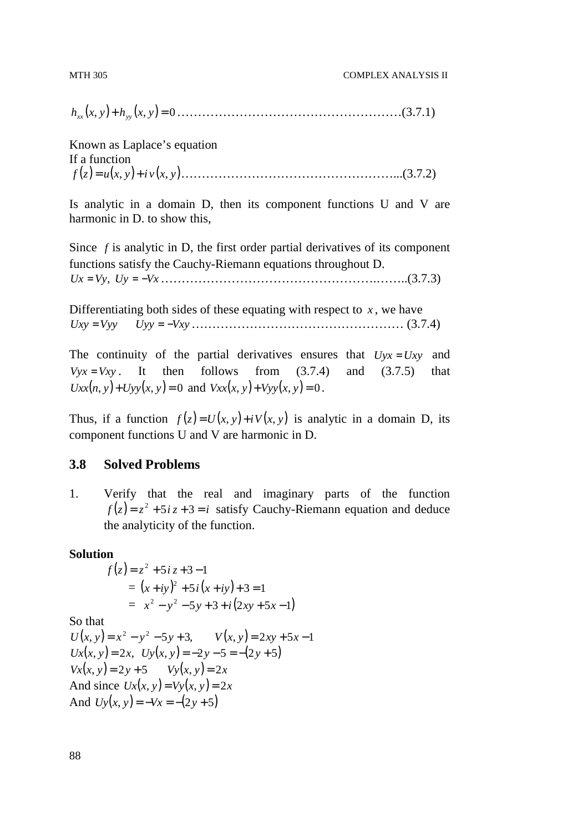*h* ( , *yx* )+ *h* ( , *yx* ) = 0 *xx yy* ………………………………………………(3.7.1)

Known as Laplace's equation If a function (*zf* ) = ( , *yxu* ) + ( , *yxvi* )……………………………………………...(3.7.2)

Is analytic in a domain D, then its component functions U and V are harmonic in D. to show this,

Since *f* is analytic in D, the first order partial derivatives of its component functions satisfy the Cauchy-Riemann equations throughout D. *Ux* = *Vy*, *Uy* = −*Vx*…………………………………………….……..(3.7.3)

Differentiating both sides of these equating with respect to  $x$ , we have *Uxy* = *Vyy Uyy* = −*Vxy*…………………………………………… (3.7.4)

The continuity of the partial derivatives ensures that  $Uyx = Uxy$  and  $Vvx = Vxv$ . It then follows from  $(3.7.4)$  and  $(3.7.5)$  that  $Uxx(n, y) + Uyy(x, y) = 0$  and  $Vxx(x, y) + Vyy(x, y) = 0$ .

Thus, if a function  $f(z) = U(x, y) + iV(x, y)$  is analytic in a domain D, its component functions U and V are harmonic in D.

## **3.8 Solved Problems**

1. Verify that the real and imaginary parts of the function  $f(z) = z^2 + 5iz + 3 = i$  satisfy Cauchy-Riemann equation and deduce the analyticity of the function.

#### **Solution**

$$
f(z) = z2 + 5i z + 3 - 1
$$
  
=  $(x + iy)2 + 5i(x + iy) + 3 = 1$   
=  $x2 - y2 - 5y + 3 + i(2xy + 5x - 1)$ 

So that

 $U(x, y) = x^2 - y^2 - 5y + 3$ ,  $V(x, y) = 2xy + 5x - 1$  $Ux(x, y) = 2x$ ,  $Uy(x, y) = -2y - 5 = -(2y + 5)$  $V_x(x, y) = 2y + 5$   $V_y(x, y) = 2x$ And since  $Ux(x, y) = Vy(x, y) = 2x$ And  $Uy(x, y) = -Vx = -(2y + 5)$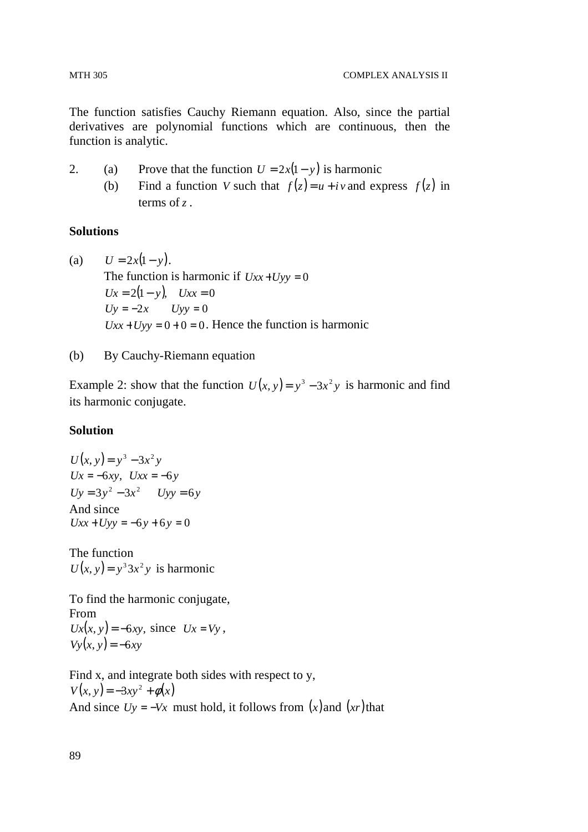The function satisfies Cauchy Riemann equation. Also, since the partial derivatives are polynomial functions which are continuous, then the function is analytic.

- 2. (a) Prove that the function  $U = 2x(1 y)$  is harmonic
	- (b) Find a function *V* such that  $f(z) = u + iv$  and express  $f(z)$  in terms of *z* .

## **Solutions**

(a) 
$$
U = 2x(1 - y)
$$
.  
\nThe function is harmonic if  $Uxx + Uyy = 0$   
\n $Ux = 2(1 - y)$ ,  $Uxx = 0$   
\n $Uy = -2x$   $Uyy = 0$   
\n $Uxx + Uyy = 0 + 0 = 0$ . Hence the function is harmonic

(b) By Cauchy-Riemann equation

Example 2: show that the function  $U(x, y) = y^3 - 3x^2y$  is harmonic and find its harmonic conjugate.

## **Solution**

$$
U(x, y) = y3 - 3x2 y
$$
  
\n
$$
Ux = -6xy, \quad Uxx = -6y
$$
  
\n
$$
Uy = 3y2 - 3x2 \quad Uyy = 6y
$$
  
\nAnd since  
\n
$$
Uxx + Uyy = -6y + 6y = 0
$$

The function  $U(x, y) = y^3 3x^2y$  is harmonic

To find the harmonic conjugate, From  $Ux(x, y) = -6xy$ , since  $Ux = Vy$ ,  $Vy(x, y) = -6xy$ 

Find x, and integrate both sides with respect to y,  $V(x, y) = -3xy^{2} + \phi(x)$ And since  $Uy = -Vx$  must hold, it follows from  $(x)$  and  $(xr)$  that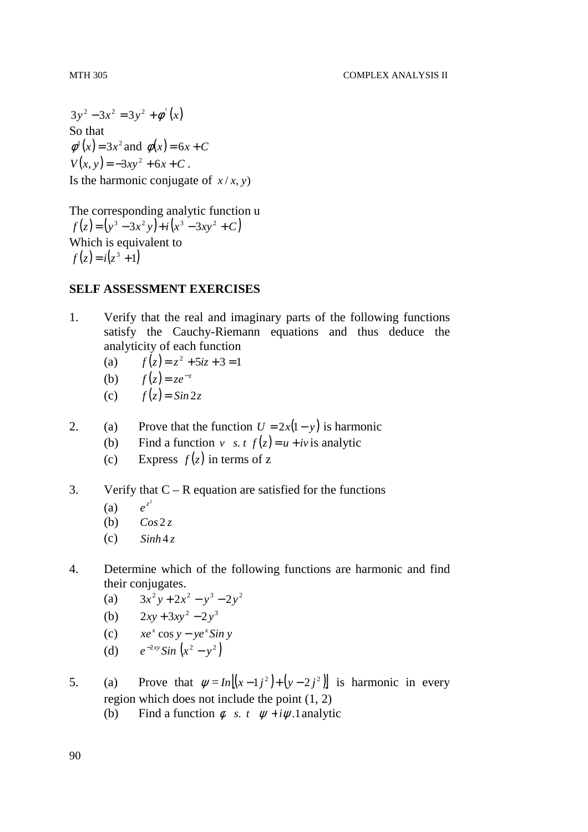$3y^2 - 3x^2 = 3y^2 + \phi^1(x)$ So that  $\phi^1(x) = 3x^2$  and  $\phi(x) = 6x + C$  $V(x, y) = -3xy^{2} + 6x + C$ . Is the harmonic conjugate of  $x/x, y$ 

The corresponding analytic function u  $f(z) = (y^3 - 3x^2y) + i(x^3 - 3xy^2 + C)$ Which is equivalent to  $f(z) = i(z^3 + 1)$ 

## **SELF ASSESSMENT EXERCISES**

- 1. Verify that the real and imaginary parts of the following functions satisfy the Cauchy-Riemann equations and thus deduce the analyticity of each function
- (a)  $f(z) = z^2 + 5iz + 3 = 1$
- (**b**)  $f(z) = ze^{-z}$ 
	- (c)  $f(z) = \sin 2z$
- 2. (a) Prove that the function  $U = 2x(1 y)$  is harmonic
	- (b) Find a function *v s. t*  $f(z) = u + iv$  is analytic
	- (c) Express  $f(z)$  in terms of z
- 3. Verify that  $C R$  equation are satisfied for the functions
	- $(a)$ *z e*
	- (b)  $\cos 2z$
	- $\text{(c)} \qquad \text{Sinh } 4z$
- 4. Determine which of the following functions are harmonic and find their conjugates.
- (a)  $3x^2y + 2x^2 y^3 2y^2$

(b) 
$$
2xy + 3xy^2 - 2y^3
$$

- (c)  $xe^x \cos y ye^x \sin y$
- (d)  $e^{-2xy} \sin(x^2 y^2)$
- 5. (a) Prove that  $\psi = In \left[ (x-1)^2 \right] + (y-2)^2$  is harmonic in every region which does not include the point (1, 2)
	- (b) Find a function  $\phi$  *s. t*  $\psi + i\psi$ . 1 analytic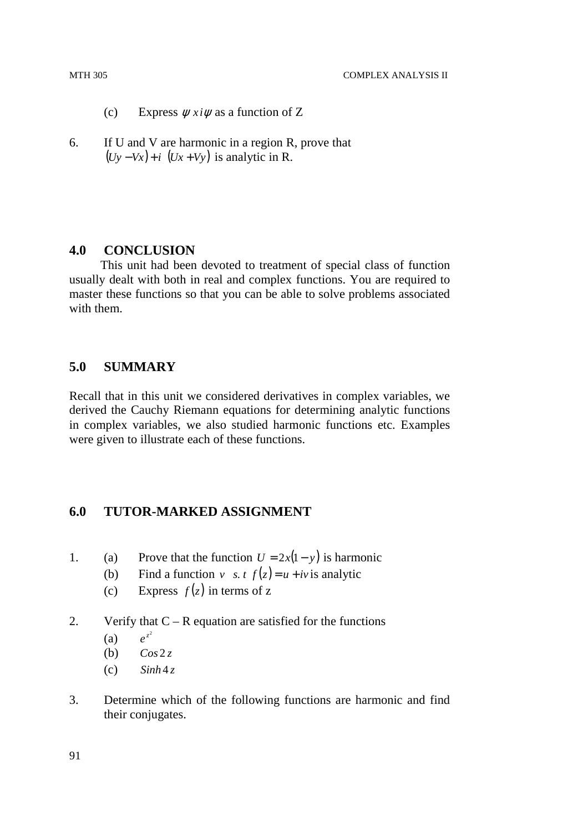#### MTH 305 COMPLEX ANALYSIS II

(c) Express  $\psi x_i \psi$  as a function of Z

6. If U and V are harmonic in a region R, prove that  $(Uy - Vx) + i$  (*Ux* + *Vy*) is analytic in R.

#### **4.0 CONCLUSION**

 This unit had been devoted to treatment of special class of function usually dealt with both in real and complex functions. You are required to master these functions so that you can be able to solve problems associated with them.

# **5.0 SUMMARY**

Recall that in this unit we considered derivatives in complex variables, we derived the Cauchy Riemann equations for determining analytic functions in complex variables, we also studied harmonic functions etc. Examples were given to illustrate each of these functions.

## **6.0 TUTOR-MARKED ASSIGNMENT**

- 1. (a) Prove that the function  $U = 2x(1 y)$  is harmonic
	- (b) Find a function *v s. t*  $f(z) = u + iv$  is analytic
	- (c) Express  $f(z)$  in terms of z

#### 2. Verify that  $C - R$  equation are satisfied for the functions

- $(a)$ *z e*
- (b)  $\cos 2z$
- $\sinh 4z$
- 3. Determine which of the following functions are harmonic and find their conjugates.

91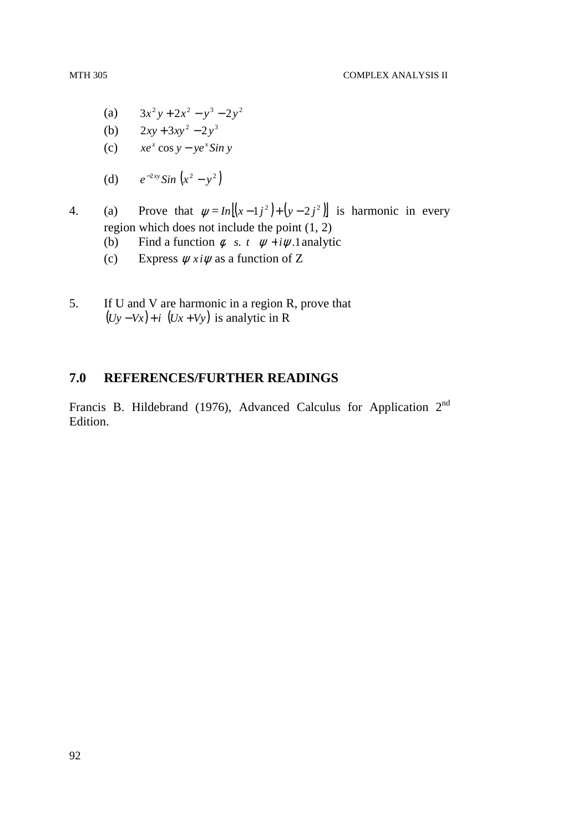- (a)  $3x^2y + 2x^2 y^3 2y^2$
- (b)  $2xy + 3xy^2 2y^3$
- (c)  $xe^x \cos y ye^x \sin y$
- (d)  $e^{-2xy} \sin(x^2 y^2)$
- 4. (a) Prove that  $\psi = In \left[ (x-1)^2 \right] + (y-2)^2$  is harmonic in every region which does not include the point (1, 2)
	- (b) Find a function  $\phi$  *s. t*  $\psi + i\psi$  1. analytic
	- (c) Express  $\psi x_i \psi$  as a function of Z
- 5. If U and V are harmonic in a region R, prove that  $(Uy - Vx) + i$  (*Ux* + *Vy*) is analytic in R

## **7.0 REFERENCES/FURTHER READINGS**

Francis B. Hildebrand (1976), Advanced Calculus for Application  $2<sup>nd</sup>$ Edition.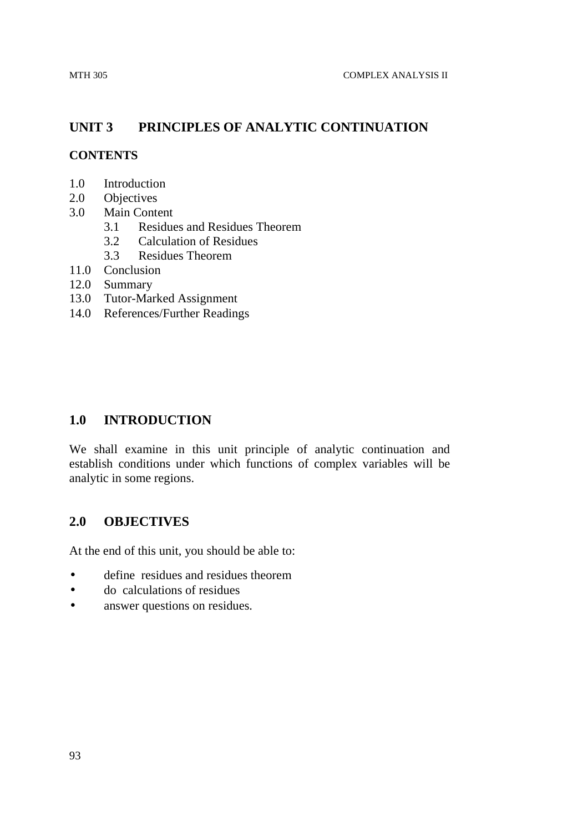# **UNIT 3 PRINCIPLES OF ANALYTIC CONTINUATION**

## **CONTENTS**

- 1.0 Introduction
- 2.0 Objectives
- 3.0 Main Content
	- 3.1 Residues and Residues Theorem
	- 3.2 Calculation of Residues
	- 3.3 Residues Theorem
- 11.0 Conclusion
- 12.0 Summary
- 13.0 Tutor-Marked Assignment
- 14.0 References/Further Readings

## **1.0 INTRODUCTION**

We shall examine in this unit principle of analytic continuation and establish conditions under which functions of complex variables will be analytic in some regions.

## **2.0 OBJECTIVES**

At the end of this unit, you should be able to:

- define residues and residues theorem
- do calculations of residues
- answer questions on residues.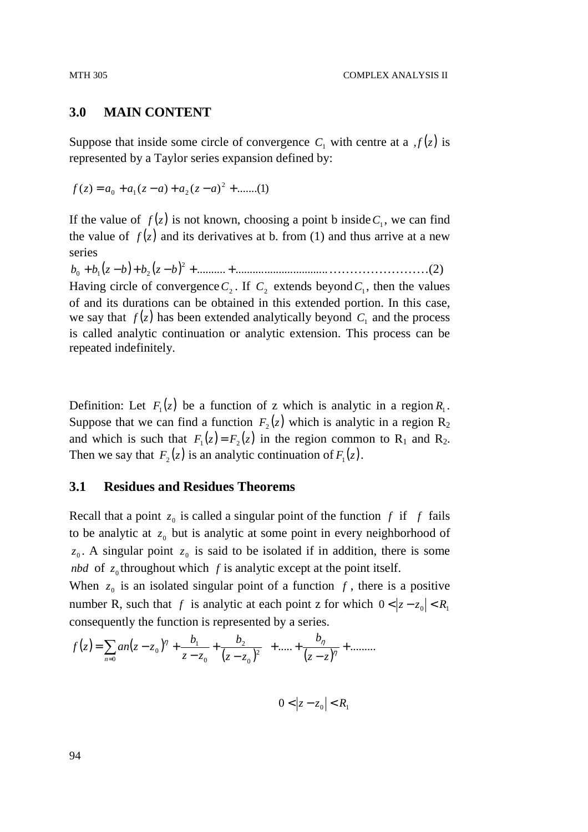#### **3.0 MAIN CONTENT**

Suppose that inside some circle of convergence  $C_1$  with centre at a  $f(z)$  is represented by a Taylor series expansion defined by:

 $f(z) = a_0 + a_1(z-a) + a_2(z-a)^2 + \dots (1)$ 

If the value of  $f(z)$  is not known, choosing a point b inside  $C_1$ , we can find the value of  $f(z)$  and its derivatives at b. from (1) and thus arrive at a new series

 $b_0 + b_1(z - b) + b_2(z - b)^2 + \dots + \dots + \dots + \dots$ Having circle of convergence  $C_2$ . If  $C_2$  extends beyond  $C_1$ , then the values of and its durations can be obtained in this extended portion. In this case, we say that  $f(z)$  has been extended analytically beyond  $C_1$  and the process is called analytic continuation or analytic extension. This process can be repeated indefinitely.

Definition: Let  $F_1(z)$  be a function of z which is analytic in a region  $R_1$ . Suppose that we can find a function  $F_2(z)$  which is analytic in a region  $R_2$ and which is such that  $F_1(z) = F_2(z)$  in the region common to  $R_1$  and  $R_2$ . Then we say that  $F_2(z)$  is an analytic continuation of  $F_1(z)$ .

#### **3.1 Residues and Residues Theorems**

Recall that a point  $z_0$  is called a singular point of the function  $f$  if  $f$  fails to be analytic at  $z_0$  but is analytic at some point in every neighborhood of  $z_0$ . A singular point  $z_0$  is said to be isolated if in addition, there is some *nbd* of  $z_0$  throughout which *f* is analytic except at the point itself.

When  $z_0$  is an isolated singular point of a function  $f$ , there is a positive number R, such that *f* is analytic at each point z for which  $0 < |z - z_0| < R_1$ consequently the function is represented by a series.

$$
f(z) = \sum_{n=0}^{\infty} a_n (z - z_0)^n + \frac{b_1}{z - z_0} + \frac{b_2}{(z - z_0)^2} + \dots + \frac{b_n}{(z - z)^n} + \dots
$$

$$
0 < |z - z_0| < R_1
$$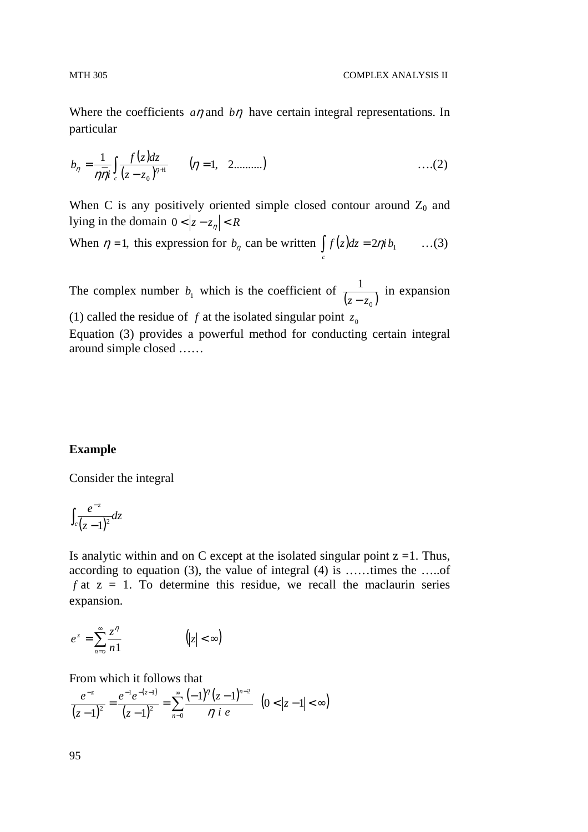Where the coefficients *a*<sup>η</sup> and *b*η have certain integral representations. In particular

$$
b_{\eta} = \frac{1}{\eta \overline{\eta} i} \int_{c} \frac{f(z)dz}{(z - z_0)^{\eta + 1}} \qquad (\eta = 1, 2 \dots \dots ) \qquad \qquad \dots (2)
$$

When C is any positively oriented simple closed contour around  $Z_0$  and lying in the domain  $0 < |z - z_n| < R$ 

When 
$$
\eta = 1
$$
, this expression for  $b_{\eta}$  can be written  $\int_{c} f(z) dz = 2\eta i b_1$  ...(3)

The complex number  $b_1$  which is the coefficient of  $\frac{1}{(z-z_0)}$ *z* − *z* in expansion

(1) called the residue of  $f$  at the isolated singular point  $z_0$ 

Equation (3) provides a powerful method for conducting certain integral around simple closed ……

#### **Example**

Consider the integral

$$
\int_c \frac{e^{-z}}{(z-1)^2} dz
$$

Is analytic within and on C except at the isolated singular point  $z = 1$ . Thus, according to equation (3), the value of integral (4) is ……times the …..of  $f$  at  $z = 1$ . To determine this residue, we recall the maclaurin series expansion.

$$
e^{z} = \sum_{n=0}^{\infty} \frac{z^{n}}{n!} \qquad (|z| < \infty)
$$

From which it follows that

$$
\frac{e^{-z}}{(z-1)^2} = \frac{e^{-1}e^{-(z-1)}}{(z-1)^2} = \sum_{n=0}^{\infty} \frac{(-1)^n (z-1)^{n-2}}{n i e} \quad (0 < |z-1| < \infty)
$$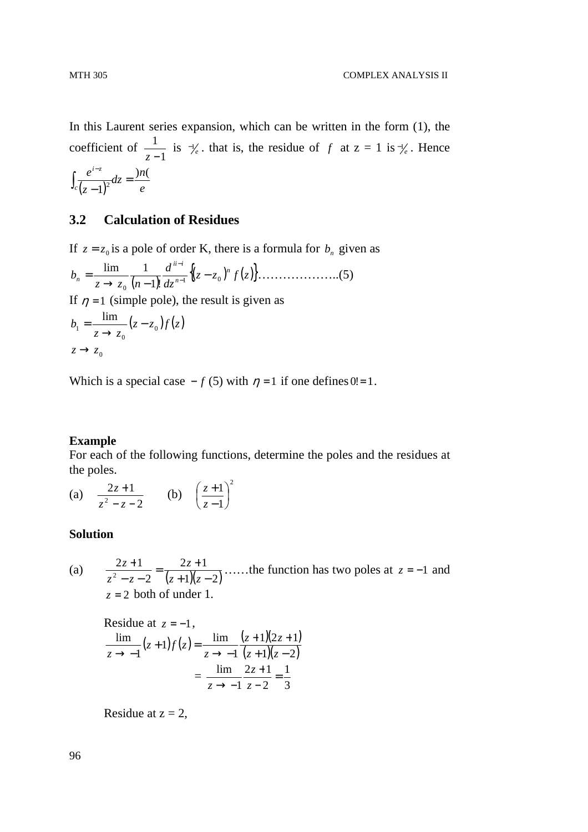In this Laurent series expansion, which can be written in the form (1), the coefficient of 1 1  $\frac{1}{z-1}$  is  $\frac{-1}{e}$ . that is, the residue of *f* at  $z = 1$  is  $\frac{-1}{e}$ . Hence  $(z-1)^2$ <sup>2</sup>  $e$  $dz = \frac{ln}{2}$ *z e c*  $\int_{-z}^{i-z}$  )n(  $\overline{1}$ <sup>2</sup> $dz =$  $\int_{c} \frac{e^{iz}}{(z-1)}$ 

#### **3.2 Calculation of Residues**

If <sup>0</sup> *z* = *z* is a pole of order K, there is a formula for *<sup>n</sup> b* given as ( ) {( ) ( ) *<sup>z</sup> <sup>z</sup> zf* } *dz d z z n b n n iii n* 1 0 0 !1 lim 1 − → − = <sup>−</sup> − ………………..(5) If <sup>η</sup> = 1 (simple pole), the result is given as ( ) ( ) *z z zf z z b* <sup>0</sup> 0 1 lim − → =

 $z \rightarrow z_0$ 

Which is a special case  $-f(5)$  with  $\eta = 1$  if one defines  $0! = 1$ .

#### **Example**

For each of the following functions, determine the poles and the residues at the poles.

(a) 2  $2z + 1$  $z - z -$ +  $z^2-z$  $\frac{z+1}{z}$  (b) 2 1  $\frac{1}{2}$ J  $\left(\frac{z+1}{z}\right)$ l ſ − + *z z*

#### **Solution**

(a)  $\frac{2z+1}{z^2-z-2} = \frac{2z+1}{(z+1)(z-2)}$ 2  $2z + 1$  $z^2 - z - 2 = (z+1)(z =\frac{2z+}{(z+1)^2}$  $-z-$ +  $z + 1)(z$ *z*  $z^2 - z$  $\frac{z+1}{z-2} = \frac{2z+1}{(z-2)(z-2)}$  ……the function has two poles at  $z = -1$  and  $z = 2$  both of under 1.

Residue at  $z = -1$ ,  $(z+1)f(z) = \frac{\lim}{z} \frac{(z+1)(2z+1)}{(z-1)(z-2)}$  $(z + 1)(z - 2)$  $1)(2z+1)$ 1  $1)f(z) = \frac{\lim}{\lim}$ 1 lim  $+1)(z +1)(2z +$  $\rightarrow$   $+1) f(z) =$  $\rightarrow$  -1<sup>(2)</sup>  $\rightarrow$  -2)  $(z+1)(z)$ *z z z*  $z+1$ *f* $(z$ *z* = 3 1 2  $2z + 1$ 1  $\frac{\lim_{z \to 0} 2z + 1}{z} =$ − + →  $-1$  z *z z*

Residue at  $z = 2$ ,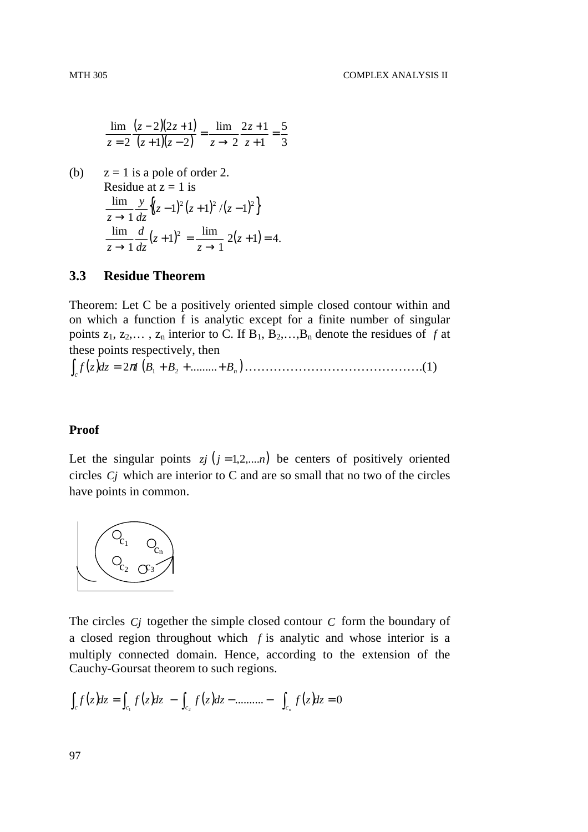$$
\frac{\lim}{z=2} \frac{(z-2)(2z+1)}{(z+1)(z-2)} = \frac{\lim}{z \to 2} \frac{2z+1}{z+1} = \frac{5}{3}
$$

(b)  $z = 1$  is a pole of order 2. Residue at  $z = 1$  is  $\{(z-1)^2(z+1)^2/(z-1)^2\}$ 1  $\frac{\lim_{z \to \infty} y}{(z-1)^2 (z+1)^2} = \frac{y}{(z-1)^2}$  $\rightarrow$  $(z-1)^{2}(z+1)^{2}/(z)$ *dz y z*  $(z+1)^2 = \frac{\text{nm}}{1}$  2(z+1) = 4. 1  $1)^2 = \frac{\text{lim}}{1}$ 1  $\frac{\lim_{z \to 0} d}{z (z+1)^2} = \frac{\lim_{z \to 0} 2(z+1)}{z+1}$  $\rightarrow$  $+1)^{2}$  =  $\rightarrow$ *z z z dz d z*

#### **3.3 Residue Theorem**

Theorem: Let C be a positively oriented simple closed contour within and on which a function f is analytic except for a finite number of singular points  $z_1, z_2,..., z_n$  interior to C. If  $B_1, B_2,..., B_n$  denote the residues of f at these points respectively, then

( ) ( ) ∫ *c* = + + + *B B B<sup>n</sup> dzzf* 2 *i* ......... <sup>π</sup> <sup>1</sup> <sup>2</sup> …………………………………….(1)

#### **Proof**

Let the singular points  $z_j$  ( $j = 1, 2, \ldots, n$ ) be centers of positively oriented circles *Cj* which are interior to C and are so small that no two of the circles have points in common.



The circles *Cj* together the simple closed contour *C* form the boundary of a closed region throughout which *f* is analytic and whose interior is a multiply connected domain. Hence, according to the extension of the Cauchy-Goursat theorem to such regions.

$$
\int_{c} f(z) dz = \int_{c_1} f(z) dz - \int_{c_2} f(z) dz - \dots + \int_{c_n} f(z) dz = 0
$$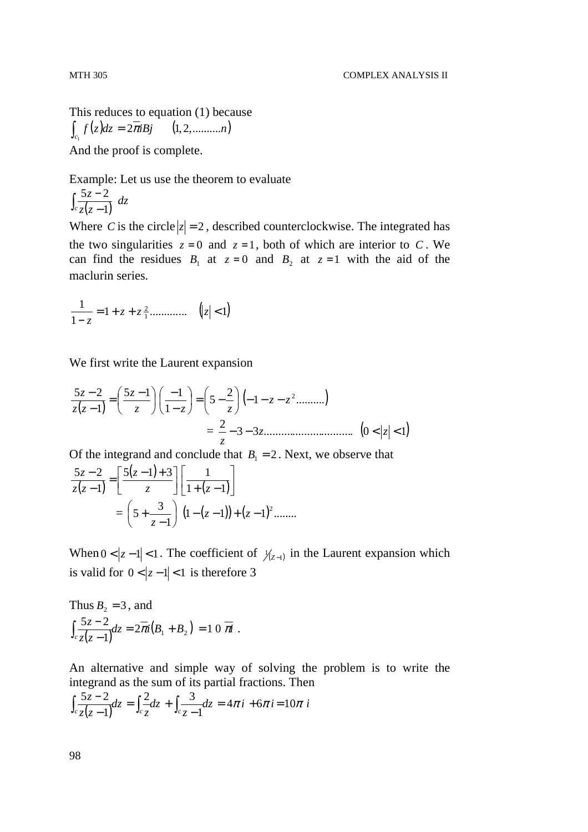This reduces to equation (1) because  $\int_{c_1} f(z) dz = 2\pi iBj$  (1, 2, ..........*n*) And the proof is complete.

Example: Let us use the theorem to evaluate

$$
\int_{c} \frac{5z-2}{z(z-1)} \ dz
$$

Where *C* is the circle  $|z| = 2$ , described counterclockwise. The integrated has the two singularities  $z = 0$  and  $z = 1$ , both of which are interior to *C*. We can find the residues  $B_1$  at  $z=0$  and  $B_2$  at  $z=1$  with the aid of the maclurin series.

$$
\frac{1}{1-z} = 1 + z + z \frac{2}{1} \dots \dots \dots \dots \quad (|z| < 1)
$$

We first write the Laurent expansion

( ) ( ) <sup>1</sup> .......... 2 5 1 5 1 1 1 5 2 <sup>2</sup> *z z z z z z zz z* − − − = − − − − = − − = <sup>3</sup> <sup>3</sup> ............................... ( ) <sup>0</sup> <sup>1</sup> 2 − − *z* < *z* < *z*

Of the integrand and conclude that  $B_1 = 2$ . Next, we observe that

$$
\frac{5z-2}{z(z-1)} = \left[\frac{5(z-1)+3}{z}\right] \left[\frac{1}{1+(z-1)}\right]
$$

$$
= \left(5+\frac{3}{z-1}\right) (1-(z-1)) + (z-1)^2 \dots
$$

When  $0 < |z-1| < 1$ . The coefficient of  $\mathcal{Y}_{(z-1)}$  in the Laurent expansion which is valid for  $0 < |z-1| < 1$  is therefore 3

Thus 
$$
B_2 = 3
$$
, and  
\n
$$
\int_{c} \frac{5z - 2}{z(z - 1)} dz = 2\pi i (B_1 + B_2) = 10 \pi
$$
.

An alternative and simple way of solving the problem is to write the integrand as the sum of its partial fractions. Then

$$
\int_{c} \frac{5z - 2}{z(z - 1)} dz = \int_{c} \frac{2}{z} dz + \int_{c} \frac{3}{z - 1} dz = 4\pi i + 6\pi i = 10\pi i
$$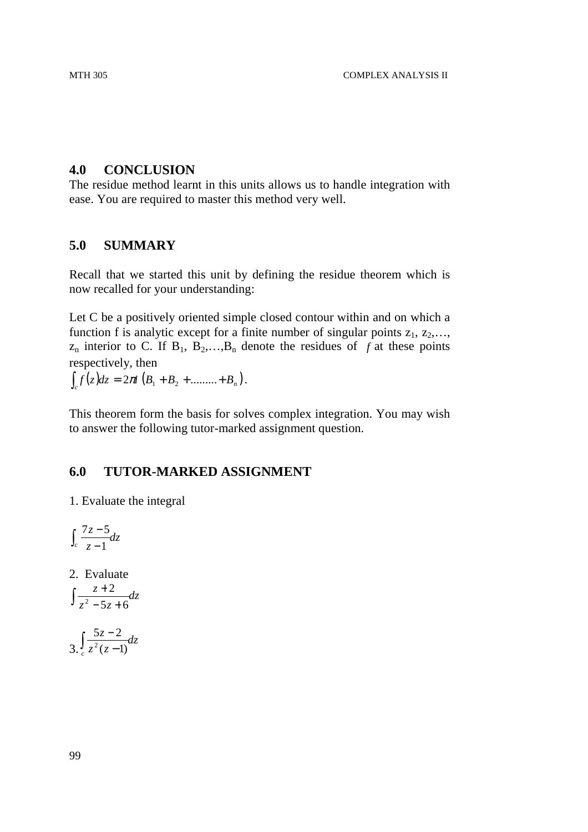## **4.0 CONCLUSION**

The residue method learnt in this units allows us to handle integration with ease. You are required to master this method very well.

## **5.0 SUMMARY**

Recall that we started this unit by defining the residue theorem which is now recalled for your understanding:

Let C be a positively oriented simple closed contour within and on which a function f is analytic except for a finite number of singular points  $z_1, z_2,...,$  $z_n$  interior to C. If  $B_1$ ,  $B_2$ ,..., $B_n$  denote the residues of *f* at these points respectively, then

 $\int_{c} f(z) dz = 2\pi i \left( B_{1} + B_{2} + \dots + B_{n} \right).$ 

This theorem form the basis for solves complex integration. You may wish to answer the following tutor-marked assignment question.

## **6.0 TUTOR-MARKED ASSIGNMENT**

1. Evaluate the integral

$$
\int_c \frac{7z-5}{z-1} dz
$$

2. Evaluate

$$
\int \frac{z+2}{z^2-5z+6} dz
$$

$$
3.\int_{c} \frac{5z-2}{z^2(z-1)}dz
$$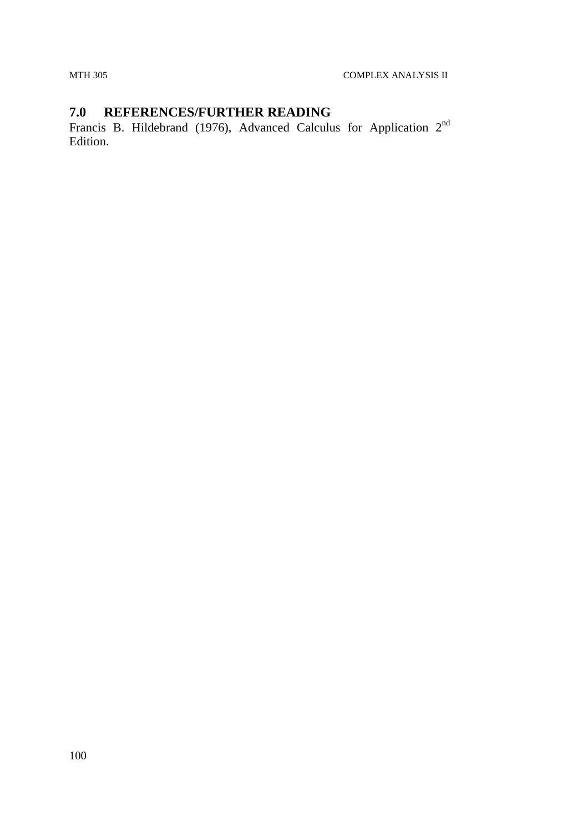# **7.0 REFERENCES/FURTHER READING**

Francis B. Hildebrand (1976), Advanced Calculus for Application  $2<sup>nd</sup>$ Edition.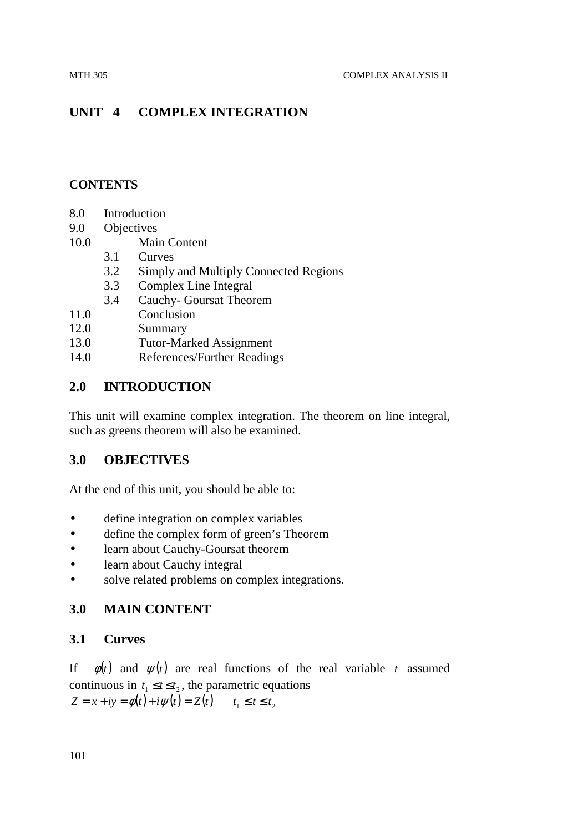# **UNIT 4 COMPLEX INTEGRATION**

## **CONTENTS**

- 8.0 Introduction
- 9.0 Objectives
- 10.0 Main Content
	- 3.1 Curves
	- 3.2 Simply and Multiply Connected Regions
		- 3.3 Complex Line Integral
	- 3.4 Cauchy- Goursat Theorem
- 11.0 Conclusion
- 12.0 Summary
- 13.0 Tutor-Marked Assignment
- 14.0 References/Further Readings

## **2.0 INTRODUCTION**

This unit will examine complex integration. The theorem on line integral, such as greens theorem will also be examined.

## **3.0 OBJECTIVES**

At the end of this unit, you should be able to:

- define integration on complex variables
- define the complex form of green's Theorem
- learn about Cauchy-Goursat theorem
- learn about Cauchy integral
- solve related problems on complex integrations.

## **3.0 MAIN CONTENT**

## **3.1 Curves**

If  $\phi(t)$  and  $\psi(t)$  are real functions of the real variable *t* assumed continuous in  $t_1 \le t \le t_2$ , the parametric equations  $Z = x + iy = \phi(t) + i \psi(t) = Z(t)$   $t, \le t \le t$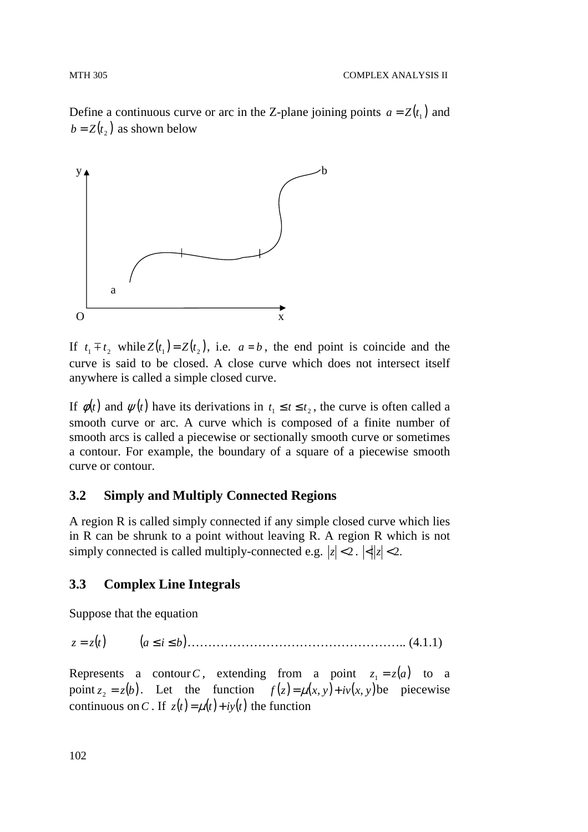Define a continuous curve or arc in the Z-plane joining points  $a = Z(t_1)$  and  $b = Z(t_2)$  as shown below



If  $t_1 \mp t_2$  while  $Z(t_1) = Z(t_2)$ , i.e.  $a = b$ , the end point is coincide and the curve is said to be closed. A close curve which does not intersect itself anywhere is called a simple closed curve.

If  $\phi(t)$  and  $\psi(t)$  have its derivations in  $t_1 \le t \le t_2$ , the curve is often called a smooth curve or arc. A curve which is composed of a finite number of smooth arcs is called a piecewise or sectionally smooth curve or sometimes a contour. For example, the boundary of a square of a piecewise smooth curve or contour.

## **3.2 Simply and Multiply Connected Regions**

A region R is called simply connected if any simple closed curve which lies in R can be shrunk to a point without leaving R. A region R which is not simply connected is called multiply-connected e.g.  $|z| < 2$ .  $\left| \langle z | z | < 2$ .

# **3.3 Complex Line Integrals**

Suppose that the equation

*z* = (*tz* ) (*a* ≤ *i* ≤ *b*)…………………………………………….. (4.1.1)

Represents a contour *C*, extending from a point  $z_1 = z(a)$  to a point  $z_2 = z(b)$ . Let the function  $f(z) = \mu(x, y) + i\nu(x, y)$  be piecewise continuous on C. If  $z(t) = \mu(t) + iy(t)$  the function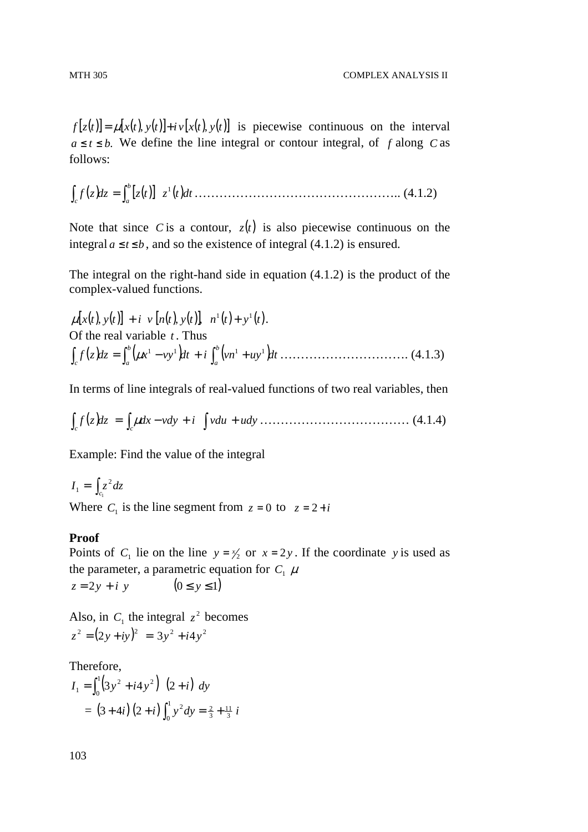$f[z(t)] = \mu[x(t), y(t)] + i v[x(t), y(t)]$  is piecewise continuous on the interval  $a \le t \le b$ . We define the line integral or contour integral, of *f* along *C* as follows:

( ) ( ) *dzzf* [ ] *tz* ( )*dttz b c a* 1 ∫ ∫ = ………………………………………….. (4.1.2)

Note that since *C* is a contour,  $z(t)$  is also piecewise continuous on the integral  $a \le t \le b$ , and so the existence of integral (4.1.2) is ensured.

The integral on the right-hand side in equation (4.1.2) is the product of the complex-valued functions.

$$
\mu[x(t), y(t)] + i \nu [n(t), y(t)], \quad n^{1}(t) + y^{1}(t).
$$
  
Of the real variable *t*. Thus  

$$
\int_{c} f(z) dz = \int_{a}^{b} (\mu x^{1} - vy^{1}) dt + i \int_{a}^{b} (vn^{1} + uy^{1}) dt
$$
................. (4.1.3)

In terms of line integrals of real-valued functions of two real variables, then

$$
\int_{c} f(z) dz = \int_{c} \mu dx - v dy + i \int v du + u dy \dots \dots \dots \dots \dots \dots \dots \dots \dots \dots \dots \dots \tag{4.1.4}
$$

Example: Find the value of the integral

 $I_1 = \int_{c_1}^{} z^2 dz$ 2 1

Where  $C_1$  is the line segment from  $z = 0$  to  $z = 2 + i$ 

## **Proof**

Points of  $C_1$  lie on the line  $y = x/2$  or  $x = 2y$ . If the coordinate y is used as the parameter, a parametric equation for  $C_1$   $\mu$  $z = 2y + i y$  (0 ≤ *y* ≤ 1)

Also, in  $C_1$  the integral  $z^2$  becomes  $z^{2} = (2y + iy)^{2} = 3y^{2} + i4y^{2}$ 

Therefore,

$$
I_1 = \int_0^1 (3y^2 + i4y^2) (2+i) dy
$$
  
=  $(3+4i) (2+i) \int_0^1 y^2 dy = \frac{2}{3} + \frac{11}{3} i$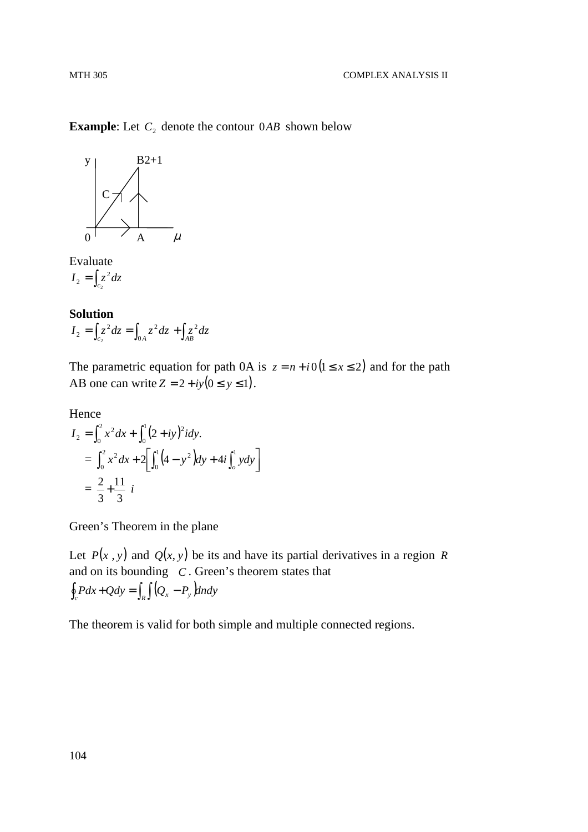**Example:** Let  $C_2$  denote the contour  $0AB$  shown below



Evaluate  $I_2 = \int_{c_2} z^2 dz$ 2 2

**Solution**  
\n
$$
I_2 = \int_{c_2} z^2 dz = \int_{0A} z^2 dz + \int_{AB} z^2 dz
$$

The parametric equation for path 0A is  $z = n + i0(1 \le x \le 2)$  and for the path AB one can write  $Z = 2 + iy(0 \le y \le 1)$ .

Hence  
\n
$$
I_2 = \int_0^2 x^2 dx + \int_0^1 (2+iy)^2 i dy.
$$
\n
$$
= \int_0^2 x^2 dx + 2 \left[ \int_0^1 (4-y^2) dy + 4i \int_0^1 y dy \right]
$$
\n
$$
= \frac{2}{3} + \frac{11}{3} i
$$

Green's Theorem in the plane

Let  $P(x, y)$  and  $Q(x, y)$  be its and have its partial derivatives in a region *R* and on its bounding *C* . Green's theorem states that  $\oint_c P dx + Q dy = \int_R \int (Q_x - P_y) dxdy$ 

The theorem is valid for both simple and multiple connected regions.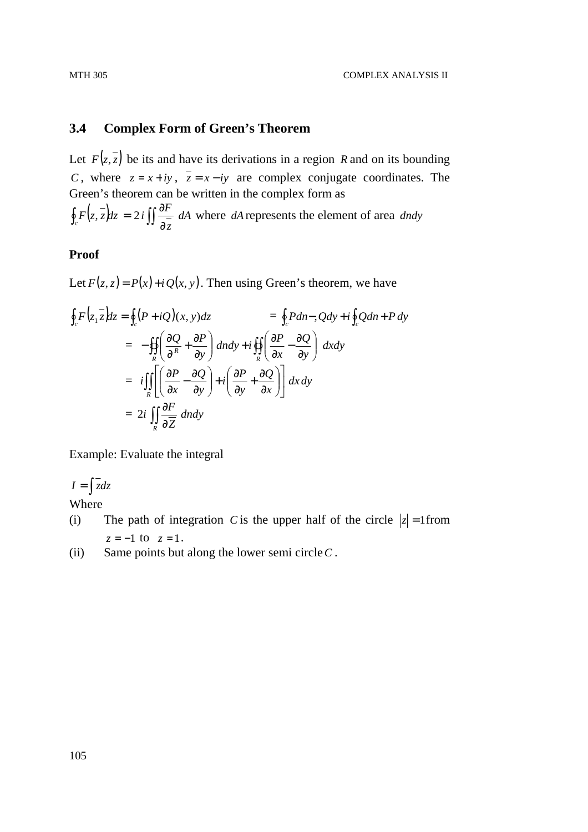# **3.4 Complex Form of Green's Theorem**

Let  $F(z, \overline{z})$  be its and have its derivations in a region *R* and on its bounding *C*, where  $z = x + iy$ ,  $\overline{z} = x - iy$  are complex conjugate coordinates. The Green's theorem can be written in the complex form as

 $\int z, z \, dz = 2i \, \iint \frac{dx}{z} \, dA$ *z*  $\oint_c F(z, \overline{z}) dz = 2i \iint \frac{\partial F}{\partial \overline{z}} dA$  where *dA* represents the element of area *dndy* 

# **Proof**

Let  $F(z, z) = P(x) + iQ(x, y)$ . Then using Green's theorem, we have

$$
\oint_c F(z_1 \overline{z}) dz = \oint_c (P + iQ)(x, y) dz = \oint_c P dn-, Qdy + i \oint_c Q dn + P dy
$$
\n
$$
= -\oiint_R \left( \frac{\partial Q}{\partial x} + \frac{\partial P}{\partial y} \right) dxdy + i \oiint_R \left( \frac{\partial P}{\partial x} - \frac{\partial Q}{\partial y} \right) dxdy
$$
\n
$$
= i \iint_R \left[ \left( \frac{\partial P}{\partial x} - \frac{\partial Q}{\partial y} \right) + i \left( \frac{\partial P}{\partial y} + \frac{\partial Q}{\partial x} \right) \right] dx dy
$$
\n
$$
= 2i \iint_R \frac{\partial F}{\partial \overline{Z}} dndy
$$

Example: Evaluate the integral

 $I = \int \overline{z} dz$ 

Where

- (i) The path of integration *C* is the upper half of the circle  $|z| = 1$  from *z* = −1 to *z* = 1.
- (ii) Same points but along the lower semi circle*C* .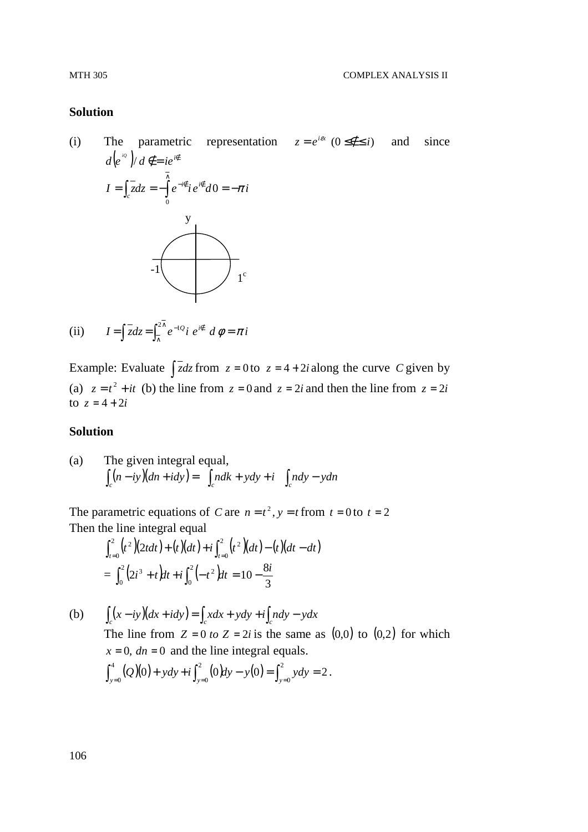### **Solution**

(i) The parametric representation  $z = e^{i\alpha}$  ( $0 \le \notin \le i$ ) and since  $d(e^{i\omega})/d \notin = ie^{i\epsilon}$  $I = \int z dz = -\int e^{-i\theta} i e^{i\theta} d\theta = -\pi i$  $=\int_c z dz = -\int e^{-i\epsilon} i e^{i\epsilon} d0 = -\pi$ ∧  $\int_{c}$  zdz =  $-\int e^{-i\vec{\epsilon}} i e^{i\vec{\epsilon}} d0$  $\boldsymbol{0}$ y -1  $1^{\circ}$ 

(ii) 
$$
I = \int \overline{z} dz = \int_{\overline{\wedge}}^{2\pi} e^{-1}2 i e^{i\theta} d\phi = \pi i
$$

Example: Evaluate  $\int \overline{z} dz$  from  $z = 0$  to  $z = 4 + 2i$  along the curve *C* given by (a)  $z = t^2 + it$  (b) the line from  $z = 0$  and  $z = 2i$  and then the line from  $z = 2i$ to  $z = 4 + 2i$ 

# **Solution**

(a) The given integral equal,  
\n
$$
\int_c (n - iy)(dn + idy) = \int_c ndk + ydy + i \int_c ndy - ydn
$$

The parametric equations of *C* are  $n = t^2$ ,  $y = t$  from  $t = 0$  to  $t = 2$ Then the line integral equal

$$
\int_{t=0}^{2} (t^2)(2t dt) + (t)(dt) + i \int_{t=0}^{2} (t^2)(dt) - (t)(dt - dt)
$$
  
= 
$$
\int_{0}^{2} (2t^3 + t) dt + i \int_{0}^{2} (-t^2) dt = 10 - \frac{8i}{3}
$$

(b) 
$$
\int_{c} (x - iy)(dx + idy) = \int_{c} xdx + ydy + i\int_{c} ndy - ydx
$$
  
The line from  $Z = 0$  to  $Z = 2i$  is the same as (0,0) to (0,2) for which  $x = 0$ ,  $dn = 0$  and the line integral equals.  

$$
\int_{y=0}^{4} (Q)(0) + ydy + i\int_{y=0}^{2} (0)dy - y(0) = \int_{y=0}^{2} ydy = 2.
$$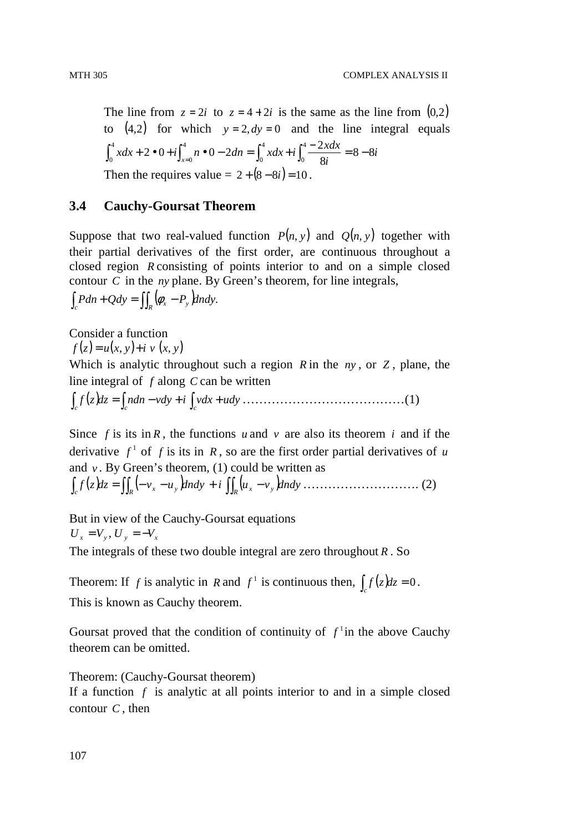The line from  $z = 2i$  to  $z = 4 + 2i$  is the same as the line from  $(0,2)$ to  $(4,2)$  for which  $y = 2, dy = 0$  and the line integral equals *i i*  $xdx + 2 \cdot 0 + i \int_{x=0}^{4} n \cdot 0 - 2dn = \int_{0}^{4} x dx + i \int_{0}^{4} \frac{-2x dx}{8i} = 8 - 8$ 8  $\int_{1}^{4} x dx + 2 \cdot 0 + i \int_{1}^{4} n \cdot 0 - 2 dn = \int_{1}^{4} x dx + i \int_{1}^{4} \frac{-2}{2}$ 0 4  $\mathbf{0}$ 4 0 4  $\int_0^4 x dx + 2 \cdot 0 + i \int_{x=0}^4 n \cdot 0 - 2 dn = \int_0^4 x dx + i \int_0^4 \frac{-2x dx}{8i} = 8 -$ Then the requires value =  $2 + (8 - 8i) = 10$ .

# **3.4 Cauchy-Goursat Theorem**

Suppose that two real-valued function  $P(n, y)$  and  $Q(n, y)$  together with their partial derivatives of the first order, are continuous throughout a closed region *R* consisting of points interior to and on a simple closed contour *C* in the *ny* plane. By Green's theorem, for line integrals,

 $\int_{c} Pdn + Qdy = \iint_{R} (\phi_x - P_y) dn dy.$ 

Consider a function  $f(z) = u(x, y) + i v(x, y)$ 

Which is analytic throughout such a region *R* in the *ny* , or *Z* , plane, the line integral of *f* along *C* can be written

 $\int_{c} f(z)dz = \int_{c} ndn - vdy + i \int_{c} vdx + udy$  …………………………………………(1)

Since  $f$  is its in  $R$ , the functions  $u$  and  $v$  are also its theorem  $i$  and if the derivative  $f^1$  of f is its in R, so are the first order partial derivatives of u and  $v$ . By Green's theorem, (1) could be written as

$$
\int_{c} f(z) dz = \iint_{R} \left( -v_{x} - u_{y} \right) dxdy + i \iint_{R} \left( u_{x} - v_{y} \right) dndy \dots \dots \dots \dots \dots \dots \dots \dots \dots \tag{2}
$$

But in view of the Cauchy-Goursat equations  $U_x = V_y, U_y = -V_x$ 

The integrals of these two double integral are zero throughout *R* . So

Theorem: If *f* is analytic in *R* and  $f^1$  is continuous then,  $\int_c f(z)dz = 0$ . This is known as Cauchy theorem.

Goursat proved that the condition of continuity of  $f<sup>1</sup>$  in the above Cauchy theorem can be omitted.

Theorem: (Cauchy-Goursat theorem)

If a function *f* is analytic at all points interior to and in a simple closed contour *C* , then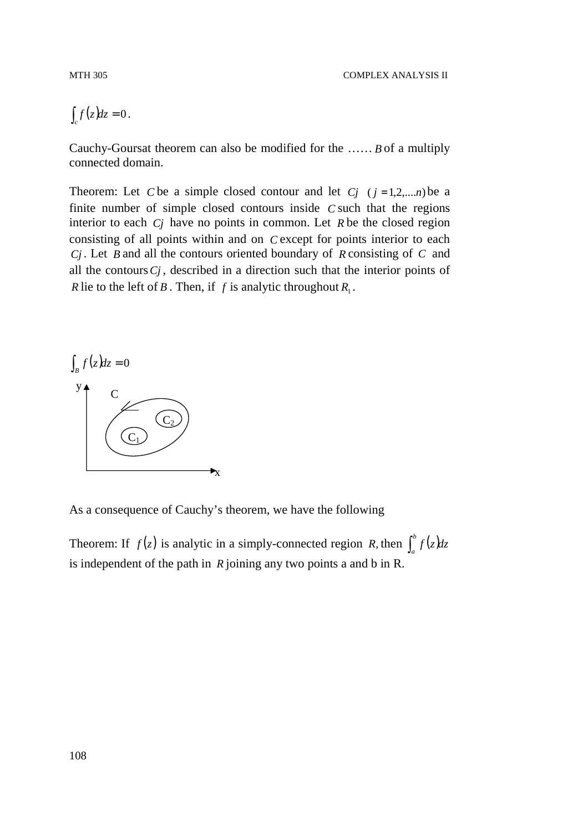$\int_{c} f(z) dz = 0$ .

Cauchy-Goursat theorem can also be modified for the …… *B* of a multiply connected domain.

Theorem: Let *C* be a simple closed contour and let *Cj*  $(j = 1, 2, \ldots, n)$  be a finite number of simple closed contours inside *C* such that the regions interior to each *Cj* have no points in common. Let *R* be the closed region consisting of all points within and on *C* except for points interior to each *Cj* . Let *B* and all the contours oriented boundary of *R* consisting of *C* and all the contours*Cj* , described in a direction such that the interior points of *R* lie to the left of *B*. Then, if *f* is analytic throughout  $R_1$ .



As a consequence of Cauchy's theorem, we have the following

Theorem: If  $f(z)$  is analytic in a simply-connected region *R*, then  $\int_a^b f(z)dz$ is independent of the path in *R* joining any two points a and b in R.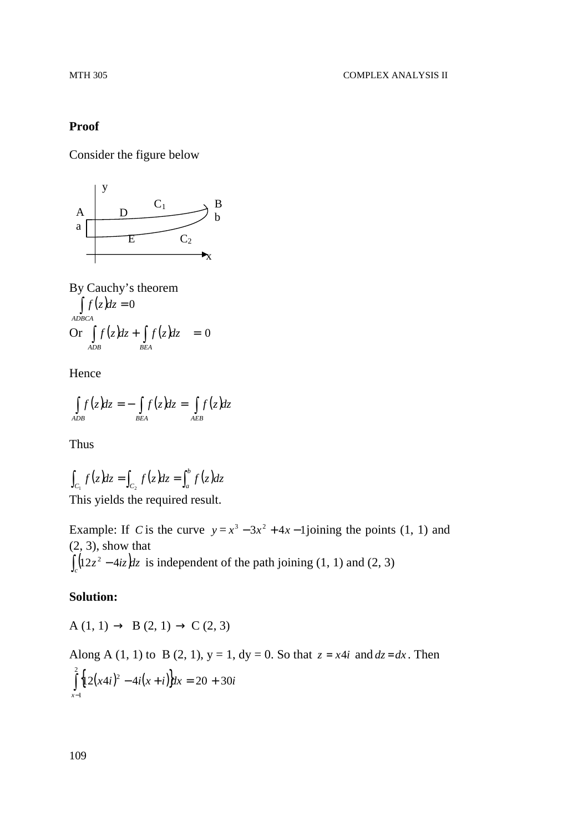# **Proof**

Consider the figure below



By Cauchy's theorem  $\int f(z) dz = 0$ *ADBCA* Or  $\int f(z) dz + \int f(z) dz = 0$ *ADB BEA*

Hence

$$
\int_{ADB} f(z)dz = -\int_{BEA} f(z)dz = \int_{AEB} f(z)dz
$$

Thus

$$
\int_{C_1} f(z)dz = \int_{C_2} f(z)dz = \int_a^b f(z)dz
$$
\nThis yields the required result.

This yields the required result.

Example: If *C* is the curve  $y = x^3 - 3x^2 + 4x - 1$  joining the points (1, 1) and (2, 3), show that  $\int_{c}^{c} (12z^2 - 4iz) dz$  is independent of the path joining (1, 1) and (2, 3)

#### **Solution:**

$$
A(1, 1) \rightarrow B(2, 1) \rightarrow C(2, 3)
$$

Along A (1, 1) to B (2, 1),  $y = 1$ ,  $dy = 0$ . So that  $z = x4i$  and  $dz = dx$ . Then  $\left\{ 12(x4i)^2 - 4i(x+i) \right\} dx = 20 + 30i$ *x*  $(12(x4i)^2 - 4i(x+i))dx = 20 + 30$ 2 1  $\int \frac{1}{2}(x4i)^2 - 4i(x+i)dx = 20 +$ −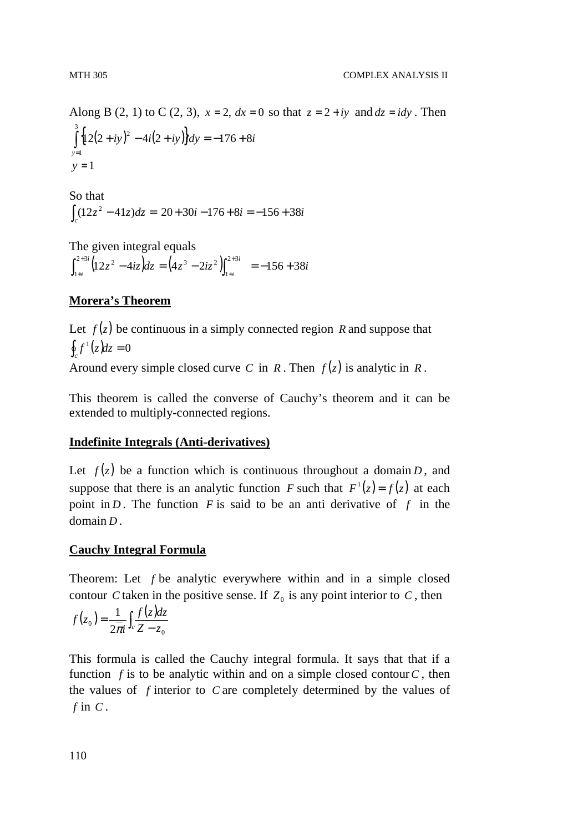Along B (2, 1) to C (2, 3),  $x = 2$ ,  $dx = 0$  so that  $z = 2 + iy$  and  $dz = idy$ . Then  $\left\{ \frac{12(2+iy)^2 - 4i(2+iy)}{dy} = -176 + 8i \right\}$ *y*  $(12(2+iy)^2-4i(2+iy))dy = -176+8$ 3 1  $\int \left\{ 12(2+iy)^2 - 4i(2+iy) \right\} dy = -176 +$ =  $y = 1$ 

So that  $\int_{c}^{c} (12z^2 - 41z) dz = 20 + 30i - 176 + 8i = -156 + 38i$ 

The given integral equals  $(12z^2 - 4iz)dz = (4z^3 - 2iz^2)\big|^{2+3i} = -156 + 38i$ *i i*  $\int_{i}^{3i} (12z^2 - 4iz) dz = (4z^3 - 2iz^2) \int_{1+i}^{2+3i} = -156 + 38$ 1  $^{2+3}$ 1  $\int_{1+i}^{2+3i} (12z^2 - 4iz) dz = (4z^3 - 2iz^2) \int_{1+i}^{2+3i} = -156 +$ + + +

# **Morera's Theorem**

Let  $f(z)$  be continuous in a simply connected region *R* and suppose that  $\oint_c f^1(z) dz = 0$ Around every simple closed curve *C* in *R*. Then  $f(z)$  is analytic in *R*.

This theorem is called the converse of Cauchy's theorem and it can be extended to multiply-connected regions.

# **Indefinite Integrals (Anti-derivatives)**

Let  $f(z)$  be a function which is continuous throughout a domain *D*, and suppose that there is an analytic function *F* such that  $F^1(z) = f(z)$  at each point in *D*. The function *F* is said to be an anti-derivative of *f* in the domain *D* .

# **Cauchy Integral Formula**

Theorem: Let *f* be analytic everywhere within and in a simple closed contour *C* taken in the positive sense. If  $Z_0$  is any point interior to *C*, then

$$
f(z_0) = \frac{1}{2\pi i} \int_c \frac{f(z)dz}{Z - z_0}
$$

This formula is called the Cauchy integral formula. It says that that if a function  $f$  is to be analytic within and on a simple closed contour  $C$ , then the values of *f* interior to *C* are completely determined by the values of *f* in *C* .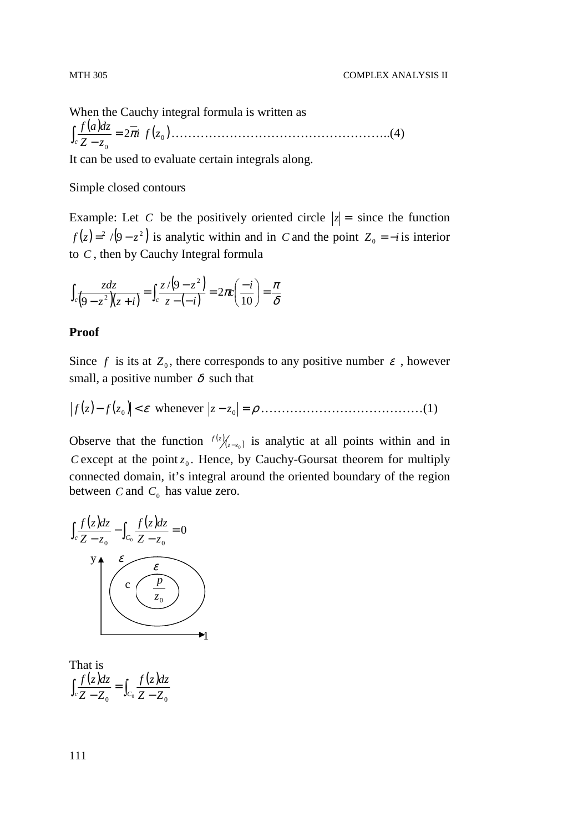When the Cauchy integral formula is written as  $\frac{(a)dz}{z} = 2\overline{\pi} i f(z_0)$ 0  $2\pi i\ f(z)$  $Z - z$  $f(a)dz$  $\frac{f(u)dx}{f(x-z)} = 2\pi$ − ∫ ……………………………………………..(4)

It can be used to evaluate certain integrals along.

#### Simple closed contours

Example: Let *C* be the positively oriented circle  $|z| =$  since the function  $f(z) = \frac{2}{9-z^2}$  is analytic within and in *C* and the point  $Z_0 = -i$  is interior to *C* , then by Cauchy Integral formula

$$
\int_{c} \frac{z dz}{\left(9 - z^2\right)\left(z + i\right)} = \int_{c} \frac{z/\left(9 - z^2\right)}{z - \left(-i\right)} = 2\pi c \left(\frac{-i}{10}\right) = \frac{\pi}{\delta}
$$

#### **Proof**

Since *f* is its at  $Z_0$ , there corresponds to any positive number  $\varepsilon$ , however small, a positive number  $\delta$  such that

( )− ( ) < <sup>ε</sup> <sup>0</sup> *zf zf* whenever *z* − *z*<sup>0</sup> = <sup>ρ</sup> …………………………………(1)

Observe that the function  $f(z)$ <sub> $(z-z_0)$ </sub> is analytic at all points within and in *C* except at the point  $z_0$ . Hence, by Cauchy-Goursat theorem for multiply connected domain, it's integral around the oriented boundary of the region between  $C$  and  $C_0$  has value zero.



That is  $\int_{c} \frac{f(z)dz}{Z - Z_0} = \int_{C_0} \frac{f(z)}{Z - Z}$ =  $c Z - Z_0$  **J**C<sub>0</sub></sub>  $Z - Z_0$  $f(z)dz$ *Z Z*  $f(z)dz$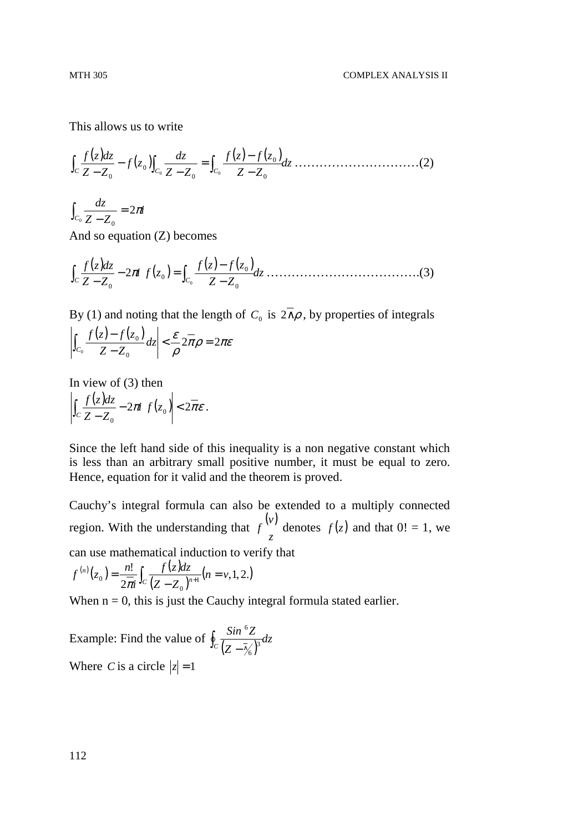This allows us to write

( ) ( ) ( ) ( ) *dz Z Z zf zf Z Z dz zf Z Z dzzf* ∫*<sup>C</sup>* ∫*<sup>C</sup>* ∫*<sup>C</sup>* <sup>−</sup> − = − − − <sup>0</sup> <sup>0</sup> 0 0 0 0 0 …………………………(2)

*i Z Z dz*  $c_0 \frac{a_2}{Z - Z_0} = 2\pi$ =  $\int_{C_0} \frac{a}{Z - a}$ 

And so equation (Z) becomes

( ) ( ) ( ) ( ) *dz Z Z zf zf zfi Z Z dzzf* ∫*<sup>C</sup>* ∫*<sup>C</sup>* <sup>−</sup> − − = − <sup>0</sup> 0 0 0 0 2<sup>π</sup> ……………………………….(3)

By (1) and noting that the length of  $C_0$  is  $2 \land \rho$ , by properties of integrals

$$
\left|\int_{C_0}\frac{f(z)-f(z_0)}{Z-Z_0}dz\right|<\frac{\mathcal{E}}{\rho}2\pi\rho=2\pi\mathcal{E}
$$

In view of (3) then

$$
\left|\int_C \frac{f(z)dz}{Z-Z_0} - 2\pi i f(z_0)\right| < 2\overline{\pi}\varepsilon.
$$

Since the left hand side of this inequality is a non negative constant which is less than an arbitrary small positive number, it must be equal to zero. Hence, equation for it valid and the theorem is proved.

Cauchy's integral formula can also be extended to a multiply connected region. With the understanding that  $f^{(\nu)}$ *z*  $f^{(\nu)}$  denotes  $f(z)$  and that  $0! = 1$ , we can use mathematical induction to verify that

$$
f^{(n)}(z_0) = \frac{n!}{2\pi i} \int_C \frac{f(z)dz}{(Z - Z_0)^{n+1}} (n = \nu, 1, 2.)
$$

When  $n = 0$ , this is just the Cauchy integral formula stated earlier.

Example: Find the value of  $\oint_{C} \frac{\sin^2 Z}{(Z - \overline{\gamma_6})^3} dz$  $\oint_C \frac{Sin^6Z}{(Z-\overline{\gamma}_6)^3}$ 6 6 Where *C* is a circle  $|z| = 1$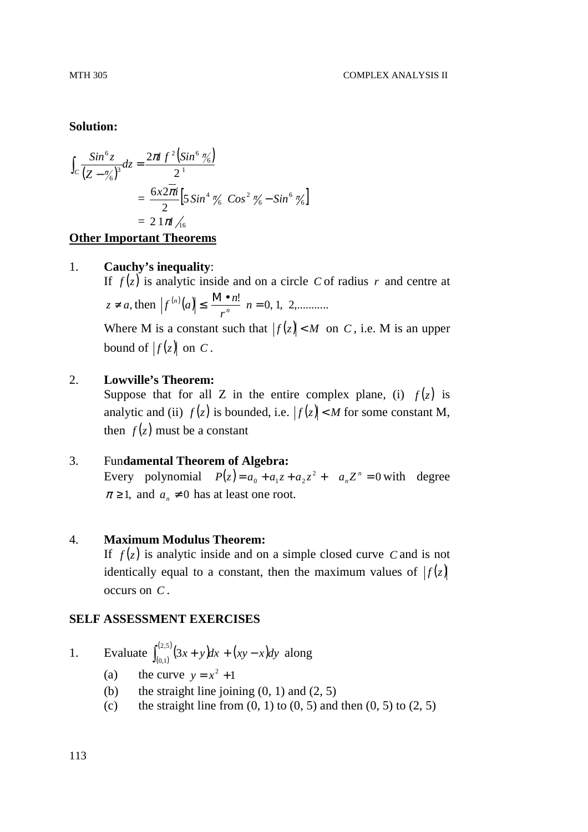#### **Solution:**

$$
\int_C \frac{\sin^6 z}{(Z - \pi/6)^3} dz = \frac{2\pi i \ f^2 (\sin^6 \pi/6)}{2^1}
$$
  
=  $\frac{6x2\pi i}{2} [5 \sin^4 \pi/6 \cos^2 \pi/6 - \sin^6 \pi/6]$   
=  $2 \frac{1\pi}{16}$ 

#### **Other Important Theorems**

#### 1. **Cauchy's inequality**:

If  $f(z)$  is analytic inside and on a circle *C* of radius *r* and centre at  $z \neq a$ , then  $|f^{(n)}(a)| \leq \frac{M \cdot n!}{n!} n = 0, 1, 2, \dots$ *r*  $f^{(n)}(a) \leq \frac{M \cdot n}{n}$ 

Where M is a constant such that  $|f(z)| < M$  on *C*, i.e. M is an upper bound of  $|f(z)|$  on C.

# 2. **Lowville's Theorem:**

Suppose that for all Z in the entire complex plane, (i)  $f(z)$  is analytic and (ii)  $f(z)$  is bounded, i.e.  $|f(z)| < M$  for some constant M, then  $f(z)$  must be a constant

# 3. Fun**damental Theorem of Algebra:**

Every polynomial  $P(z) = a_0 + a_1 z + a_2 z^2 + a_n z^n = 0$  with degree  $\pi \geq 1$ , and  $a_n \neq 0$  has at least one root.

#### 4. **Maximum Modulus Theorem:**

If  $f(z)$  is analytic inside and on a simple closed curve *C* and is not identically equal to a constant, then the maximum values of  $|f(z)|$ occurs on *C* .

#### **SELF ASSESSMENT EXERCISES**

1. Evaluate  $\int_{(0,1)}^{(2,5)} (3x + y) dx$  $\int_{(0,1)}^{(2,5)} (3x + y) dx + (xy - x) dy$  $\int_{(0,1)}^{(2,0)} (3x + y) dx + (xy - x) dy$  along

- (a) the curve  $y = x^2 + 1$ 
	- (b) the straight line joining  $(0, 1)$  and  $(2, 5)$
	- (c) the straight line from  $(0, 1)$  to  $(0, 5)$  and then  $(0, 5)$  to  $(2, 5)$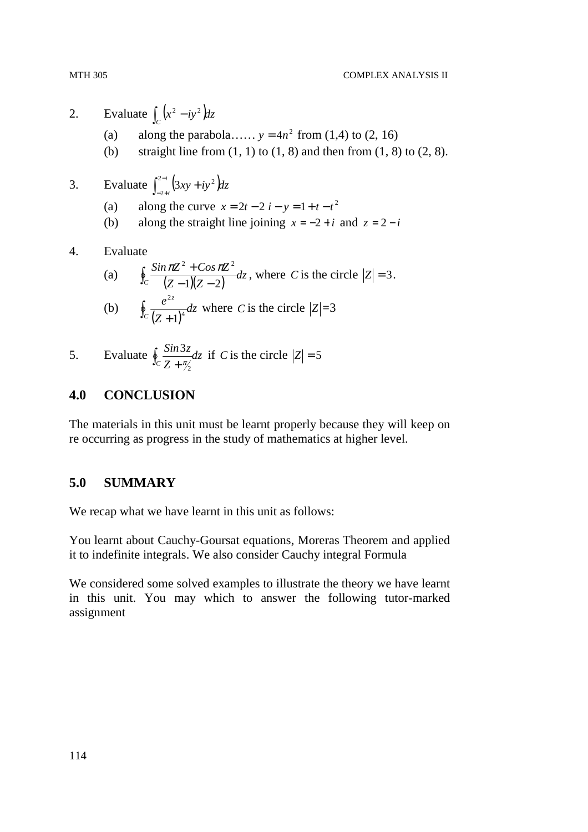- 2. Evaluate  $\int_C (x^2 iy^2) dz$
- (a) along the parabola......  $y = 4n^2$  from (1,4) to (2, 16)
	- (b) straight line from  $(1, 1)$  to  $(1, 8)$  and then from  $(1, 8)$  to  $(2, 8)$ .
- 3. Evaluate  $\int_{-2+i}^{2-i} (3xy + iy^2) dz$  $\int_{-2+i}^{2-i} (3xy +$ 2  $3xy + iy^2$
- (a) along the curve  $x = 2t 2i y = 1 + t t^2$ 
	- (b) along the straight line joining  $x = -2 + i$  and  $z = 2 i$
- 4. Evaluate

(a) 
$$
\oint_C \frac{\sin \pi Z^2 + \cos \pi Z^2}{(Z-1)(Z-2)} dz
$$
, where *C* is the circle  $|Z| = 3$ .  
\n(b) 
$$
\oint_C \frac{e^{2z}}{(Z+1)^4} dz
$$
 where *C* is the circle  $|Z| = 3$ 

5. Evaluate  $\oint_{c} \frac{3\pi i}{7} dz$ *Z*  $\oint_C \frac{\sin 3z}{Z + \frac{\pi}{2}}$  $\frac{\partial z}{\partial x}$  *dz* if *C* is the circle  $|Z| = 5$ 

# **4.0 CONCLUSION**

The materials in this unit must be learnt properly because they will keep on re occurring as progress in the study of mathematics at higher level.

# **5.0 SUMMARY**

We recap what we have learnt in this unit as follows:

You learnt about Cauchy-Goursat equations, Moreras Theorem and applied it to indefinite integrals. We also consider Cauchy integral Formula

We considered some solved examples to illustrate the theory we have learnt in this unit. You may which to answer the following tutor-marked assignment